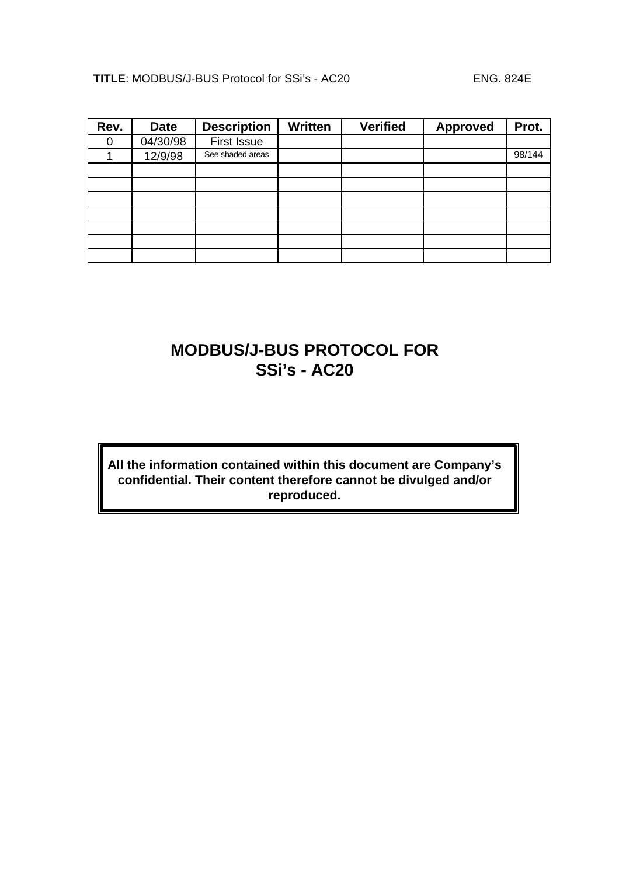| Rev. | <b>Date</b> | <b>Description</b> | <b>Written</b> | <b>Verified</b> | <b>Approved</b> | Prot.  |
|------|-------------|--------------------|----------------|-----------------|-----------------|--------|
|      | 04/30/98    | <b>First Issue</b> |                |                 |                 |        |
|      | 12/9/98     | See shaded areas   |                |                 |                 | 98/144 |
|      |             |                    |                |                 |                 |        |
|      |             |                    |                |                 |                 |        |
|      |             |                    |                |                 |                 |        |
|      |             |                    |                |                 |                 |        |
|      |             |                    |                |                 |                 |        |
|      |             |                    |                |                 |                 |        |
|      |             |                    |                |                 |                 |        |

## **MODBUS/J-BUS PROTOCOL FOR SSi's - AC20**

## **All the information contained within this document are Company's confidential. Their content therefore cannot be divulged and/or reproduced.**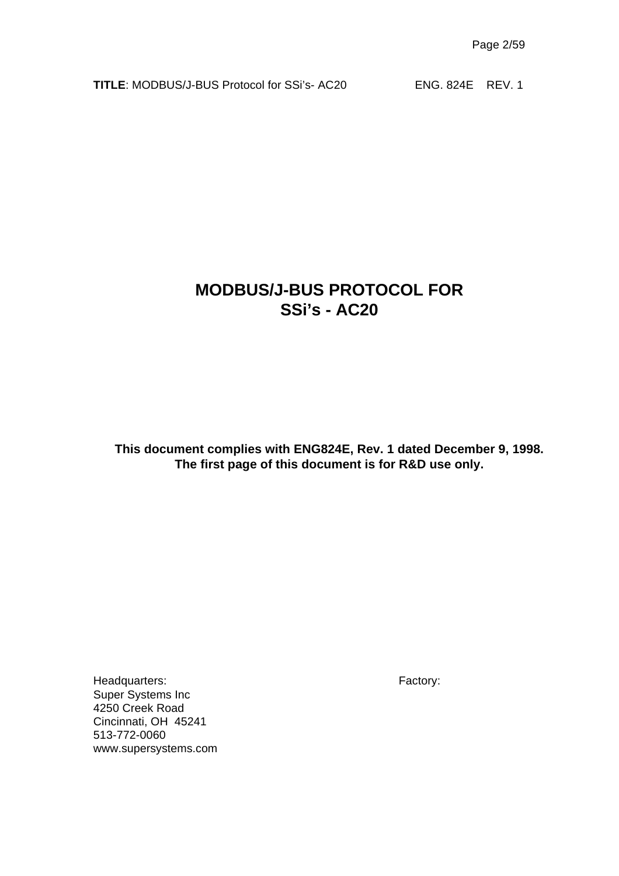## **MODBUS/J-BUS PROTOCOL FOR SSi's - AC20**

**This document complies with ENG824E, Rev. 1 dated December 9, 1998. The first page of this document is for R&D use only.**

Headquarters: Factory: Super Systems Inc 4250 Creek Road Cincinnati, OH 45241 513-772-0060 www.supersystems.com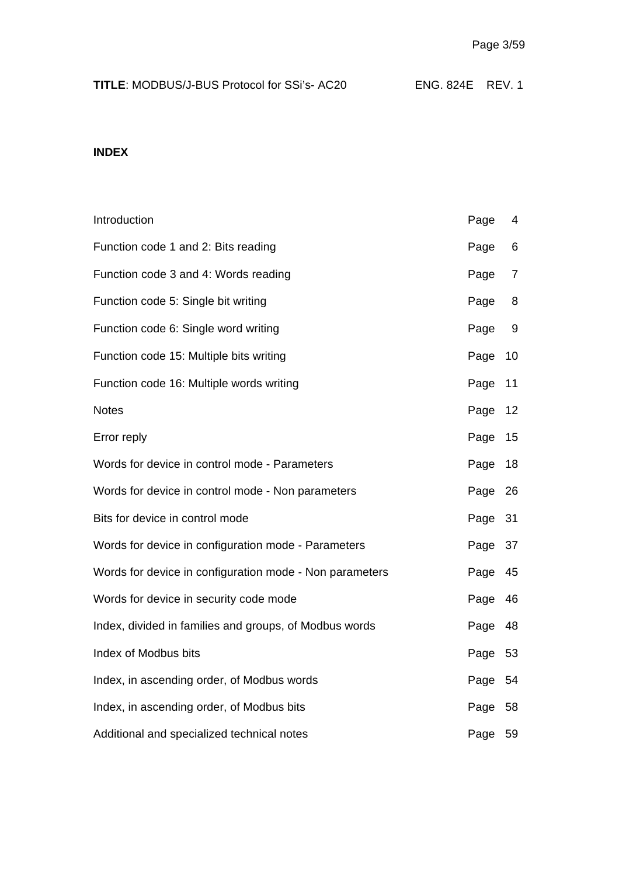| <b>TITLE: MODBUS/J-BUS Protocol for SSi's-AC20</b> | ENG. 824E REV. 1 |  |
|----------------------------------------------------|------------------|--|
|----------------------------------------------------|------------------|--|

## **INDEX**

| Introduction                                            | Page    | 4              |
|---------------------------------------------------------|---------|----------------|
| Function code 1 and 2: Bits reading                     | Page    | 6              |
| Function code 3 and 4: Words reading                    | Page    | $\overline{7}$ |
| Function code 5: Single bit writing                     | Page    | 8              |
| Function code 6: Single word writing                    | Page    | 9              |
| Function code 15: Multiple bits writing                 | Page    | 10             |
| Function code 16: Multiple words writing                | Page    | 11             |
| <b>Notes</b>                                            | Page    | 12             |
| Error reply                                             | Page    | 15             |
| Words for device in control mode - Parameters           | Page    | 18             |
| Words for device in control mode - Non parameters       | Page    | 26             |
| Bits for device in control mode                         | Page    | 31             |
| Words for device in configuration mode - Parameters     | Page    | 37             |
| Words for device in configuration mode - Non parameters | Page    | 45             |
| Words for device in security code mode                  | Page    | 46             |
| Index, divided in families and groups, of Modbus words  | Page    | 48             |
| Index of Modbus bits                                    | Page    | 53             |
| Index, in ascending order, of Modbus words              | Page    | 54             |
| Index, in ascending order, of Modbus bits               | Page    | 58             |
| Additional and specialized technical notes              | Page 59 |                |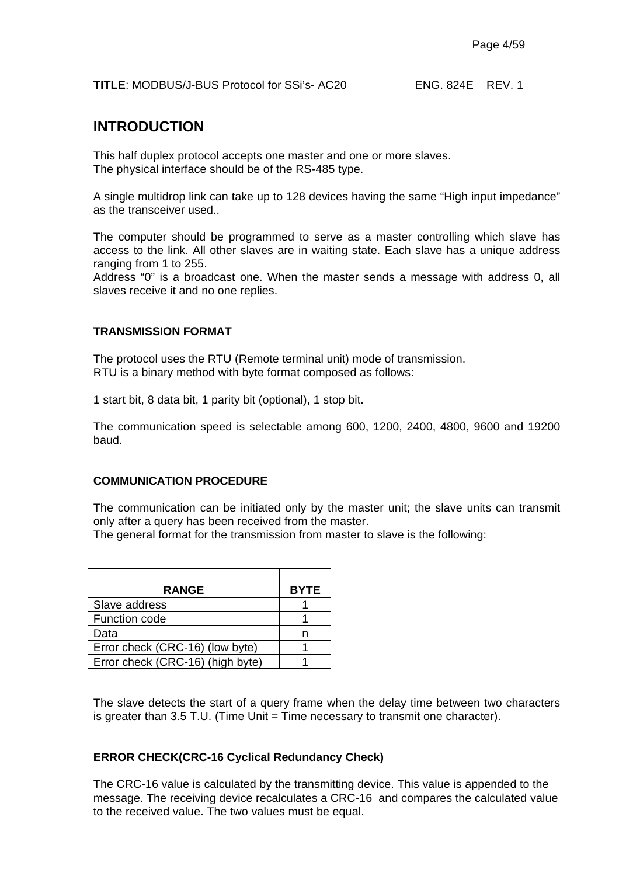## **INTRODUCTION**

This half duplex protocol accepts one master and one or more slaves. The physical interface should be of the RS-485 type.

A single multidrop link can take up to 128 devices having the same "High input impedance" as the transceiver used..

The computer should be programmed to serve as a master controlling which slave has access to the link. All other slaves are in waiting state. Each slave has a unique address ranging from 1 to 255.

Address "0" is a broadcast one. When the master sends a message with address 0, all slaves receive it and no one replies.

#### **TRANSMISSION FORMAT**

The protocol uses the RTU (Remote terminal unit) mode of transmission. RTU is a binary method with byte format composed as follows:

1 start bit, 8 data bit, 1 parity bit (optional), 1 stop bit.

The communication speed is selectable among 600, 1200, 2400, 4800, 9600 and 19200 baud.

#### **COMMUNICATION PROCEDURE**

The communication can be initiated only by the master unit; the slave units can transmit only after a query has been received from the master.

The general format for the transmission from master to slave is the following:

| <b>RANGE</b>                     | <b>BYTE</b> |
|----------------------------------|-------------|
| Slave address                    |             |
| Function code                    |             |
| Data                             |             |
| Error check (CRC-16) (low byte)  |             |
| Error check (CRC-16) (high byte) |             |

The slave detects the start of a query frame when the delay time between two characters is greater than 3.5 T.U. (Time Unit = Time necessary to transmit one character).

#### **ERROR CHECK(CRC-16 Cyclical Redundancy Check)**

The CRC-16 value is calculated by the transmitting device. This value is appended to the message. The receiving device recalculates a CRC-16 and compares the calculated value to the received value. The two values must be equal.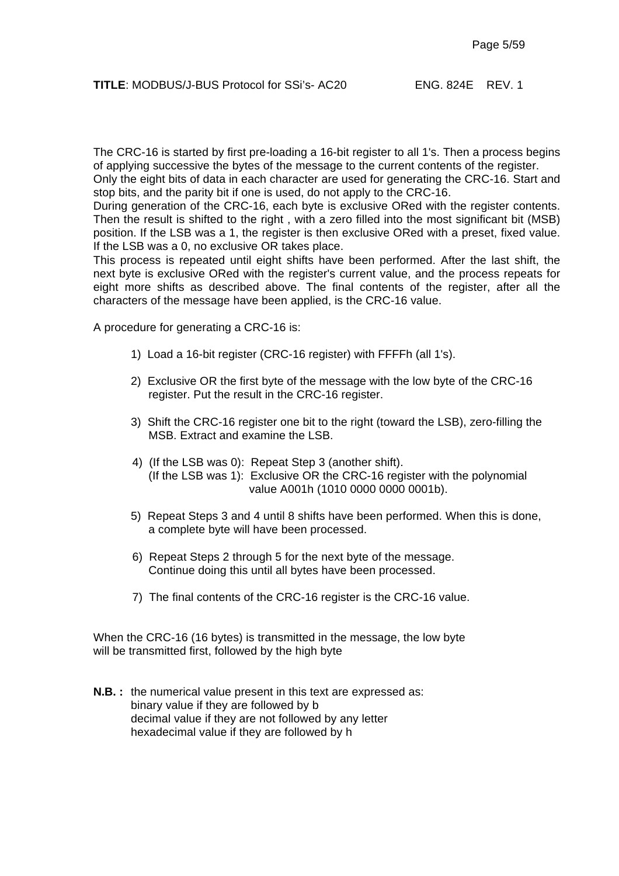The CRC-16 is started by first pre-loading a 16-bit register to all 1's. Then a process begins of applying successive the bytes of the message to the current contents of the register.

Only the eight bits of data in each character are used for generating the CRC-16. Start and stop bits, and the parity bit if one is used, do not apply to the CRC-16.

During generation of the CRC-16, each byte is exclusive ORed with the register contents. Then the result is shifted to the right , with a zero filled into the most significant bit (MSB) position. If the LSB was a 1, the register is then exclusive ORed with a preset, fixed value. If the LSB was a 0, no exclusive OR takes place.

This process is repeated until eight shifts have been performed. After the last shift, the next byte is exclusive ORed with the register's current value, and the process repeats for eight more shifts as described above. The final contents of the register, after all the characters of the message have been applied, is the CRC-16 value.

A procedure for generating a CRC-16 is:

- 1) Load a 16-bit register (CRC-16 register) with FFFFh (all 1's).
- 2) Exclusive OR the first byte of the message with the low byte of the CRC-16 register. Put the result in the CRC-16 register.
- 3) Shift the CRC-16 register one bit to the right (toward the LSB), zero-filling the MSB. Extract and examine the LSB.
- 4) (If the LSB was 0): Repeat Step 3 (another shift). (If the LSB was 1): Exclusive OR the CRC-16 register with the polynomial value A001h (1010 0000 0000 0001b).
- 5) Repeat Steps 3 and 4 until 8 shifts have been performed. When this is done, a complete byte will have been processed.
- 6) Repeat Steps 2 through 5 for the next byte of the message. Continue doing this until all bytes have been processed.
- 7) The final contents of the CRC-16 register is the CRC-16 value.

When the CRC-16 (16 bytes) is transmitted in the message, the low byte will be transmitted first, followed by the high byte

**N.B.** : the numerical value present in this text are expressed as: binary value if they are followed by b decimal value if they are not followed by any letter hexadecimal value if they are followed by h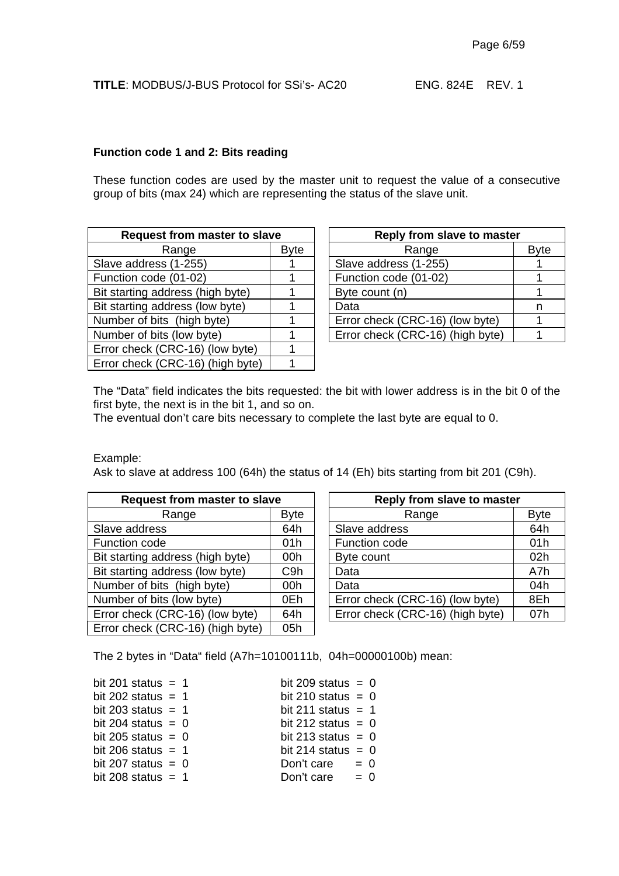#### **Function code 1 and 2: Bits reading**

These function codes are used by the master unit to request the value of a consecutive group of bits (max 24) which are representing the status of the slave unit.

| <b>Request from master to slave</b> |             | Reply from slave to master       |    |  |
|-------------------------------------|-------------|----------------------------------|----|--|
| Range                               | <b>Byte</b> | Range                            | By |  |
| Slave address (1-255)               |             | Slave address (1-255)            |    |  |
| Function code (01-02)               |             | Function code (01-02)            |    |  |
| Bit starting address (high byte)    |             | Byte count (n)                   |    |  |
| Bit starting address (low byte)     |             | Data                             | n  |  |
| Number of bits (high byte)          |             | Error check (CRC-16) (low byte)  |    |  |
| Number of bits (low byte)           |             | Error check (CRC-16) (high byte) |    |  |
| Error check (CRC-16) (low byte)     |             |                                  |    |  |
| Error check (CRC-16) (high byte)    |             |                                  |    |  |

| t from master to slave |  | Reply from slave to master       |             |  |
|------------------------|--|----------------------------------|-------------|--|
| Range<br><b>Byte</b>   |  | Range                            | <b>Byte</b> |  |
| s (1-255)              |  | Slave address (1-255)            |             |  |
| $= (01-02)$            |  | Function code (01-02)            |             |  |
| dress (high byte)      |  | Byte count (n)                   |             |  |
| dress (low byte)       |  | Data                             |             |  |
| s (high byte)          |  | Error check (CRC-16) (low byte)  |             |  |
| s (low byte)           |  | Error check (CRC-16) (high byte) |             |  |
|                        |  |                                  |             |  |

The "Data" field indicates the bits requested: the bit with lower address is in the bit 0 of the first byte, the next is in the bit 1, and so on.

The eventual don't care bits necessary to complete the last byte are equal to 0.

Example:

Ask to slave at address 100 (64h) the status of 14 (Eh) bits starting from bit 201 (C9h).

| <b>Request from master to slave</b> |                  |  | Reply from slave to master       |             |  |
|-------------------------------------|------------------|--|----------------------------------|-------------|--|
| Range                               | <b>Byte</b>      |  | Range                            | <b>Byte</b> |  |
| Slave address                       | 64h              |  | Slave address                    | 64h         |  |
| Function code                       | 01h              |  | Function code                    | 01h         |  |
| Bit starting address (high byte)    | 00h              |  | Byte count                       | 02h         |  |
| Bit starting address (low byte)     | C <sub>9</sub> h |  | Data                             | A7h         |  |
| Number of bits (high byte)          | 00h              |  | Data                             | 04h         |  |
| Number of bits (low byte)           | 0Eh              |  | Error check (CRC-16) (low byte)  | 8Eh         |  |
| Error check (CRC-16) (low byte)     | 64h              |  | Error check (CRC-16) (high byte) | 07h         |  |
| Error check (CRC-16) (high byte)    | 05h              |  |                                  |             |  |

| t from master to slave    |                  | Reply from slave to master       |             |  |
|---------------------------|------------------|----------------------------------|-------------|--|
| Range                     | <b>Byte</b>      | Range                            | <b>Byte</b> |  |
| 64h<br>s.                 |                  | Slave address                    | 64h         |  |
|                           | 01h              | Function code                    | 01h         |  |
| dress (high byte)         | 00h              | Byte count                       | 02h         |  |
| dress (low byte)          | C <sub>9</sub> h | Data                             | A7h         |  |
| s (high byte)             | 00h              | Data                             | 04h         |  |
| s (low byte)<br>0Eh       |                  | Error check (CRC-16) (low byte)  | 8Eh         |  |
| CRC-16) (low byte)<br>64h |                  | Error check (CRC-16) (high byte) | 07h         |  |

The 2 bytes in "Data" field (A7h=10100111b, 04h=00000100b) mean:

| bit 201 status $= 1$ | bit 209 status = $0$ |       |  |
|----------------------|----------------------|-------|--|
| bit 202 status $= 1$ | bit 210 status $= 0$ |       |  |
| bit 203 status $= 1$ | bit 211 status $= 1$ |       |  |
| bit 204 status $= 0$ | bit 212 status = $0$ |       |  |
| bit 205 status = $0$ | bit 213 status = $0$ |       |  |
| bit 206 status $= 1$ | bit 214 status = $0$ |       |  |
| bit 207 status $= 0$ | Don't care $= 0$     |       |  |
| bit 208 status $= 1$ | Don't care           | $= 0$ |  |
|                      |                      |       |  |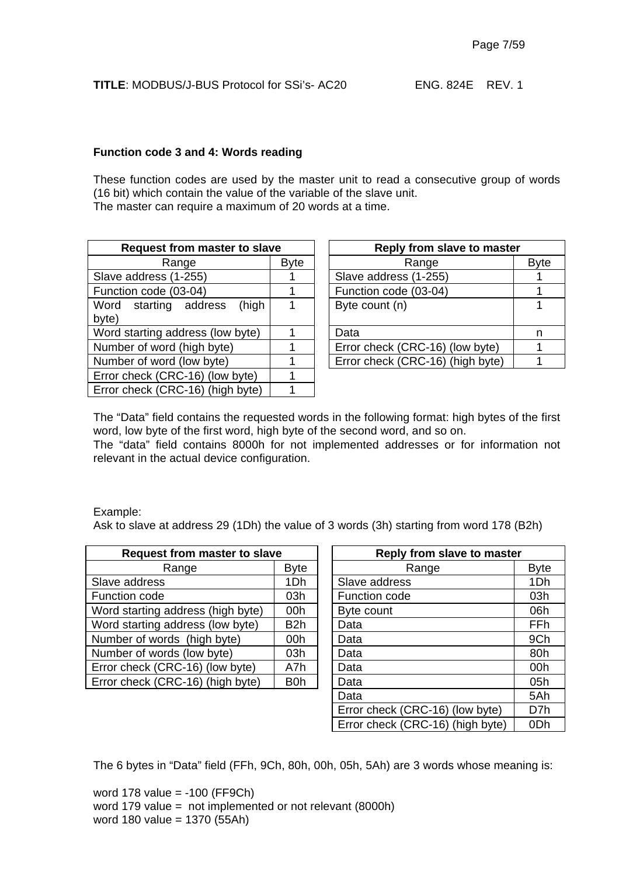#### **Function code 3 and 4: Words reading**

These function codes are used by the master unit to read a consecutive group of words (16 bit) which contain the value of the variable of the slave unit. The master can require a maximum of 20 words at a time.

| <b>Request from master to slave</b> |             | Reply from slave to master       |    |  |
|-------------------------------------|-------------|----------------------------------|----|--|
| Range                               | <b>Byte</b> | Range                            | By |  |
| Slave address (1-255)               |             | Slave address (1-255)            |    |  |
| Function code (03-04)               |             | Function code (03-04)            |    |  |
| (high<br>Word starting address      |             | Byte count (n)                   | 1  |  |
| byte)                               |             |                                  |    |  |
| Word starting address (low byte)    |             | Data                             | n  |  |
| Number of word (high byte)          |             | Error check (CRC-16) (low byte)  | 1  |  |
| Number of word (low byte)           |             | Error check (CRC-16) (high byte) | 1  |  |
| Error check (CRC-16) (low byte)     |             |                                  |    |  |
| Error check (CRC-16) (high byte)    |             |                                  |    |  |

| t from master to slave |             | Reply from slave to master       |             |  |  |
|------------------------|-------------|----------------------------------|-------------|--|--|
| Range                  | <b>Byte</b> | Range                            | <b>Byte</b> |  |  |
| s (1-255)              |             | Slave address (1-255)            |             |  |  |
| $e(03-04)$             |             | Function code (03-04)            |             |  |  |
| (high<br>ng address    |             | Byte count (n)                   |             |  |  |
| address (low byte)     |             | Data                             | n           |  |  |
| ord (high byte)        |             | Error check (CRC-16) (low byte)  |             |  |  |
| ord (low byte)         |             | Error check (CRC-16) (high byte) |             |  |  |
|                        |             |                                  |             |  |  |

The "Data" field contains the requested words in the following format: high bytes of the first word, low byte of the first word, high byte of the second word, and so on.

The "data" field contains 8000h for not implemented addresses or for information not relevant in the actual device configuration.

#### Example:

Ask to slave at address 29 (1Dh) the value of 3 words (3h) starting from word 178 (B2h)

| <b>Request from master to slave</b>      |             |  | <b>Reply from slave to master</b> |             |
|------------------------------------------|-------------|--|-----------------------------------|-------------|
| Range                                    | <b>Byte</b> |  | Range                             | <b>Byte</b> |
| Slave address                            | 1Dh         |  | Slave address                     | 1Dh         |
| Function code                            | 03h         |  | Function code                     | 03h         |
| Word starting address (high byte)<br>00h |             |  | Byte count                        | 06h         |
| Word starting address (low byte)         | B2h         |  | Data                              | FFh         |
| Number of words (high byte)              | 00h         |  | Data                              | 9Ch         |
| Number of words (low byte)               | 03h         |  | Data                              | 80h         |
| Error check (CRC-16) (low byte)          | A7h         |  | Data                              | 00h         |
| Error check (CRC-16) (high byte)<br>B0h  |             |  | Data                              | 05h         |
|                                          |             |  |                                   | _ _ _       |

| t from master to slave |                  | Reply from slave to master       |                 |  |  |
|------------------------|------------------|----------------------------------|-----------------|--|--|
| Range                  | Byte             | Range                            | <b>Byte</b>     |  |  |
|                        | 1Dh              | Slave address                    | 1Dh             |  |  |
|                        | 03h              | Function code                    | 03h             |  |  |
| address (high byte)    | 00h              | Byte count                       | 06h             |  |  |
| address (low byte)     | B <sub>2</sub> h | Data                             | FFh             |  |  |
| rds (high byte)        | 00h              | Data                             | 9Ch             |  |  |
| rds (low byte)         | 03h              | Data                             | 80h             |  |  |
| RC-16) (low byte)      | A7h              | Data                             | 00h             |  |  |
| RC-16) (high byte)     | B <sub>0</sub> h | Data                             | 05h             |  |  |
|                        |                  | Data                             | 5Ah             |  |  |
|                        |                  | Error check (CRC-16) (low byte)  | D7h             |  |  |
|                        |                  | Error check (CRC-16) (high byte) | 0 <sub>Dh</sub> |  |  |

The 6 bytes in "Data" field (FFh, 9Ch, 80h, 00h, 05h, 5Ah) are 3 words whose meaning is:

word 178 value = -100 (FF9Ch) word 179 value = not implemented or not relevant (8000h) word 180 value = 1370 (55Ah)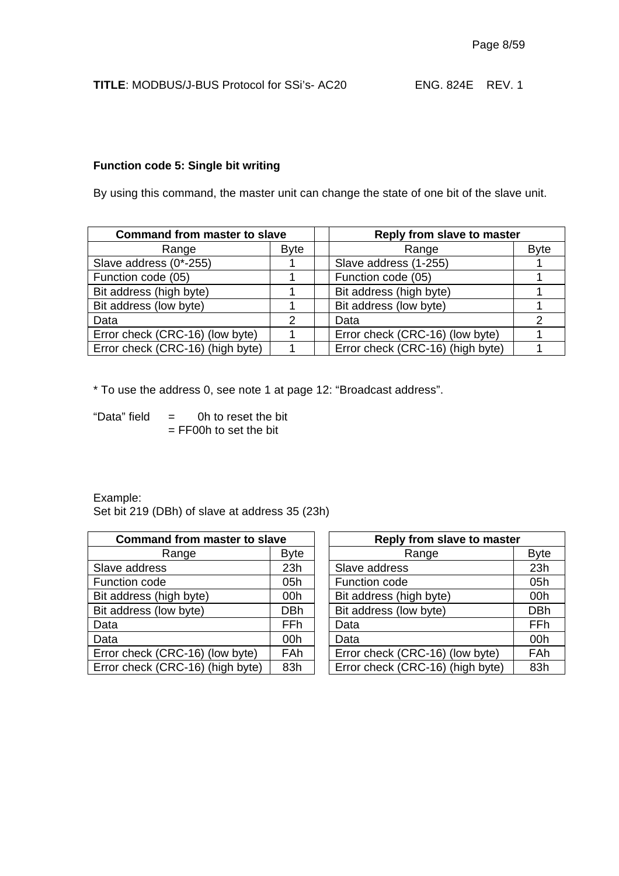#### **Function code 5: Single bit writing**

By using this command, the master unit can change the state of one bit of the slave unit.

| <b>Command from master to slave</b> |             | Reply from slave to master       |             |  |
|-------------------------------------|-------------|----------------------------------|-------------|--|
| Range                               | <b>Byte</b> | Range                            | <b>Byte</b> |  |
| Slave address (0*-255)              |             | Slave address (1-255)            |             |  |
| Function code (05)                  |             | Function code (05)               |             |  |
| Bit address (high byte)             |             | Bit address (high byte)          |             |  |
| Bit address (low byte)              |             | Bit address (low byte)           |             |  |
| Data                                | 2           | Data                             |             |  |
| Error check (CRC-16) (low byte)     |             | Error check (CRC-16) (low byte)  |             |  |
| Error check (CRC-16) (high byte)    |             | Error check (CRC-16) (high byte) |             |  |

\* To use the address 0, see note 1 at page 12: "Broadcast address".

"Data" field  $=$  0h to reset the bit  $=$  FF00h to set the bit

Example: Set bit 219 (DBh) of slave at address 35 (23h)

| <b>Command from master to slave</b> |                 |  | Reply from slave to master       |             |  |
|-------------------------------------|-----------------|--|----------------------------------|-------------|--|
| Range                               | <b>Byte</b>     |  | Range                            | <b>Byte</b> |  |
| Slave address                       | 23h             |  | Slave address                    | 23h         |  |
| Function code                       | 05h             |  | Function code                    | 05h         |  |
| Bit address (high byte)             | 00h             |  | Bit address (high byte)          | 00h         |  |
| Bit address (low byte)              | <b>DBh</b>      |  | Bit address (low byte)           | <b>DBh</b>  |  |
| Data                                | FF <sub>h</sub> |  | Data                             | FFh         |  |
| Data                                | 00h             |  | Data                             | 00h         |  |
| Error check (CRC-16) (low byte)     | <b>FAh</b>      |  | Error check (CRC-16) (low byte)  | FAh         |  |
| Error check (CRC-16) (high byte)    | 83h             |  | Error check (CRC-16) (high byte) | 83h         |  |

| d from master to slave |             |  | Reply from slave to master       |             |  |  |  |
|------------------------|-------------|--|----------------------------------|-------------|--|--|--|
| Range                  | <b>Byte</b> |  | Range                            | <b>Byte</b> |  |  |  |
| s.                     | 23h         |  | Slave address                    | 23h         |  |  |  |
| ∍                      | 05h         |  | Function code                    | 05h         |  |  |  |
| igh byte)              | 00h         |  | Bit address (high byte)          | 00h         |  |  |  |
| ow byte)               | <b>DBh</b>  |  | Bit address (low byte)           | <b>DBh</b>  |  |  |  |
|                        | FFh         |  | Data                             | FFh         |  |  |  |
|                        | 00h         |  | Data                             | 00h         |  |  |  |
| CRC-16) (low byte)     | FAh         |  | Error check (CRC-16) (low byte)  | FAh         |  |  |  |
| CRC-16) (high byte)    | 83h         |  | Error check (CRC-16) (high byte) | 83h         |  |  |  |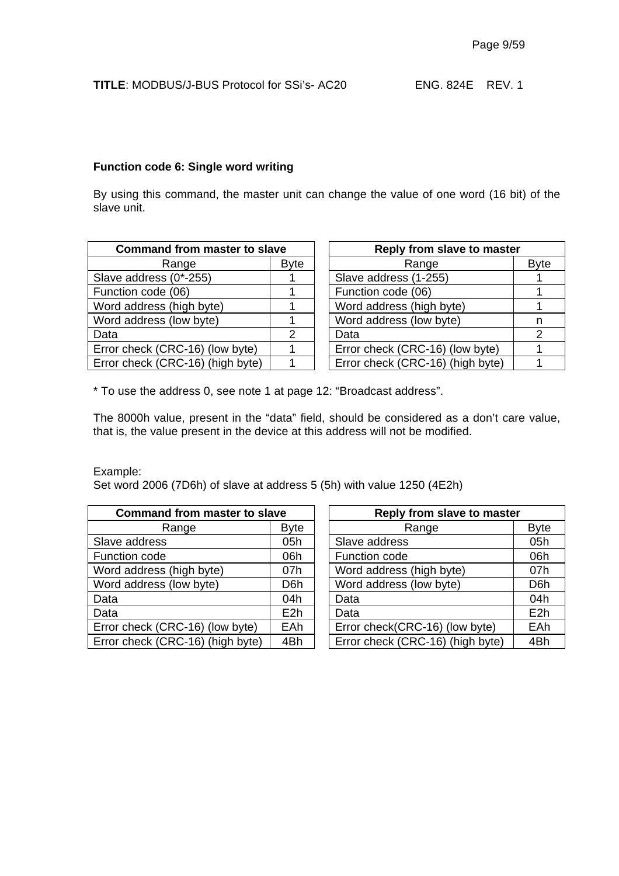#### **Function code 6: Single word writing**

By using this command, the master unit can change the value of one word (16 bit) of the slave unit.

| <b>Command from master to slave</b> | Reply from slave to master       |    |  |
|-------------------------------------|----------------------------------|----|--|
| <b>Byte</b>                         | Range                            | By |  |
|                                     | Slave address (1-255)            |    |  |
|                                     | Function code (06)               |    |  |
|                                     | Word address (high byte)         |    |  |
|                                     | Word address (low byte)          | n  |  |
| 2                                   | Data                             | 2  |  |
|                                     | Error check (CRC-16) (low byte)  | 1  |  |
|                                     | Error check (CRC-16) (high byte) |    |  |
|                                     |                                  |    |  |

| d from master to slave | Reply from slave to master       |             |  |  |
|------------------------|----------------------------------|-------------|--|--|
| <b>Byte</b>            | Range                            | <b>Byte</b> |  |  |
|                        | Slave address (1-255)            |             |  |  |
|                        | Function code (06)               |             |  |  |
|                        | Word address (high byte)         |             |  |  |
|                        | Word address (low byte)          | n           |  |  |
| 2                      | Data                             | 2           |  |  |
|                        | Error check (CRC-16) (low byte)  |             |  |  |
|                        | Error check (CRC-16) (high byte) |             |  |  |
|                        |                                  |             |  |  |

\* To use the address 0, see note 1 at page 12: "Broadcast address".

The 8000h value, present in the "data" field, should be considered as a don't care value, that is, the value present in the device at this address will not be modified.

Example:

Set word 2006 (7D6h) of slave at address 5 (5h) with value 1250 (4E2h)

| <b>Command from master to slave</b> |                  | Reply from slave to master       |                  |  |
|-------------------------------------|------------------|----------------------------------|------------------|--|
| Range                               | <b>Byte</b>      | Range                            | <b>Byte</b>      |  |
| Slave address                       | 05h              | Slave address                    | 05h              |  |
| Function code                       | 06h              | Function code                    | 06h              |  |
| Word address (high byte)            | 07h              | Word address (high byte)         | 07h              |  |
| Word address (low byte)             | D <sub>6</sub> h | Word address (low byte)          | D <sub>6</sub> h |  |
| Data                                | 04h              | Data                             | 04h              |  |
| Data                                | E2h              | Data                             | E <sub>2</sub> h |  |
| Error check (CRC-16) (low byte)     | <b>EAh</b>       | Error check(CRC-16) (low byte)   | EAh              |  |
| Error check (CRC-16) (high byte)    | 4Bh              | Error check (CRC-16) (high byte) | 4Bh              |  |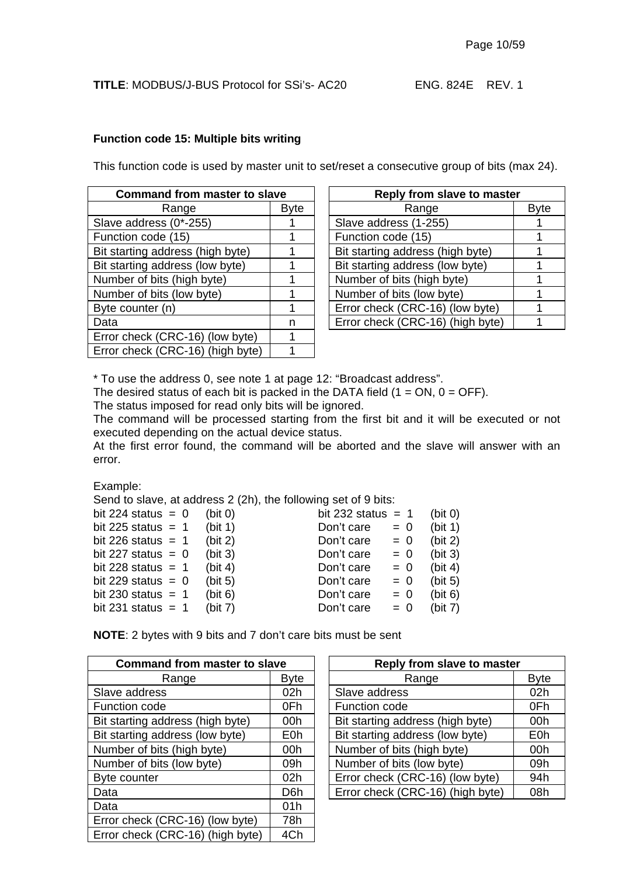#### **Function code 15: Multiple bits writing**

This function code is used by master unit to set/reset a consecutive group of bits (max 24).

| <b>Command from master to slave</b> |             | Reply from slave to master       |    |  |
|-------------------------------------|-------------|----------------------------------|----|--|
| Range                               | <b>Byte</b> | Range                            | By |  |
| Slave address (0*-255)              |             | Slave address (1-255)            |    |  |
| Function code (15)                  |             | Function code (15)               |    |  |
| Bit starting address (high byte)    |             | Bit starting address (high byte) |    |  |
| Bit starting address (low byte)     |             | Bit starting address (low byte)  |    |  |
| Number of bits (high byte)          |             | Number of bits (high byte)       |    |  |
| Number of bits (low byte)           |             | Number of bits (low byte)        |    |  |
| Byte counter (n)                    |             | Error check (CRC-16) (low byte)  |    |  |
| Data                                | n           | Error check (CRC-16) (high byte) |    |  |
| Error check (CRC-16) (low byte)     |             |                                  |    |  |
| Error check (CRC-16) (high byte)    |             |                                  |    |  |

| d from master to slave |             | Reply from slave to master       |             |  |  |
|------------------------|-------------|----------------------------------|-------------|--|--|
| Range                  | <b>Byte</b> | Range                            | <b>Byte</b> |  |  |
| s (0*-255)             |             | Slave address (1-255)            |             |  |  |
| e (15)                 |             | Function code (15)               |             |  |  |
| dress (high byte)      |             | Bit starting address (high byte) |             |  |  |
| dress (low byte)       |             | Bit starting address (low byte)  |             |  |  |
| s (high byte)          |             | Number of bits (high byte)       |             |  |  |
| s (low byte)           |             | Number of bits (low byte)        |             |  |  |
| (n)                    |             | Error check (CRC-16) (low byte)  |             |  |  |
|                        | n           | Error check (CRC-16) (high byte) |             |  |  |
|                        |             |                                  |             |  |  |

\* To use the address 0, see note 1 at page 12: "Broadcast address".

The desired status of each bit is packed in the DATA field  $(1 = ON, 0 = OFF)$ .

The status imposed for read only bits will be ignored.

The command will be processed starting from the first bit and it will be executed or not executed depending on the actual device status.

At the first error found, the command will be aborted and the slave will answer with an error.

Example:

Send to slave, at address 2 (2h), the following set of 9 bits:

| bit 224 status = $0$ | (bit 0)    | bit 232 status = $1$ |       | (bit 0) |
|----------------------|------------|----------------------|-------|---------|
| bit 225 status $= 1$ | (bit 1)    | Don't care           | $= 0$ | (bit 1) |
| bit 226 status = $1$ | (bit 2)    | Don't care           | $= 0$ | (bit 2) |
| bit 227 status = $0$ | (bit 3)    | Don't care           | $= 0$ | (bit 3) |
| bit 228 status = $1$ | (bit 4)    | Don't care           | $= 0$ | (bit 4) |
| bit 229 status = $0$ | (bit 5)    | Don't care           | $= 0$ | (bit 5) |
| bit 230 status $= 1$ | (bit 6)    | Don't care           | $= 0$ | (bit 6) |
| bit 231 status = $1$ | (bit $7$ ) | Don't care           | $= 0$ | (bit 7) |
|                      |            |                      |       |         |

**NOTE**: 2 bytes with 9 bits and 7 don't care bits must be sent

| <b>Command from master to slave</b> |                  | <b>Reply from slave to master</b> |  |
|-------------------------------------|------------------|-----------------------------------|--|
| Range                               | <b>Byte</b>      | Range                             |  |
| Slave address                       | 02 <sub>h</sub>  | Slave address                     |  |
| Function code                       | 0Fh              | Function code                     |  |
| Bit starting address (high byte)    | 00h              | Bit starting address (high byte)  |  |
| Bit starting address (low byte)     | E0h              | Bit starting address (low byte)   |  |
| Number of bits (high byte)          | 00h              | Number of bits (high byte)        |  |
| Number of bits (low byte)           | 09h              | Number of bits (low byte)         |  |
| Byte counter                        | 02 <sub>h</sub>  | Error check (CRC-16) (low byte)   |  |
| Data                                | D <sub>6</sub> h | Error check (CRC-16) (high byte)  |  |
| Data                                | 01h              |                                   |  |
| Error check (CRC-16) (low byte)     | 78h              |                                   |  |
| Error check (CRC-16) (high byte)    | 4Ch              |                                   |  |

| <b>Command from master to slave</b> |                  | Reply from slave to master       |                  |  |  |
|-------------------------------------|------------------|----------------------------------|------------------|--|--|
| Range                               | <b>Byte</b>      | Range                            | <b>Byte</b>      |  |  |
| Slave address                       | 02h              | Slave address                    | 02h              |  |  |
| Function code                       | 0Fh              | Function code                    | 0Fh              |  |  |
| Bit starting address (high byte)    | 00h              | Bit starting address (high byte) | 00h              |  |  |
| Bit starting address (low byte)     | E0h              | Bit starting address (low byte)  | E <sub>0</sub> h |  |  |
| Number of bits (high byte)          | 00h              | Number of bits (high byte)       | 00h              |  |  |
| Number of bits (low byte)           | 09h              | Number of bits (low byte)        | 09h              |  |  |
| <b>Byte counter</b>                 | 02h              | Error check (CRC-16) (low byte)  | 94h              |  |  |
| Data                                | D <sub>6</sub> h | Error check (CRC-16) (high byte) | 08h              |  |  |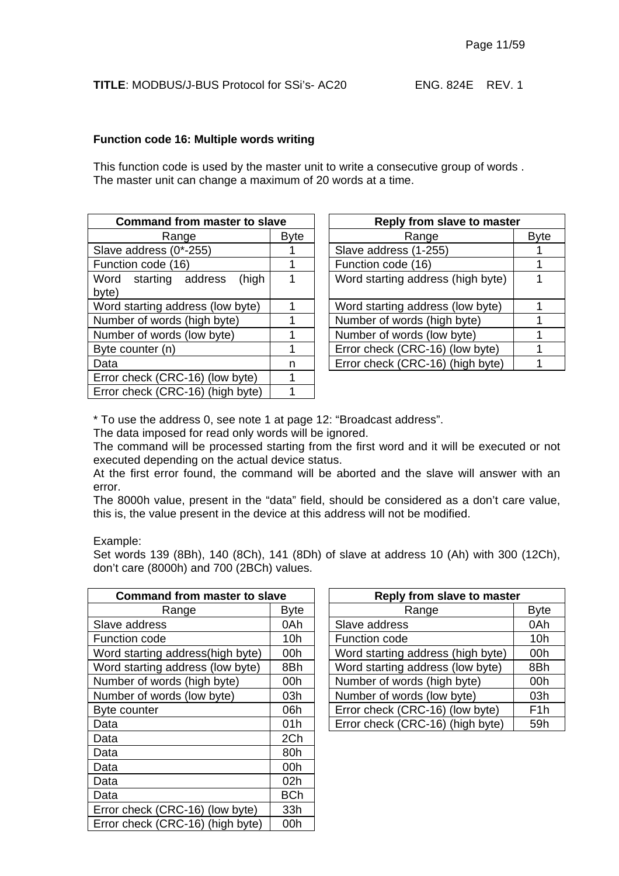#### **Function code 16: Multiple words writing**

This function code is used by the master unit to write a consecutive group of words . The master unit can change a maximum of 20 words at a time.

| <b>Command from master to slave</b>     |             | Reply from slave to master        |    |
|-----------------------------------------|-------------|-----------------------------------|----|
| Range                                   | <b>Byte</b> | Range                             | By |
| Slave address (0*-255)                  |             | Slave address (1-255)             |    |
| Function code (16)                      |             | Function code (16)                | 1  |
| (high<br>Word starting address<br>byte) |             | Word starting address (high byte) | 1  |
| Word starting address (low byte)        |             | Word starting address (low byte)  | 1  |
| Number of words (high byte)             |             | Number of words (high byte)       |    |
| Number of words (low byte)              |             | Number of words (low byte)        |    |
| Byte counter (n)                        |             | Error check (CRC-16) (low byte)   |    |
| Data                                    | n           | Error check (CRC-16) (high byte)  |    |
| Error check (CRC-16) (low byte)         | 1           |                                   |    |
| Error check (CRC-16) (high byte)        |             |                                   |    |

| d from master to slave |             | Reply from slave to master        |             |  |
|------------------------|-------------|-----------------------------------|-------------|--|
| Range                  | <b>Byte</b> | Range                             | <b>Byte</b> |  |
| s (0*-255)             |             | Slave address (1-255)             |             |  |
| e (16)                 |             | Function code (16)                |             |  |
| (high<br>ng address    |             | Word starting address (high byte) |             |  |
| address (low byte)     |             | Word starting address (low byte)  |             |  |
| ords (high byte)       |             | Number of words (high byte)       |             |  |
| ords (low byte)        |             | Number of words (low byte)        |             |  |
| (n)                    |             | Error check (CRC-16) (low byte)   |             |  |
|                        |             | Error check (CRC-16) (high byte)  |             |  |

\* To use the address 0, see note 1 at page 12: "Broadcast address".

The data imposed for read only words will be ignored.

The command will be processed starting from the first word and it will be executed or not executed depending on the actual device status.

At the first error found, the command will be aborted and the slave will answer with an error.

The 8000h value, present in the "data" field, should be considered as a don't care value, this is, the value present in the device at this address will not be modified.

Example:

Set words 139 (8Bh), 140 (8Ch), 141 (8Dh) of slave at address 10 (Ah) with 300 (12Ch), don't care (8000h) and 700 (2BCh) values.

| <b>Command from master to slave</b> |             | <b>Reply from slave to master</b> |                  |  |  |
|-------------------------------------|-------------|-----------------------------------|------------------|--|--|
| Range                               | <b>Byte</b> | Range                             | <b>Byte</b>      |  |  |
| Slave address                       | 0Ah         | Slave address                     | 0Ah              |  |  |
| Function code                       | 10h         | Function code                     | 10 <sub>h</sub>  |  |  |
| Word starting address (high byte)   | 00h         | Word starting address (high byte) | 00h              |  |  |
| Word starting address (low byte)    | 8Bh         | Word starting address (low byte)  | 8Bh              |  |  |
| Number of words (high byte)         | 00h         | Number of words (high byte)       | 00h              |  |  |
| Number of words (low byte)          | 03h         | Number of words (low byte)        | 03h              |  |  |
| Byte counter                        | 06h         | Error check (CRC-16) (low byte)   | F <sub>1</sub> h |  |  |
| Data                                | 01h         | Error check (CRC-16) (high byte)  | 59h              |  |  |
| Data                                | 2Ch         |                                   |                  |  |  |
| Data                                | 80h         |                                   |                  |  |  |
| Data                                | 00h         |                                   |                  |  |  |
| Data                                | 02h         |                                   |                  |  |  |
| Data                                | <b>BCh</b>  |                                   |                  |  |  |
| Error check (CRC-16) (low byte)     | 33h         |                                   |                  |  |  |
| Error check (CRC-16) (high byte)    | 00h         |                                   |                  |  |  |

| d from master to slave |             |  | Reply from slave to master        |                  |  |
|------------------------|-------------|--|-----------------------------------|------------------|--|
| Range                  | <b>Byte</b> |  | Range                             | <b>Byte</b>      |  |
| s.                     | 0Ah         |  | Slave address                     | 0Ah              |  |
| Э                      | 10h         |  | Function code                     | 10h              |  |
| address(high byte)     | 00h         |  | Word starting address (high byte) | 00h              |  |
| address (low byte)     | 8Bh         |  | Word starting address (low byte)  | 8Bh              |  |
| ords (high byte)       | 00h         |  | Number of words (high byte)       | 00h              |  |
| ords (low byte)        | 03h         |  | Number of words (low byte)        | 03h              |  |
|                        | 06h         |  | Error check (CRC-16) (low byte)   | F <sub>1</sub> h |  |
|                        | 01h         |  | Error check (CRC-16) (high byte)  | 59h              |  |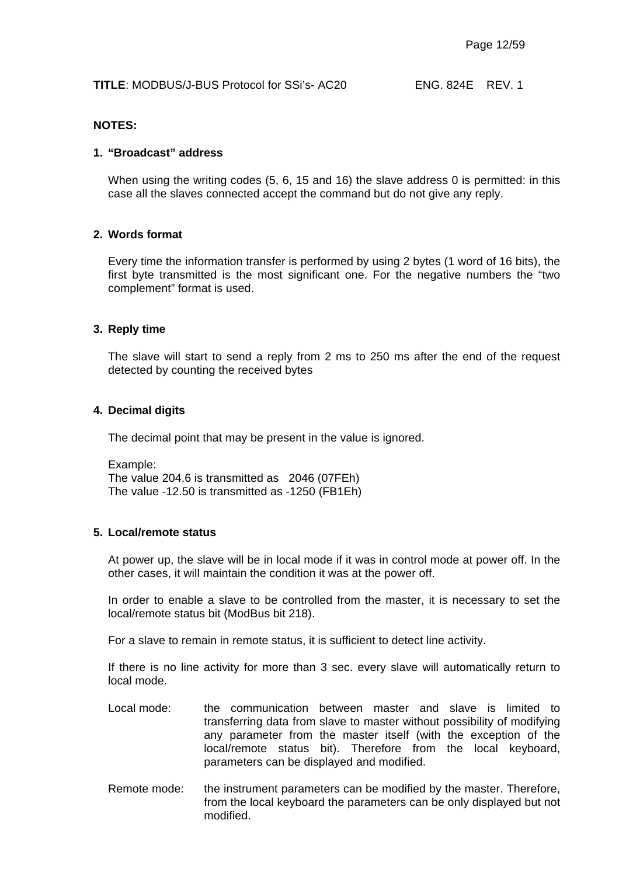#### **NOTES:**

#### **1. "Broadcast" address**

When using the writing codes (5, 6, 15 and 16) the slave address 0 is permitted: in this case all the slaves connected accept the command but do not give any reply.

#### **2. Words format**

Every time the information transfer is performed by using 2 bytes (1 word of 16 bits), the first byte transmitted is the most significant one. For the negative numbers the "two complement" format is used.

#### **3. Reply time**

The slave will start to send a reply from 2 ms to 250 ms after the end of the request detected by counting the received bytes

#### **4. Decimal digits**

The decimal point that may be present in the value is ignored.

Example: The value 204.6 is transmitted as 2046 (07FEh) The value -12.50 is transmitted as -1250 (FB1Eh)

#### **5. Local/remote status**

At power up, the slave will be in local mode if it was in control mode at power off. In the other cases, it will maintain the condition it was at the power off.

In order to enable a slave to be controlled from the master, it is necessary to set the local/remote status bit (ModBus bit 218).

For a slave to remain in remote status, it is sufficient to detect line activity.

If there is no line activity for more than 3 sec. every slave will automatically return to local mode.

- Local mode: the communication between master and slave is limited to transferring data from slave to master without possibility of modifying any parameter from the master itself (with the exception of the local/remote status bit). Therefore from the local keyboard, parameters can be displayed and modified.
- Remote mode: the instrument parameters can be modified by the master. Therefore, from the local keyboard the parameters can be only displayed but not modified.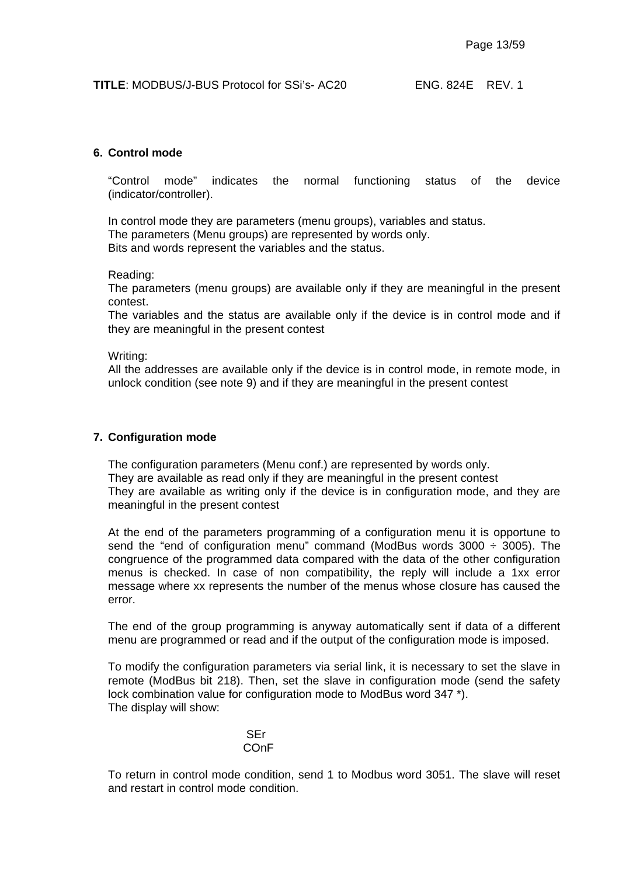#### **6. Control mode**

"Control mode" indicates the normal functioning status of the device (indicator/controller).

In control mode they are parameters (menu groups), variables and status. The parameters (Menu groups) are represented by words only. Bits and words represent the variables and the status.

Reading:

The parameters (menu groups) are available only if they are meaningful in the present contest.

The variables and the status are available only if the device is in control mode and if they are meaningful in the present contest

Writing:

All the addresses are available only if the device is in control mode, in remote mode, in unlock condition (see note 9) and if they are meaningful in the present contest

#### **7. Configuration mode**

The configuration parameters (Menu conf.) are represented by words only. They are available as read only if they are meaningful in the present contest They are available as writing only if the device is in configuration mode, and they are meaningful in the present contest

At the end of the parameters programming of a configuration menu it is opportune to send the "end of configuration menu" command (ModBus words  $3000 \div 3005$ ). The congruence of the programmed data compared with the data of the other configuration menus is checked. In case of non compatibility, the reply will include a 1xx error message where xx represents the number of the menus whose closure has caused the error.

The end of the group programming is anyway automatically sent if data of a different menu are programmed or read and if the output of the configuration mode is imposed.

To modify the configuration parameters via serial link, it is necessary to set the slave in remote (ModBus bit 218). Then, set the slave in configuration mode (send the safety lock combination value for configuration mode to ModBus word 347<sup>\*</sup>). The display will show:

#### SEr COnF

To return in control mode condition, send 1 to Modbus word 3051. The slave will reset and restart in control mode condition.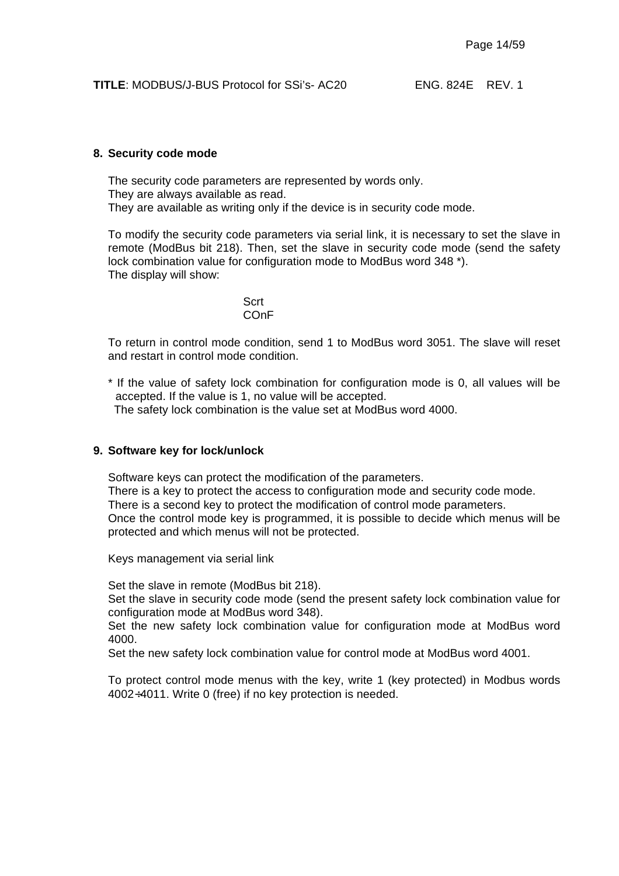#### **8. Security code mode**

The security code parameters are represented by words only. They are always available as read. They are available as writing only if the device is in security code mode.

To modify the security code parameters via serial link, it is necessary to set the slave in remote (ModBus bit 218). Then, set the slave in security code mode (send the safety lock combination value for configuration mode to ModBus word 348 \*). The display will show:

> **Scrt** COnF

To return in control mode condition, send 1 to ModBus word 3051. The slave will reset and restart in control mode condition.

\* If the value of safety lock combination for configuration mode is 0, all values will be accepted. If the value is 1, no value will be accepted.

The safety lock combination is the value set at ModBus word 4000.

#### **9. Software key for lock/unlock**

Software keys can protect the modification of the parameters.

There is a key to protect the access to configuration mode and security code mode. There is a second key to protect the modification of control mode parameters. Once the control mode key is programmed, it is possible to decide which menus will be protected and which menus will not be protected.

Keys management via serial link

Set the slave in remote (ModBus bit 218).

Set the slave in security code mode (send the present safety lock combination value for configuration mode at ModBus word 348).

Set the new safety lock combination value for configuration mode at ModBus word 4000.

Set the new safety lock combination value for control mode at ModBus word 4001.

To protect control mode menus with the key, write 1 (key protected) in Modbus words 4002÷4011. Write 0 (free) if no key protection is needed.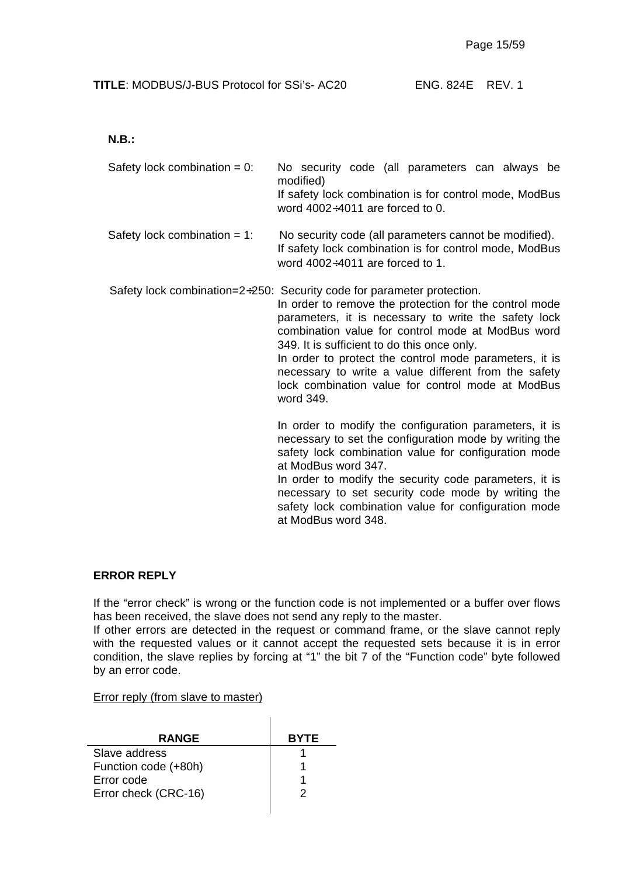**N.B.:**

Safety lock combination =  $0$ : No security code (all parameters can always be modified) If safety lock combination is for control mode, ModBus word  $4002 \div 4011$  are forced to 0.

Safety lock combination  $= 1$ : No security code (all parameters cannot be modified). If safety lock combination is for control mode, ModBus word 4002÷4011 are forced to 1.

Safety lock combination=2÷250: Security code for parameter protection.

In order to remove the protection for the control mode parameters, it is necessary to write the safety lock combination value for control mode at ModBus word 349. It is sufficient to do this once only.

In order to protect the control mode parameters, it is necessary to write a value different from the safety lock combination value for control mode at ModBus word 349.

In order to modify the configuration parameters, it is necessary to set the configuration mode by writing the safety lock combination value for configuration mode at ModBus word 347.

In order to modify the security code parameters, it is necessary to set security code mode by writing the safety lock combination value for configuration mode at ModBus word 348.

#### **ERROR REPLY**

If the "error check" is wrong or the function code is not implemented or a buffer over flows has been received, the slave does not send any reply to the master.

If other errors are detected in the request or command frame, or the slave cannot reply with the requested values or it cannot accept the requested sets because it is in error condition, the slave replies by forcing at "1" the bit 7 of the "Function code" byte followed by an error code.

#### Error reply (from slave to master)

| <b>RANGE</b>         | <b>BYTE</b> |
|----------------------|-------------|
| Slave address        |             |
| Function code (+80h) |             |
| Error code           |             |
| Error check (CRC-16) |             |
|                      |             |

 $\mathbf{I}$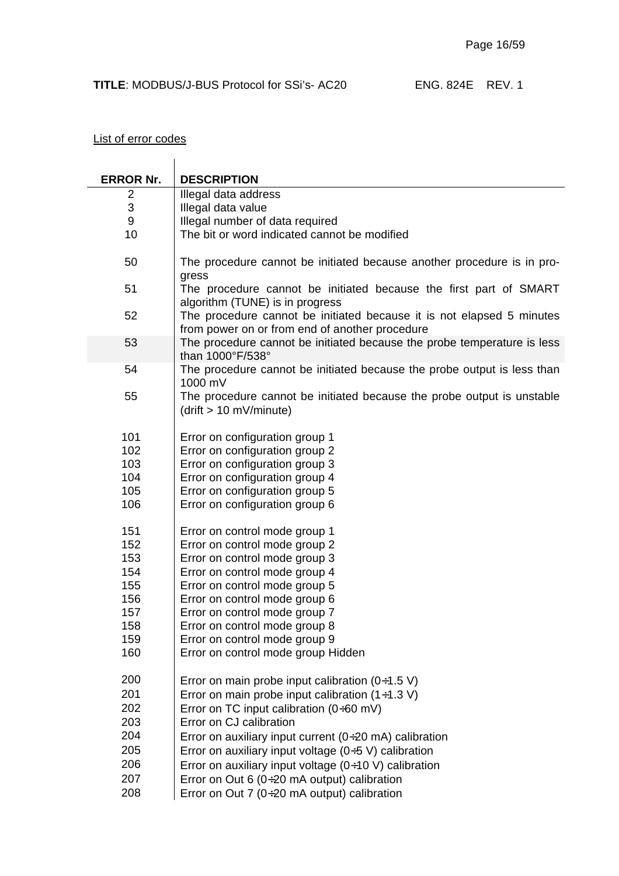## List of error codes

| <b>ERROR Nr.</b> | <b>DESCRIPTION</b>                                                                                   |
|------------------|------------------------------------------------------------------------------------------------------|
| 2                | Illegal data address                                                                                 |
| 3                | Illegal data value                                                                                   |
| 9                | Illegal number of data required                                                                      |
| 10               | The bit or word indicated cannot be modified                                                         |
|                  |                                                                                                      |
| 50               | The procedure cannot be initiated because another procedure is in pro-                               |
|                  | gress                                                                                                |
| 51               | The procedure cannot be initiated because the first part of SMART<br>algorithm (TUNE) is in progress |
| 52               | The procedure cannot be initiated because it is not elapsed 5 minutes                                |
|                  | from power on or from end of another procedure                                                       |
| 53               | The procedure cannot be initiated because the probe temperature is less                              |
|                  | than 1000°F/538°                                                                                     |
| 54               | The procedure cannot be initiated because the probe output is less than                              |
|                  | 1000 mV                                                                                              |
| 55               | The procedure cannot be initiated because the probe output is unstable                               |
|                  | (drift > 10 mV/minute)                                                                               |
|                  |                                                                                                      |
| 101              | Error on configuration group 1                                                                       |
| 102              | Error on configuration group 2                                                                       |
| 103              | Error on configuration group 3                                                                       |
| 104              | Error on configuration group 4                                                                       |
| 105              | Error on configuration group 5                                                                       |
| 106              | Error on configuration group 6                                                                       |
|                  |                                                                                                      |
| 151              | Error on control mode group 1                                                                        |
| 152              | Error on control mode group 2                                                                        |
| 153              | Error on control mode group 3                                                                        |
| 154              | Error on control mode group 4                                                                        |
| 155              | Error on control mode group 5                                                                        |
| 156              | Error on control mode group 6                                                                        |
| 157              | Error on control mode group 7                                                                        |
| 158              | Error on control mode group 8                                                                        |
| 159              | Error on control mode group 9                                                                        |
| 160              | Error on control mode group Hidden                                                                   |
| 200              | Error on main probe input calibration $(0+1.5 V)$                                                    |
| 201              | Error on main probe input calibration $(1+1.3 V)$                                                    |
| 202              | Error on TC input calibration $(0+60 \text{ mV})$                                                    |
| 203              | Error on CJ calibration                                                                              |
| 204              | Error on auxiliary input current ( $0+20$ mA) calibration                                            |
| 205              | Error on auxiliary input voltage $(0+5 V)$ calibration                                               |
| 206              |                                                                                                      |
|                  | Error on auxiliary input voltage $(0+10 \text{ V})$ calibration                                      |
| 207              | Error on Out 6 ( $0\div 20$ mA output) calibration                                                   |
| 208              | Error on Out 7 ( $0\div 20$ mA output) calibration                                                   |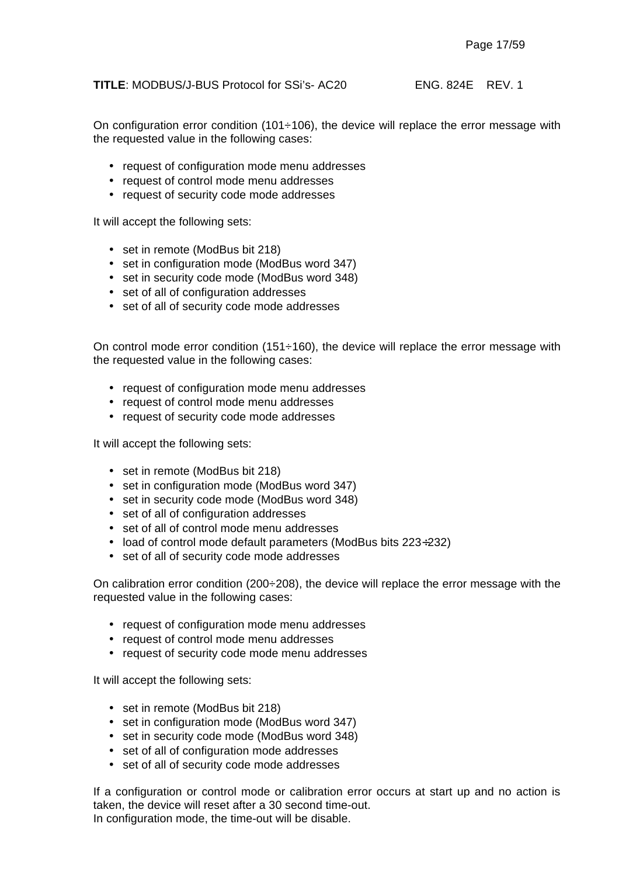On configuration error condition (101 $\div$ 106), the device will replace the error message with the requested value in the following cases:

- request of configuration mode menu addresses
- request of control mode menu addresses
- request of security code mode addresses

It will accept the following sets:

- set in remote (ModBus bit 218)
- set in configuration mode (ModBus word 347)
- set in security code mode (ModBus word 348)
- set of all of configuration addresses
- set of all of security code mode addresses

On control mode error condition  $(151\div 160)$ , the device will replace the error message with the requested value in the following cases:

- request of configuration mode menu addresses
- request of control mode menu addresses
- request of security code mode addresses

It will accept the following sets:

- set in remote (ModBus bit 218)
- set in configuration mode (ModBus word 347)
- set in security code mode (ModBus word 348)
- set of all of configuration addresses
- set of all of control mode menu addresses
- load of control mode default parameters (ModBus bits 223÷232)
- set of all of security code mode addresses

On calibration error condition (200÷208), the device will replace the error message with the requested value in the following cases:

- request of configuration mode menu addresses
- request of control mode menu addresses
- request of security code mode menu addresses

It will accept the following sets:

- set in remote (ModBus bit 218)
- set in configuration mode (ModBus word 347)
- set in security code mode (ModBus word 348)
- set of all of configuration mode addresses
- set of all of security code mode addresses

If a configuration or control mode or calibration error occurs at start up and no action is taken, the device will reset after a 30 second time-out. In configuration mode, the time-out will be disable.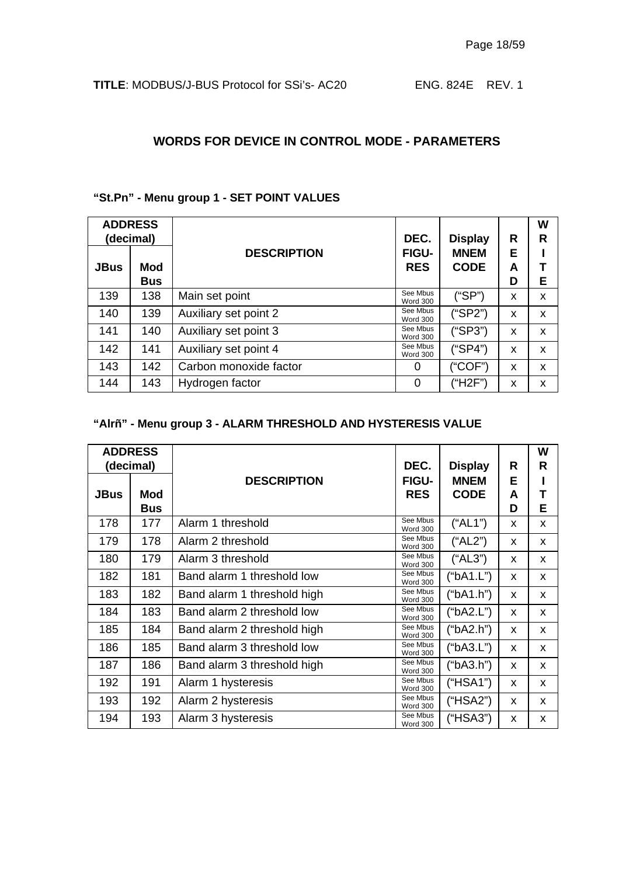#### **WORDS FOR DEVICE IN CONTROL MODE - PARAMETERS**

#### **"St.Pn" - Menu group 1 - SET POINT VALUES**

| <b>ADDRESS</b><br>(decimal) |            |                        | DEC.                        | <b>Display</b>             | R      | W<br>R |
|-----------------------------|------------|------------------------|-----------------------------|----------------------------|--------|--------|
| <b>JBus</b>                 | Mod        | <b>DESCRIPTION</b>     | FIGU-<br><b>RES</b>         | <b>MNEM</b><br><b>CODE</b> | Е<br>A |        |
|                             | <b>Bus</b> |                        |                             |                            | D      | E      |
| 139                         | 138        | Main set point         | See Mbus<br>Word 300        | ("SP")                     | x      | x      |
| 140                         | 139        | Auxiliary set point 2  | See Mbus<br><b>Word 300</b> | ("SP2")                    | X      | x      |
| 141                         | 140        | Auxiliary set point 3  | See Mbus<br><b>Word 300</b> | ("SP3")                    | X      | x      |
| 142                         | 141        | Auxiliary set point 4  | See Mbus<br><b>Word 300</b> | ("SP4")                    | X      | x      |
| 143                         | 142        | Carbon monoxide factor | 0                           | ("COF")                    | X      | x      |
| 144                         | 143        | Hydrogen factor        | 0                           | ("H2F")                    | x      | x      |

## **"Alrñ" - Menu group 3 - ALARM THRESHOLD AND HYSTERESIS VALUE**

|             | <b>ADDRESS</b><br>(decimal) |                             | DEC.                        | <b>Display</b> | R | W<br>R |
|-------------|-----------------------------|-----------------------------|-----------------------------|----------------|---|--------|
|             |                             | <b>DESCRIPTION</b>          | <b>FIGU-</b>                | <b>MNEM</b>    | Е |        |
| <b>JBus</b> | Mod                         |                             | <b>RES</b>                  | <b>CODE</b>    | A |        |
|             | <b>Bus</b>                  |                             |                             |                | D | E      |
| 178         | 177                         | Alarm 1 threshold           | See Mbus<br><b>Word 300</b> | ("AL1")        | X | X      |
| 179         | 178                         | Alarm 2 threshold           | See Mbus<br>Word 300        | ("AL2")        | X | X      |
| 180         | 179                         | Alarm 3 threshold           | See Mbus<br><b>Word 300</b> | ("AL3")        | X | X      |
| 182         | 181                         | Band alarm 1 threshold low  | See Mbus<br>Word 300        | ("bA1.L")      | X | X      |
| 183         | 182                         | Band alarm 1 threshold high | See Mbus<br><b>Word 300</b> | ("bA1.h")      | X | X      |
| 184         | 183                         | Band alarm 2 threshold low  | See Mbus<br><b>Word 300</b> | ("bA2.L")      | X | X      |
| 185         | 184                         | Band alarm 2 threshold high | See Mbus<br><b>Word 300</b> | ("bA2.h")      | X | X      |
| 186         | 185                         | Band alarm 3 threshold low  | See Mbus<br><b>Word 300</b> | ("bA3.L")      | X | X      |
| 187         | 186                         | Band alarm 3 threshold high | See Mbus<br><b>Word 300</b> | ("bA3.h")      | X | X      |
| 192         | 191                         | Alarm 1 hysteresis          | See Mbus<br><b>Word 300</b> | (HSA1")        | X | X      |
| 193         | 192                         | Alarm 2 hysteresis          | See Mbus<br><b>Word 300</b> | (HSA2")        | X | X      |
| 194         | 193                         | Alarm 3 hysteresis          | See Mbus<br><b>Word 300</b> | ("HSA3")       | X | X      |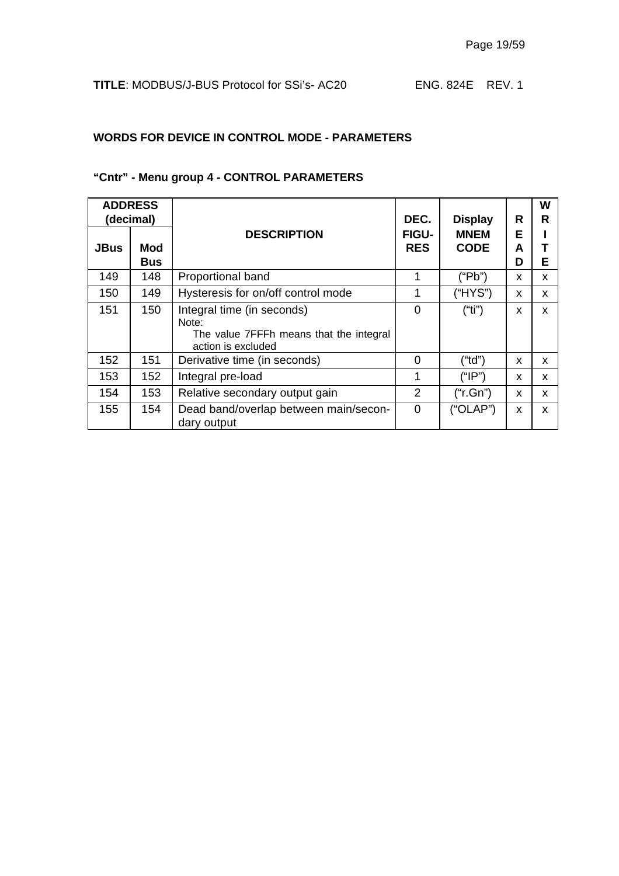## **WORDS FOR DEVICE IN CONTROL MODE - PARAMETERS**

## **"Cntr" - Menu group 4 - CONTROL PARAMETERS**

|             | <b>ADDRESS</b><br>(decimal) |                                                                                                      | DEC.                       | <b>Display</b>             | R           | W<br>R |
|-------------|-----------------------------|------------------------------------------------------------------------------------------------------|----------------------------|----------------------------|-------------|--------|
| <b>JBus</b> | Mod<br><b>Bus</b>           | <b>DESCRIPTION</b>                                                                                   | <b>FIGU-</b><br><b>RES</b> | <b>MNEM</b><br><b>CODE</b> | Е<br>A<br>D | Е      |
| 149         | 148                         | Proportional band                                                                                    |                            | ("Pb")                     | X           | X      |
| 150         | 149                         | Hysteresis for on/off control mode                                                                   | 1                          | ("HYS")                    | X           | x      |
| 151         | 150                         | Integral time (in seconds)<br>Note:<br>The value 7FFFh means that the integral<br>action is excluded | 0                          | ("ti")                     | X           | x      |
| 152         | 151                         | Derivative time (in seconds)                                                                         | 0                          | ("td")                     | x           | X      |
| 153         | 152                         | Integral pre-load                                                                                    | 1                          | ("IP")                     | X           | x      |
| 154         | 153                         | Relative secondary output gain                                                                       | 2                          | ("r.Gn")                   | X           | X      |
| 155         | 154                         | Dead band/overlap between main/secon-<br>dary output                                                 | $\overline{0}$             | ("OLAP")                   | X           | x      |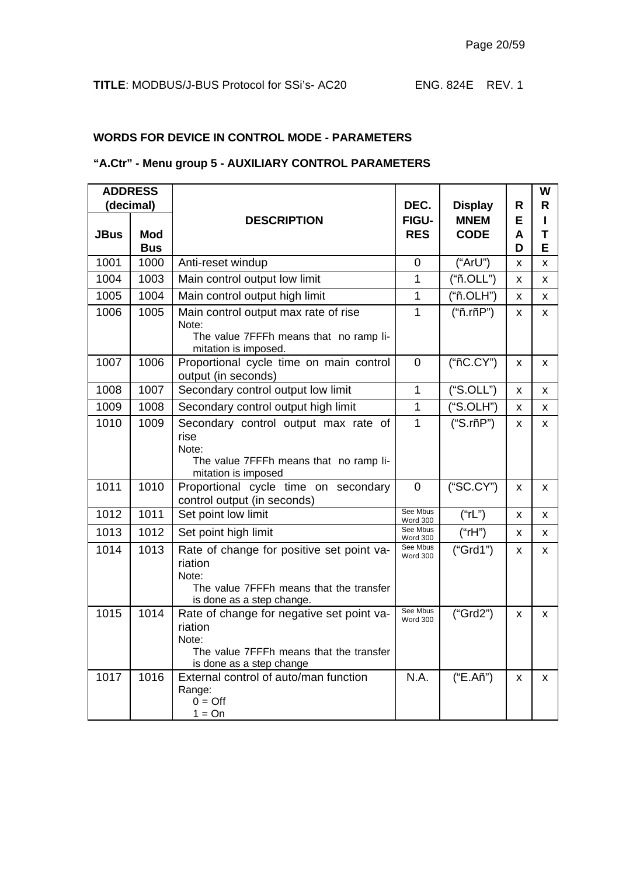## **WORDS FOR DEVICE IN CONTROL MODE - PARAMETERS**

#### **"A.Ctr" - Menu group 5 - AUXILIARY CONTROL PARAMETERS**

| <b>ADDRESS</b> |                          |                                                                                                                                       |                             |                |        | W      |  |
|----------------|--------------------------|---------------------------------------------------------------------------------------------------------------------------------------|-----------------------------|----------------|--------|--------|--|
|                | (decimal)                |                                                                                                                                       | DEC.                        | <b>Display</b> | R      | R      |  |
|                |                          | <b>DESCRIPTION</b>                                                                                                                    | <b>FIGU-</b>                | <b>MNEM</b>    | E      | п      |  |
| <b>JBus</b>    | <b>Mod</b><br><b>Bus</b> |                                                                                                                                       | <b>RES</b>                  | <b>CODE</b>    | A<br>D | T<br>Е |  |
| 1001           | 1000                     | Anti-reset windup                                                                                                                     | $\overline{0}$              | ("ArU")        | X      | x      |  |
| 1004           | 1003                     | Main control output low limit                                                                                                         | 1                           | ("ñ.OLL")      | x      | x      |  |
| 1005           | 1004                     | Main control output high limit                                                                                                        | 1                           | ("ñ.OLH")      | X      | x      |  |
| 1006           | 1005                     | Main control output max rate of rise<br>Note:<br>The value 7FFFh means that no ramp li-                                               | 1                           | ("ñ.rñP")      | X      | x      |  |
|                |                          | mitation is imposed.                                                                                                                  |                             |                |        |        |  |
| 1007           | 1006                     | Proportional cycle time on main control<br>output (in seconds)                                                                        | $\Omega$                    | ("ñC.CY")      | X      | x      |  |
| 1008           | 1007                     | Secondary control output low limit                                                                                                    | $\mathbf{1}$                | ("S.OLL")      | X      | X      |  |
| 1009           | 1008                     | Secondary control output high limit                                                                                                   | $\mathbf{1}$                | ("S.OLH")      | X      | x      |  |
| 1010           | 1009                     | Secondary control output max rate of<br>rise<br>Note:<br>The value 7FFFh means that no ramp li-<br>mitation is imposed                | $\mathbf{1}$                | ("S.rñP")      | X      | X      |  |
| 1011           | 1010                     | Proportional cycle time on secondary<br>control output (in seconds)                                                                   | $\mathbf 0$                 | ("SC.CY")      | X      | X      |  |
| 1012           | 1011                     | Set point low limit                                                                                                                   | See Mbus<br>Word 300        | ("rL")         | x      | x      |  |
| 1013           | 1012                     | Set point high limit                                                                                                                  | See Mbus<br>Word 300        | ("rH")         | X      | X      |  |
| 1014           | 1013                     | Rate of change for positive set point va-<br>riation<br>Note:<br>The value 7FFFh means that the transfer<br>is done as a step change. | See Mbus<br><b>Word 300</b> | ("Grd1")       | X      | X.     |  |
| 1015           | 1014                     | Rate of change for negative set point va-<br>riation<br>Note:<br>The value 7FFFh means that the transfer<br>is done as a step change  | See Mbus<br><b>Word 300</b> | ("Grd2")       | X      | x      |  |
| 1017           | 1016                     | External control of auto/man function<br>Range:<br>$0 = \text{Off}$<br>$1 = On$                                                       | N.A.                        | ("E.Añ")       | X      | X      |  |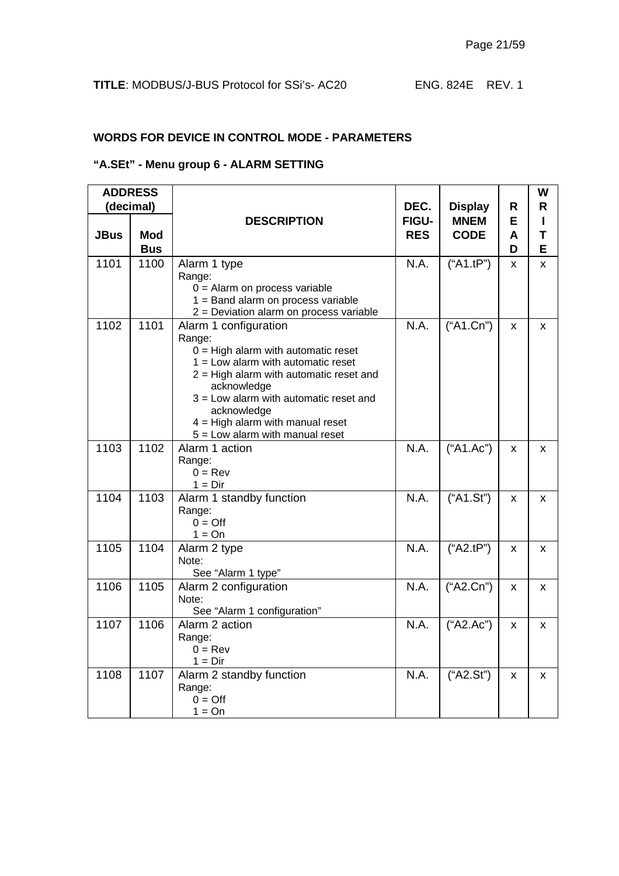## **WORDS FOR DEVICE IN CONTROL MODE - PARAMETERS**

#### **"A.SEt" - Menu group 6 - ALARM SETTING**

| <b>ADDRESS</b> |                   |                                                                                                                                                                                                                                                                                                                    |                            |                            |             | W           |
|----------------|-------------------|--------------------------------------------------------------------------------------------------------------------------------------------------------------------------------------------------------------------------------------------------------------------------------------------------------------------|----------------------------|----------------------------|-------------|-------------|
|                | (decimal)         |                                                                                                                                                                                                                                                                                                                    | DEC.                       | <b>Display</b>             | R           | R           |
| <b>JBus</b>    | Mod<br><b>Bus</b> | <b>DESCRIPTION</b>                                                                                                                                                                                                                                                                                                 | <b>FIGU-</b><br><b>RES</b> | <b>MNEM</b><br><b>CODE</b> | Е<br>A<br>D | L<br>т<br>E |
| 1101           | 1100              | Alarm 1 type<br>Range:<br>$0 =$ Alarm on process variable<br>1 = Band alarm on process variable<br>2 = Deviation alarm on process variable                                                                                                                                                                         | N.A.                       | ("A1.tP")                  | X           | X           |
| 1102           | 1101              | Alarm 1 configuration<br>Range:<br>$0 =$ High alarm with automatic reset<br>$1 =$ Low alarm with automatic reset<br>$2$ = High alarm with automatic reset and<br>acknowledge<br>$3$ = Low alarm with automatic reset and<br>acknowledge<br>$4 =$ High alarm with manual reset<br>$5 =$ Low alarm with manual reset | N.A.                       | ("A1.Cn")                  | X           | X           |
| 1103           | 1102              | Alarm 1 action<br>Range:<br>$0 = Rev$<br>$1 = Dir$                                                                                                                                                                                                                                                                 | N.A.                       | ("A1.Ac")                  | X           | X           |
| 1104           | 1103              | Alarm 1 standby function<br>Range:<br>$0 = \text{Off}$<br>$1 = On$                                                                                                                                                                                                                                                 | N.A.                       | ("A1.Sť")                  | X           | X           |
| 1105           | 1104              | Alarm 2 type<br>Note:<br>See "Alarm 1 type"                                                                                                                                                                                                                                                                        | N.A.                       | ("A2.tP")                  | X           | X           |
| 1106           | 1105              | Alarm 2 configuration<br>Note:<br>See "Alarm 1 configuration"                                                                                                                                                                                                                                                      | N.A.                       | ("A2.Cn")                  | X           | X           |
| 1107           | 1106              | Alarm 2 action<br>Range:<br>$0 = Rev$<br>$1 = Dir$                                                                                                                                                                                                                                                                 | N.A.                       | ("A2.Ac")                  | X           | X           |
| 1108           | 1107              | Alarm 2 standby function<br>Range:<br>$0 = \text{Off}$<br>$1 = On$                                                                                                                                                                                                                                                 | N.A.                       | ("A2.Sť")                  | X           | X           |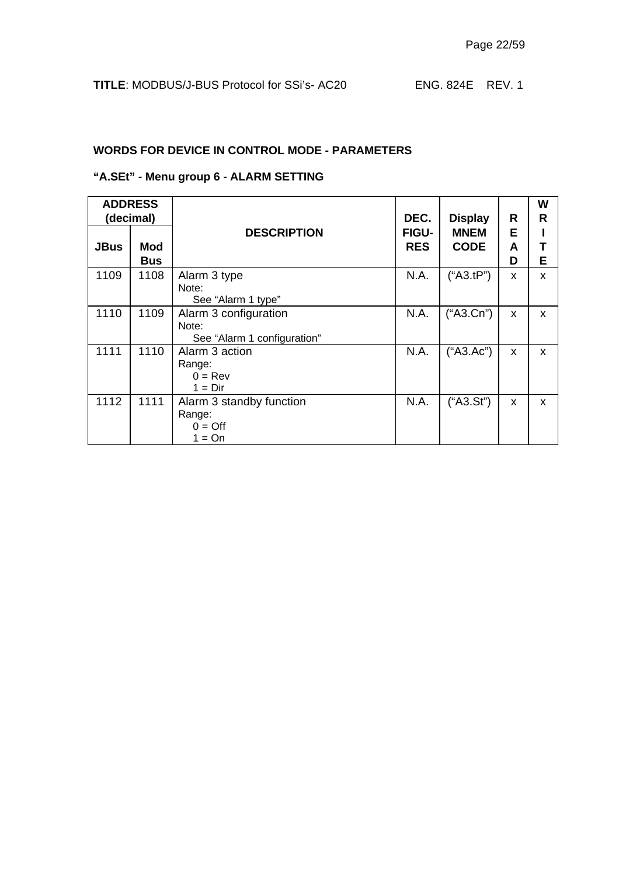#### **WORDS FOR DEVICE IN CONTROL MODE - PARAMETERS**

## **"A.SEt" - Menu group 6 - ALARM SETTING**

| <b>ADDRESS</b><br>(decimal) |                   |                                                                  | DEC.                       | <b>Display</b>             | R           | W<br>R |
|-----------------------------|-------------------|------------------------------------------------------------------|----------------------------|----------------------------|-------------|--------|
| <b>JBus</b>                 | Mod<br><b>Bus</b> | <b>DESCRIPTION</b>                                               | <b>FIGU-</b><br><b>RES</b> | <b>MNEM</b><br><b>CODE</b> | E<br>A<br>D | Е      |
| 1109                        | 1108              | Alarm 3 type<br>Note:<br>See "Alarm 1 type"                      | N.A.                       | ("A3.tP")                  | X           | X      |
| 1110                        | 1109              | Alarm 3 configuration<br>Note:<br>See "Alarm 1 configuration"    | N.A.                       | ("A3.Cn")                  | X           | X      |
| 1111                        | 1110              | Alarm 3 action<br>Range:<br>$0 = Rev$<br>$1 = Dir$               | N.A.                       | ("A3.Ac")                  | X           | X      |
| 1112                        | 1111              | Alarm 3 standby function<br>Range:<br>$0 = \text{Off}$<br>1 = On | N.A.                       | ("A3.St")                  | X           | X      |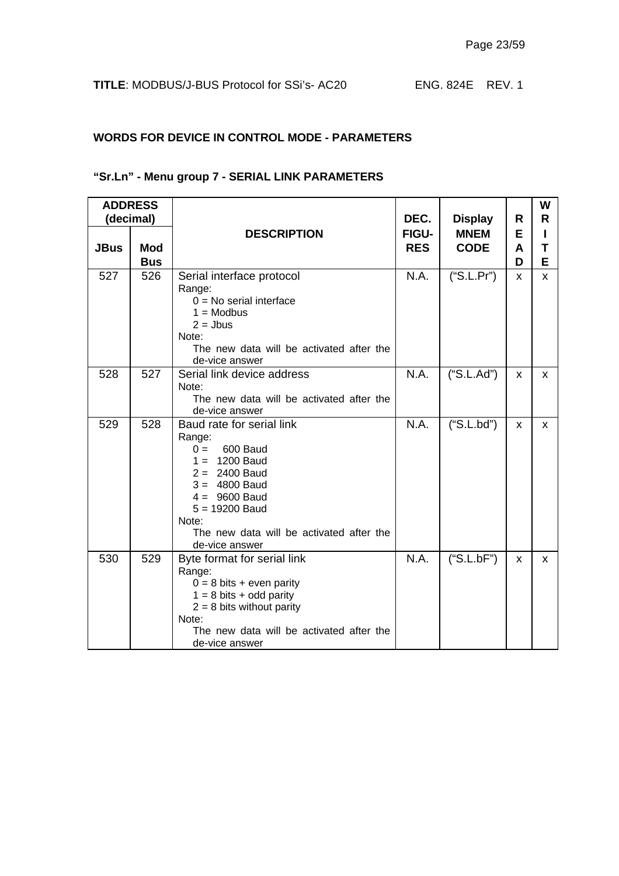## **WORDS FOR DEVICE IN CONTROL MODE - PARAMETERS**

## **"Sr.Ln" - Menu group 7 - SERIAL LINK PARAMETERS**

|             | <b>ADDRESS</b><br>(decimal) |                                                                                                                                                                                                                                 | DEC.       |                               | R        | W<br>R. |
|-------------|-----------------------------|---------------------------------------------------------------------------------------------------------------------------------------------------------------------------------------------------------------------------------|------------|-------------------------------|----------|---------|
|             |                             | <b>DESCRIPTION</b>                                                                                                                                                                                                              | FIGU-      | <b>Display</b><br><b>MNEM</b> | Е        |         |
| <b>JBus</b> | <b>Mod</b>                  |                                                                                                                                                                                                                                 | <b>RES</b> | <b>CODE</b>                   | A        | Τ       |
|             | <b>Bus</b>                  |                                                                                                                                                                                                                                 |            |                               | D        | E       |
| 527         | 526                         | Serial interface protocol<br>Range:<br>$0 = No$ serial interface<br>$1 = Modbus$<br>$2 =$ Jbus<br>Note:<br>The new data will be activated after the<br>de-vice answer                                                           | N.A.       | ("S.L.Pr")                    | X.       | x       |
| 528         | 527                         | Serial link device address<br>Note:<br>The new data will be activated after the<br>de-vice answer                                                                                                                               | N.A.       | ("S.L.Ad")                    | <b>X</b> | x       |
| 529         | 528                         | Baud rate for serial link<br>Range:<br>600 Baud<br>$0 =$<br>$1 = 1200$ Baud<br>$2 = 2400$ Baud<br>$3 = 4800$ Baud<br>$4 = 9600$ Baud<br>$5 = 19200$ Baud<br>Note:<br>The new data will be activated after the<br>de-vice answer | N.A.       | ("S.L.bd")                    | X        | X.      |
| 530         | 529                         | Byte format for serial link<br>Range:<br>$0 = 8$ bits + even parity<br>$1 = 8$ bits + odd parity<br>$2 = 8$ bits without parity<br>Note:<br>The new data will be activated after the<br>de-vice answer                          | N.A.       | ("S.L.bF")                    | x        | X.      |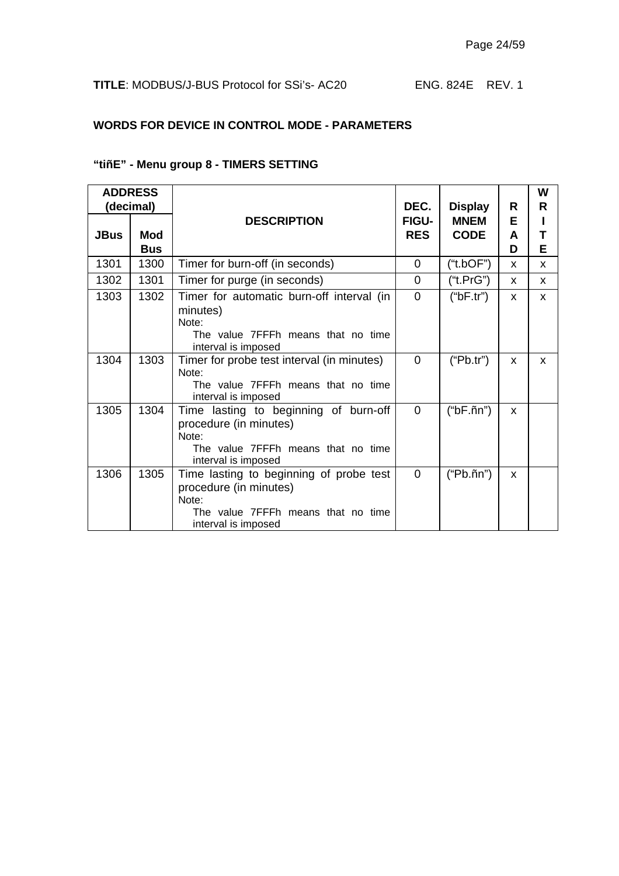## **WORDS FOR DEVICE IN CONTROL MODE - PARAMETERS**

#### **"tiñE" - Menu group 8 - TIMERS SETTING**

|             | <b>ADDRESS</b> |                                             |                |                     |          | W |
|-------------|----------------|---------------------------------------------|----------------|---------------------|----------|---|
|             | (decimal)      |                                             | DEC.           | <b>Display</b>      | R        | R |
|             |                | <b>DESCRIPTION</b>                          | <b>FIGU-</b>   | <b>MNEM</b>         | E        |   |
| <b>JBus</b> | <b>Mod</b>     |                                             | <b>RES</b>     | <b>CODE</b>         | A        |   |
|             | <b>Bus</b>     |                                             |                |                     | D        | Е |
| 1301        | 1300           | Timer for burn-off (in seconds)             | 0              | ("t.bOF")           | <b>X</b> | X |
| 1302        | 1301           | Timer for purge (in seconds)                | 0              | ("t.PrG")           | X        | X |
| 1303        | 1302           | Timer for automatic burn-off interval (in   | $\overline{0}$ | ("bF.tr")           | X        | x |
|             |                | minutes)                                    |                |                     |          |   |
|             |                | Note:<br>The value 7FFFh means that no time |                |                     |          |   |
|             |                | interval is imposed                         |                |                     |          |   |
| 1304        | 1303           | Timer for probe test interval (in minutes)  | $\Omega$       | ("Pb.tr")           | X        | X |
|             |                | Note:                                       |                |                     |          |   |
|             |                | The value 7FFFh means that no time          |                |                     |          |   |
|             |                | interval is imposed                         |                |                     |          |   |
| 1305        | 1304           | Time lasting to beginning of burn-off       | 0              | $("bF.\tilde{n}n")$ | X        |   |
|             |                | procedure (in minutes)<br>Note:             |                |                     |          |   |
|             |                | The value 7FFFh means that no time          |                |                     |          |   |
|             |                | interval is imposed                         |                |                     |          |   |
| 1306        | 1305           | Time lasting to beginning of probe test     | $\Omega$       | $("Pb.\tilde{n}n")$ | X        |   |
|             |                | procedure (in minutes)                      |                |                     |          |   |
|             |                | Note:                                       |                |                     |          |   |
|             |                | The value 7FFFh means that no time          |                |                     |          |   |
|             |                | interval is imposed                         |                |                     |          |   |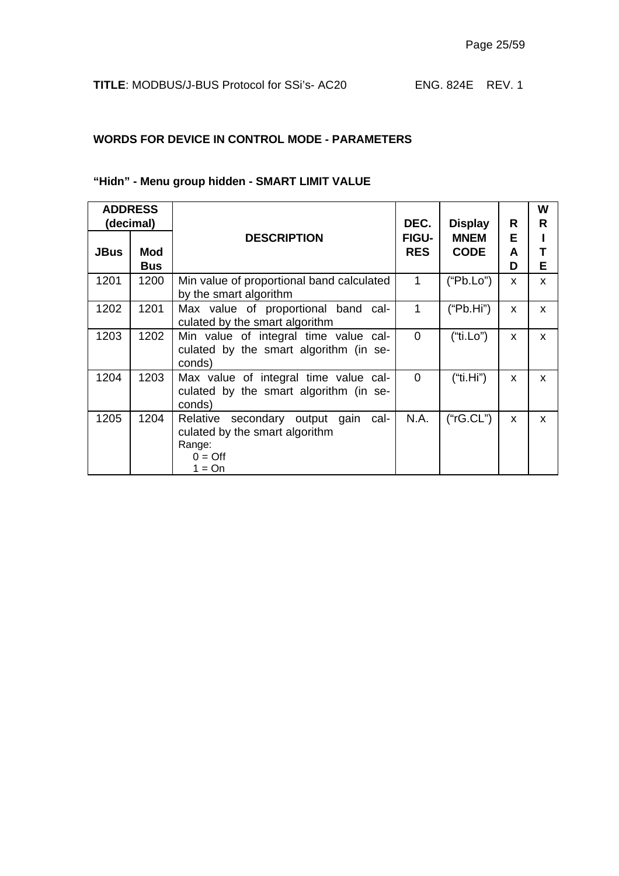#### **WORDS FOR DEVICE IN CONTROL MODE - PARAMETERS**

## **"Hidn" - Menu group hidden - SMART LIMIT VALUE**

| <b>ADDRESS</b><br>(decimal) |                          |                                                                                                               | DEC.                       | <b>Display</b>             | R            | W<br>R       |
|-----------------------------|--------------------------|---------------------------------------------------------------------------------------------------------------|----------------------------|----------------------------|--------------|--------------|
| <b>JBus</b>                 | <b>Mod</b><br><b>Bus</b> | <b>DESCRIPTION</b>                                                                                            | <b>FIGU-</b><br><b>RES</b> | <b>MNEM</b><br><b>CODE</b> | Е<br>A<br>D  | т<br>Е       |
| 1201                        | 1200                     | Min value of proportional band calculated<br>by the smart algorithm                                           | 1                          | ("Pb.Lo")                  | X            | X            |
| 1202                        | 1201                     | Max value of proportional band cal-<br>culated by the smart algorithm                                         | 1                          | ("Pb.Hi")                  | $\mathsf{x}$ | X            |
| 1203                        | 1202                     | Min value of integral time value cal-<br>culated by the smart algorithm (in se-<br>conds)                     | $\Omega$                   | ("ti.Lo")                  | X            | $\mathsf{x}$ |
| 1204                        | 1203                     | Max value of integral time value cal-<br>culated by the smart algorithm (in se-<br>conds)                     | $\Omega$                   | ("ti.Hi")                  | X            | $\mathsf{x}$ |
| 1205                        | 1204                     | Relative secondary output gain cal-<br>culated by the smart algorithm<br>Range:<br>$0 = \text{Off}$<br>1 = On | N.A.                       | ("rG.CL")                  | X            | X            |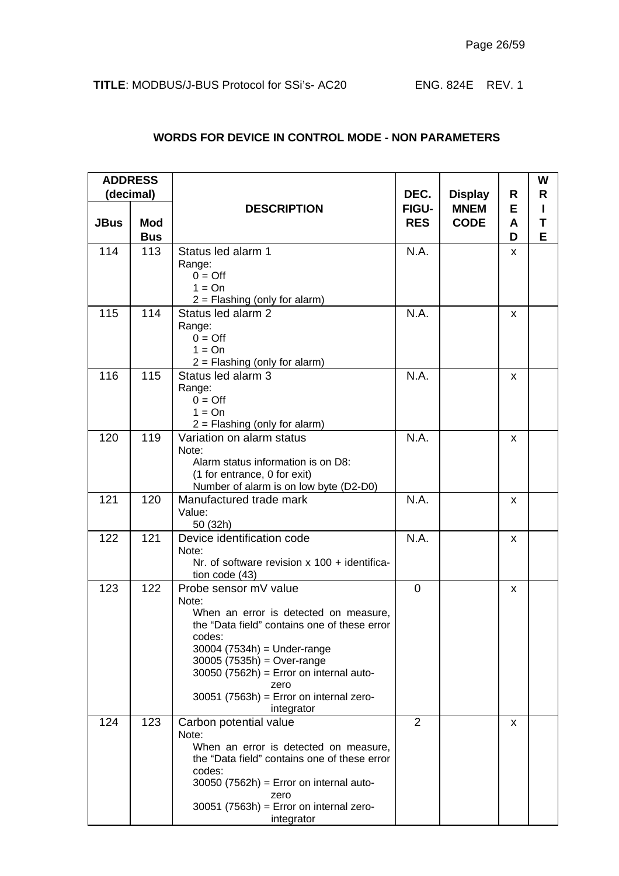|             | <b>ADDRESS</b> |                                                                    |                     |                            |        | W      |
|-------------|----------------|--------------------------------------------------------------------|---------------------|----------------------------|--------|--------|
|             | (decimal)      |                                                                    | DEC.                | <b>Display</b>             | R      | R      |
| <b>JBus</b> | <b>Mod</b>     | <b>DESCRIPTION</b>                                                 | FIGU-<br><b>RES</b> | <b>MNEM</b><br><b>CODE</b> | Е<br>A | L<br>Т |
|             | <b>Bus</b>     |                                                                    |                     |                            | D      | Е      |
| 114         | 113            | Status led alarm 1                                                 | N.A.                |                            | X      |        |
|             |                | Range:                                                             |                     |                            |        |        |
|             |                | $0 = \text{Off}$<br>$1 = On$                                       |                     |                            |        |        |
|             |                | $2 =$ Flashing (only for alarm)                                    |                     |                            |        |        |
| 115         | 114            | Status led alarm 2                                                 | N.A.                |                            | X      |        |
|             |                | Range:                                                             |                     |                            |        |        |
|             |                | $0 = \text{Off}$<br>$1 = On$                                       |                     |                            |        |        |
|             |                | $2 =$ Flashing (only for alarm)                                    |                     |                            |        |        |
| 116         | 115            | Status led alarm 3                                                 | N.A.                |                            | X      |        |
|             |                | Range:                                                             |                     |                            |        |        |
|             |                | $0 = \text{Off}$<br>$1 = On$                                       |                     |                            |        |        |
|             |                | $2 =$ Flashing (only for alarm)                                    |                     |                            |        |        |
| 120         | 119            | Variation on alarm status                                          | N.A.                |                            | X      |        |
|             |                | Note:                                                              |                     |                            |        |        |
|             |                | Alarm status information is on D8:<br>(1 for entrance, 0 for exit) |                     |                            |        |        |
|             |                | Number of alarm is on low byte (D2-D0)                             |                     |                            |        |        |
| 121         | 120            | Manufactured trade mark                                            | N.A.                |                            | x      |        |
|             |                | Value:<br>50 (32h)                                                 |                     |                            |        |        |
| 122         | 121            | Device identification code                                         | N.A.                |                            | X      |        |
|             |                | Note:                                                              |                     |                            |        |        |
|             |                | Nr. of software revision $x$ 100 + identifica-<br>tion code (43)   |                     |                            |        |        |
| 123         | 122            | Probe sensor mV value                                              | $\Omega$            |                            | X      |        |
|             |                | Note:<br>When an error is detected on measure,                     |                     |                            |        |        |
|             |                | the "Data field" contains one of these error                       |                     |                            |        |        |
|             |                | codes:                                                             |                     |                            |        |        |
|             |                | $30004$ (7534h) = Under-range<br>$30005(7535h) = Over-range$       |                     |                            |        |        |
|             |                | $30050$ (7562h) = Error on internal auto-                          |                     |                            |        |        |
|             |                | zero                                                               |                     |                            |        |        |
|             |                | $30051$ (7563h) = Error on internal zero-<br>integrator            |                     |                            |        |        |
| 124         | 123            | Carbon potential value<br>Note:                                    | 2                   |                            | X      |        |
|             |                | When an error is detected on measure,                              |                     |                            |        |        |
|             |                | the "Data field" contains one of these error<br>codes:             |                     |                            |        |        |
|             |                | $30050$ (7562h) = Error on internal auto-                          |                     |                            |        |        |
|             |                | zero<br>$30051$ (7563h) = Error on internal zero-                  |                     |                            |        |        |
|             |                | integrator                                                         |                     |                            |        |        |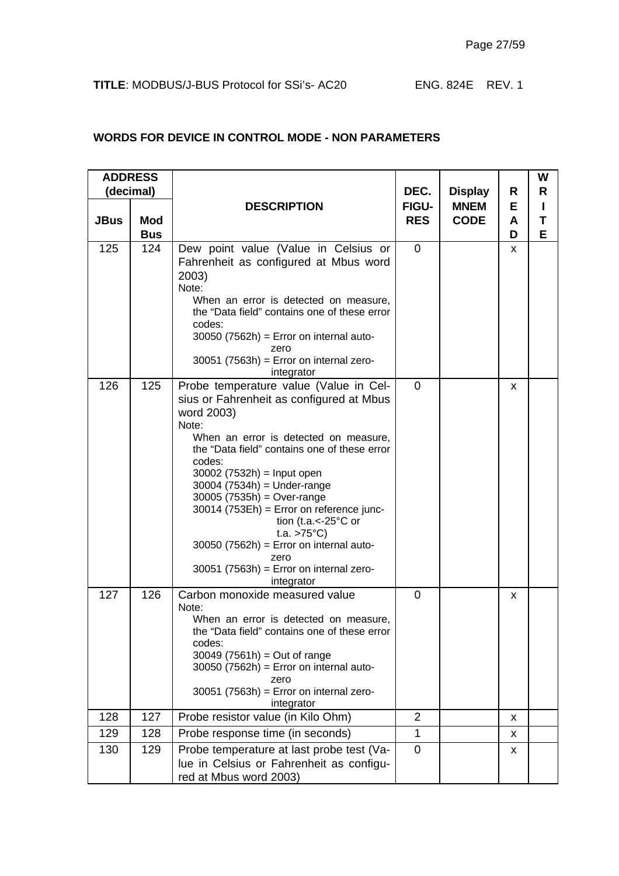|             | <b>ADDRESS</b><br>(decimal) |                                                                                                                                                                                                                                                                                                                                                                                                                                                                                                                                           | DEC.                       | <b>Display</b>             | R           | W<br>R |
|-------------|-----------------------------|-------------------------------------------------------------------------------------------------------------------------------------------------------------------------------------------------------------------------------------------------------------------------------------------------------------------------------------------------------------------------------------------------------------------------------------------------------------------------------------------------------------------------------------------|----------------------------|----------------------------|-------------|--------|
| <b>JBus</b> | <b>Mod</b><br><b>Bus</b>    | <b>DESCRIPTION</b>                                                                                                                                                                                                                                                                                                                                                                                                                                                                                                                        | <b>FIGU-</b><br><b>RES</b> | <b>MNEM</b><br><b>CODE</b> | Е<br>A<br>D | Т<br>E |
| 125         | 124                         | Dew point value (Value in Celsius or<br>Fahrenheit as configured at Mbus word<br>2003)<br>Note:<br>When an error is detected on measure,<br>the "Data field" contains one of these error<br>codes:<br>$30050$ (7562h) = Error on internal auto-<br>zero<br>$30051$ (7563h) = Error on internal zero-<br>integrator                                                                                                                                                                                                                        | $\overline{0}$             |                            | x           |        |
| 126         | 125                         | Probe temperature value (Value in Cel-<br>sius or Fahrenheit as configured at Mbus<br>word 2003)<br>Note:<br>When an error is detected on measure,<br>the "Data field" contains one of these error<br>codes:<br>$30002$ (7532h) = Input open<br>$30004$ (7534h) = Under-range<br>$30005 (7535h) = Over-range$<br>30014 (753Eh) = Error on reference junc-<br>tion (t.a. $\lt$ -25 $\degree$ C or<br>t.a. $>75^{\circ}C$ )<br>$30050$ (7562h) = Error on internal auto-<br>zero<br>$30051$ (7563h) = Error on internal zero-<br>integrator | $\Omega$                   |                            | x           |        |
| 127         | 126                         | Carbon monoxide measured value<br>Note:<br>When an error is detected on measure,<br>the "Data field" contains one of these error<br>codes:<br>$30049$ (7561h) = Out of range<br>$30050$ (7562h) = Error on internal auto-<br>zero<br>$30051$ (7563h) = Error on internal zero-<br>integrator                                                                                                                                                                                                                                              | $\Omega$                   |                            | x           |        |
| 128         | 127                         | Probe resistor value (in Kilo Ohm)                                                                                                                                                                                                                                                                                                                                                                                                                                                                                                        | $\overline{2}$             |                            | X           |        |
| 129         | 128                         | Probe response time (in seconds)                                                                                                                                                                                                                                                                                                                                                                                                                                                                                                          | 1                          |                            | x           |        |
| 130         | 129                         | Probe temperature at last probe test (Va-<br>lue in Celsius or Fahrenheit as configu-<br>red at Mbus word 2003)                                                                                                                                                                                                                                                                                                                                                                                                                           | $\overline{0}$             |                            | x           |        |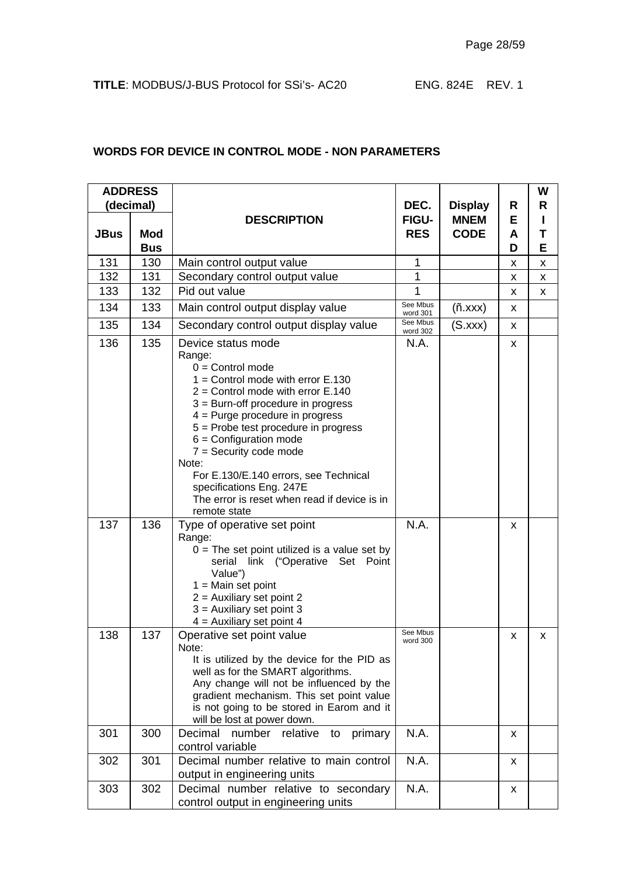| <b>ADDRESS</b> |            |                                                                                                                                                                                                                                                                                                                                                                                                                                                             |                      |                            |        | W      |
|----------------|------------|-------------------------------------------------------------------------------------------------------------------------------------------------------------------------------------------------------------------------------------------------------------------------------------------------------------------------------------------------------------------------------------------------------------------------------------------------------------|----------------------|----------------------------|--------|--------|
|                | (decimal)  |                                                                                                                                                                                                                                                                                                                                                                                                                                                             | DEC.                 | <b>Display</b>             | R      | R      |
| <b>JBus</b>    | <b>Mod</b> | <b>DESCRIPTION</b>                                                                                                                                                                                                                                                                                                                                                                                                                                          | FIGU-<br><b>RES</b>  | <b>MNEM</b><br><b>CODE</b> | Е<br>A | ı<br>Т |
|                | <b>Bus</b> |                                                                                                                                                                                                                                                                                                                                                                                                                                                             |                      |                            | D      | E      |
| 131            | 130        | Main control output value                                                                                                                                                                                                                                                                                                                                                                                                                                   | 1                    |                            | X      | X      |
| 132            | 131        | Secondary control output value                                                                                                                                                                                                                                                                                                                                                                                                                              | 1                    |                            | X      | Χ      |
| 133            | 132        | Pid out value                                                                                                                                                                                                                                                                                                                                                                                                                                               | 1                    |                            | X      | X      |
| 134            | 133        | Main control output display value                                                                                                                                                                                                                                                                                                                                                                                                                           | See Mbus<br>word 301 | (n.xxx)                    | X      |        |
| 135            | 134        | Secondary control output display value                                                                                                                                                                                                                                                                                                                                                                                                                      | See Mbus<br>word 302 | (S.xxx)                    | X      |        |
| 136            | 135        | Device status mode<br>Range:<br>$0 =$ Control mode<br>$1 =$ Control mode with error E.130<br>$2 =$ Control mode with error E.140<br>$3$ = Burn-off procedure in progress<br>$4 =$ Purge procedure in progress<br>5 = Probe test procedure in progress<br>$6 =$ Configuration mode<br>$7 =$ Security code mode<br>Note:<br>For E.130/E.140 errors, see Technical<br>specifications Eng. 247E<br>The error is reset when read if device is in<br>remote state | N.A.                 |                            | x      |        |
| 137            | 136        | Type of operative set point<br>Range:<br>$0 =$ The set point utilized is a value set by<br>link ("Operative Set Point<br>serial<br>Value")<br>$1 =$ Main set point<br>$2 =$ Auxiliary set point 2<br>$3$ = Auxiliary set point 3<br>$4$ = Auxiliary set point 4                                                                                                                                                                                             | N.A.                 |                            | X      |        |
| 138            | 137        | Operative set point value<br>Note:<br>It is utilized by the device for the PID as<br>well as for the SMART algorithms.<br>Any change will not be influenced by the<br>gradient mechanism. This set point value<br>is not going to be stored in Earom and it<br>will be lost at power down.                                                                                                                                                                  | See Mbus<br>word 300 |                            | x      | x      |
| 301            | 300        | Decimal<br>number<br>relative<br>primary<br>to<br>control variable                                                                                                                                                                                                                                                                                                                                                                                          | N.A.                 |                            | x      |        |
| 302            | 301        | Decimal number relative to main control<br>output in engineering units                                                                                                                                                                                                                                                                                                                                                                                      | N.A.                 |                            | X      |        |
| 303            | 302        | Decimal number relative to secondary<br>control output in engineering units                                                                                                                                                                                                                                                                                                                                                                                 | N.A.                 |                            | X      |        |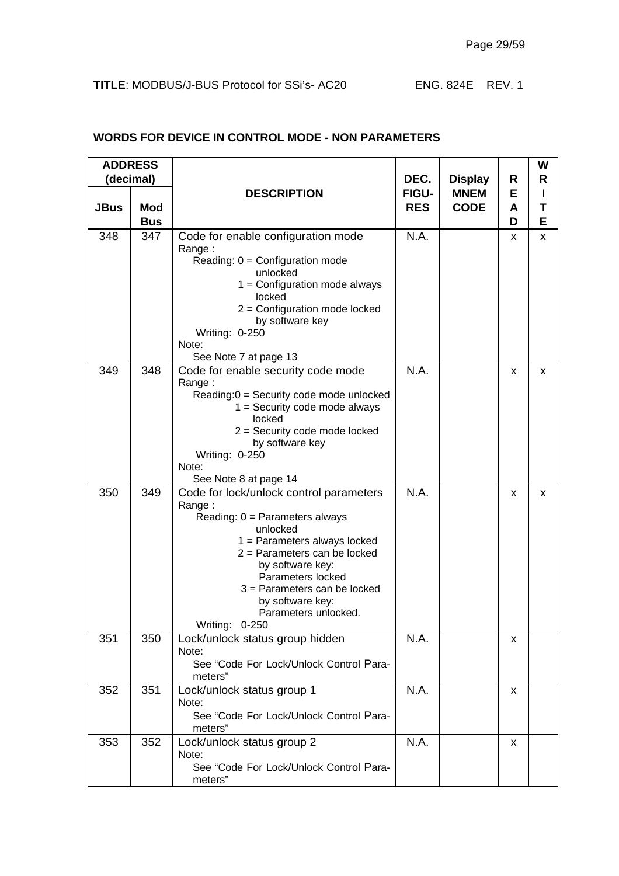|             | <b>ADDRESS</b> |                                                                                      |                      |                               |        | W |
|-------------|----------------|--------------------------------------------------------------------------------------|----------------------|-------------------------------|--------|---|
|             | (decimal)      | <b>DESCRIPTION</b>                                                                   | DEC.<br><b>FIGU-</b> | <b>Display</b><br><b>MNEM</b> | R<br>Е | R |
| <b>JBus</b> | <b>Mod</b>     |                                                                                      | <b>RES</b>           | <b>CODE</b>                   | A      | Т |
|             | <b>Bus</b>     |                                                                                      |                      |                               | D      | Е |
| 348         | 347            | Code for enable configuration mode<br>Range:                                         | N.A.                 |                               | X      | X |
|             |                | Reading: $0 =$ Configuration mode<br>unlocked                                        |                      |                               |        |   |
|             |                | $1 =$ Configuration mode always<br>locked<br>$2 =$ Configuration mode locked         |                      |                               |        |   |
|             |                | by software key<br>Writing: 0-250                                                    |                      |                               |        |   |
|             |                | Note:<br>See Note 7 at page 13                                                       |                      |                               |        |   |
| 349         | 348            | Code for enable security code mode<br>Range:                                         | N.A.                 |                               | x      | x |
|             |                | Reading:0 = Security code mode unlocked<br>$1 =$ Security code mode always<br>locked |                      |                               |        |   |
|             |                | $2 =$ Security code mode locked<br>by software key                                   |                      |                               |        |   |
|             |                | Writing: 0-250<br>Note:                                                              |                      |                               |        |   |
|             |                | See Note 8 at page 14                                                                |                      |                               |        |   |
| 350         | 349            | Code for lock/unlock control parameters<br>Range:                                    | N.A.                 |                               | x      | x |
|             |                | Reading: $0 =$ Parameters always<br>unlocked                                         |                      |                               |        |   |
|             |                | $1 =$ Parameters always locked<br>$2$ = Parameters can be locked                     |                      |                               |        |   |
|             |                | by software key:                                                                     |                      |                               |        |   |
|             |                | Parameters locked<br>$3$ = Parameters can be locked                                  |                      |                               |        |   |
|             |                | by software key:<br>Parameters unlocked.                                             |                      |                               |        |   |
|             |                | Writing: 0-250                                                                       |                      |                               |        |   |
| 351         | 350            | Lock/unlock status group hidden<br>Note:                                             | N.A.                 |                               | x      |   |
|             |                | See "Code For Lock/Unlock Control Para-<br>meters"                                   |                      |                               |        |   |
| 352         | 351            | Lock/unlock status group 1<br>Note:                                                  | N.A.                 |                               | X      |   |
|             |                | See "Code For Lock/Unlock Control Para-<br>meters"                                   |                      |                               |        |   |
| 353         | 352            | Lock/unlock status group 2<br>Note:                                                  | N.A.                 |                               | X      |   |
|             |                | See "Code For Lock/Unlock Control Para-<br>meters"                                   |                      |                               |        |   |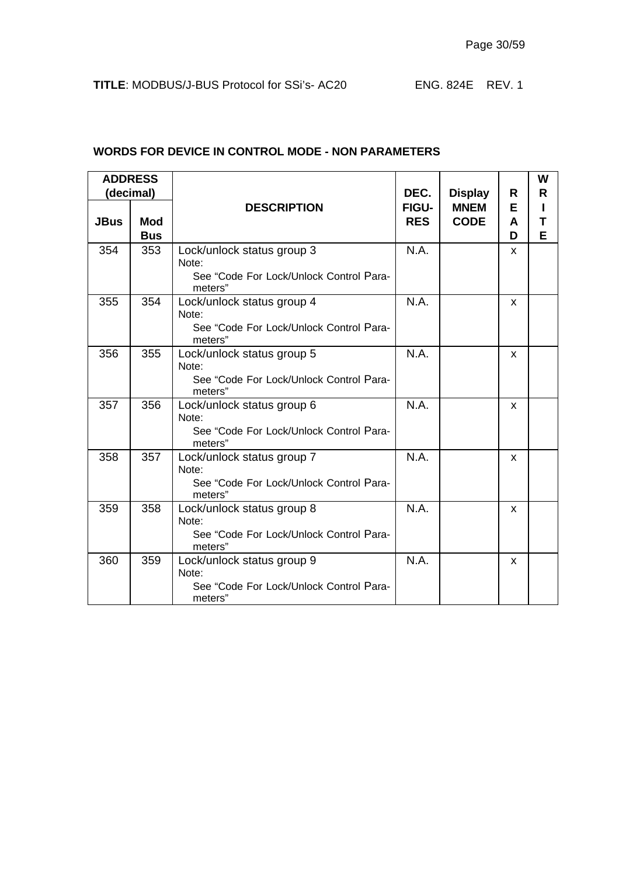|             | <b>ADDRESS</b><br>(decimal) |                                                                                           | DEC.                       | <b>Display</b>             | R           | W<br>R |
|-------------|-----------------------------|-------------------------------------------------------------------------------------------|----------------------------|----------------------------|-------------|--------|
| <b>JBus</b> | <b>Mod</b><br><b>Bus</b>    | <b>DESCRIPTION</b>                                                                        | <b>FIGU-</b><br><b>RES</b> | <b>MNEM</b><br><b>CODE</b> | Е<br>A<br>D | Т<br>E |
| 354         | 353                         | Lock/unlock status group 3<br>Note:<br>See "Code For Lock/Unlock Control Para-<br>meters" | N.A.                       |                            | X           |        |
| 355         | 354                         | Lock/unlock status group 4<br>Note:<br>See "Code For Lock/Unlock Control Para-<br>meters" | N.A.                       |                            | X           |        |
| 356         | 355                         | Lock/unlock status group 5<br>Note:<br>See "Code For Lock/Unlock Control Para-<br>meters" | N.A.                       |                            | X           |        |
| 357         | 356                         | Lock/unlock status group 6<br>Note:<br>See "Code For Lock/Unlock Control Para-<br>meters" | N.A.                       |                            | X           |        |
| 358         | 357                         | Lock/unlock status group 7<br>Note:<br>See "Code For Lock/Unlock Control Para-<br>meters" | N.A.                       |                            | X           |        |
| 359         | 358                         | Lock/unlock status group 8<br>Note:<br>See "Code For Lock/Unlock Control Para-<br>meters" | N.A.                       |                            | <b>X</b>    |        |
| 360         | 359                         | Lock/unlock status group 9<br>Note:<br>See "Code For Lock/Unlock Control Para-<br>meters" | N.A.                       |                            | <b>X</b>    |        |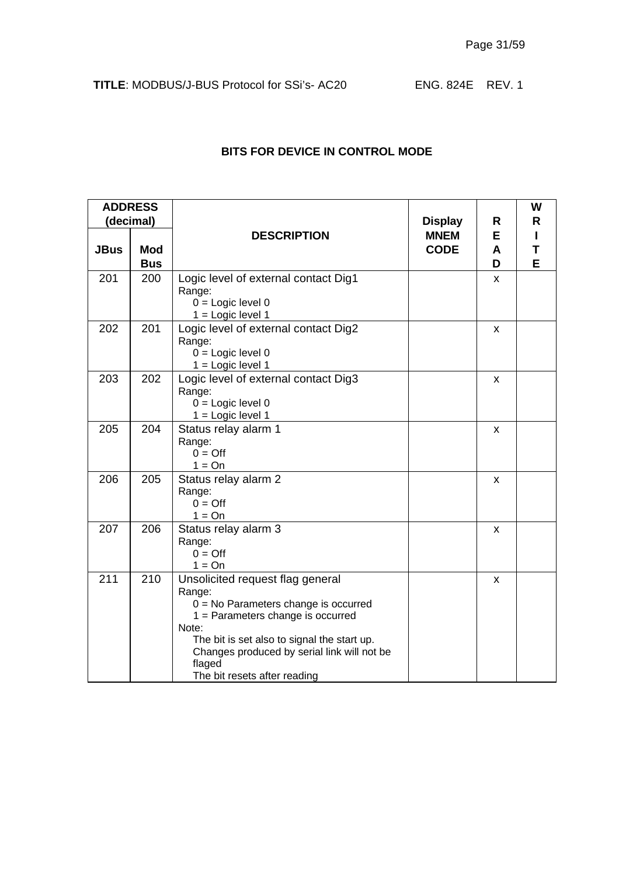|             | <b>ADDRESS</b><br>(decimal) |                                                                                                                                                                                                                                                                              | <b>Display</b>             | R           | W<br>R |
|-------------|-----------------------------|------------------------------------------------------------------------------------------------------------------------------------------------------------------------------------------------------------------------------------------------------------------------------|----------------------------|-------------|--------|
| <b>JBus</b> | <b>Mod</b><br><b>Bus</b>    | <b>DESCRIPTION</b>                                                                                                                                                                                                                                                           | <b>MNEM</b><br><b>CODE</b> | E<br>A<br>D | T<br>E |
| 201         | 200                         | Logic level of external contact Dig1<br>Range:<br>$0 =$ Logic level 0<br>$1 =$ Logic level 1                                                                                                                                                                                 |                            | X           |        |
| 202         | 201                         | Logic level of external contact Dig2<br>Range:<br>$0 =$ Logic level 0<br>$1 =$ Logic level 1                                                                                                                                                                                 |                            | x           |        |
| 203         | 202                         | Logic level of external contact Dig3<br>Range:<br>$0 =$ Logic level $0$<br>$1 =$ Logic level 1                                                                                                                                                                               |                            | X           |        |
| 205         | 204                         | Status relay alarm 1<br>Range:<br>$0 = \text{Off}$<br>$1 = On$                                                                                                                                                                                                               |                            | X           |        |
| 206         | 205                         | Status relay alarm 2<br>Range:<br>$0 = \text{Off}$<br>$1 = On$                                                                                                                                                                                                               |                            | X           |        |
| 207         | 206                         | Status relay alarm 3<br>Range:<br>$0 = \text{Off}$<br>$1 = On$                                                                                                                                                                                                               |                            | x           |        |
| 211         | 210                         | Unsolicited request flag general<br>Range:<br>$0 = No$ Parameters change is occurred<br>$1 =$ Parameters change is occurred<br>Note:<br>The bit is set also to signal the start up.<br>Changes produced by serial link will not be<br>flaged<br>The bit resets after reading |                            | X           |        |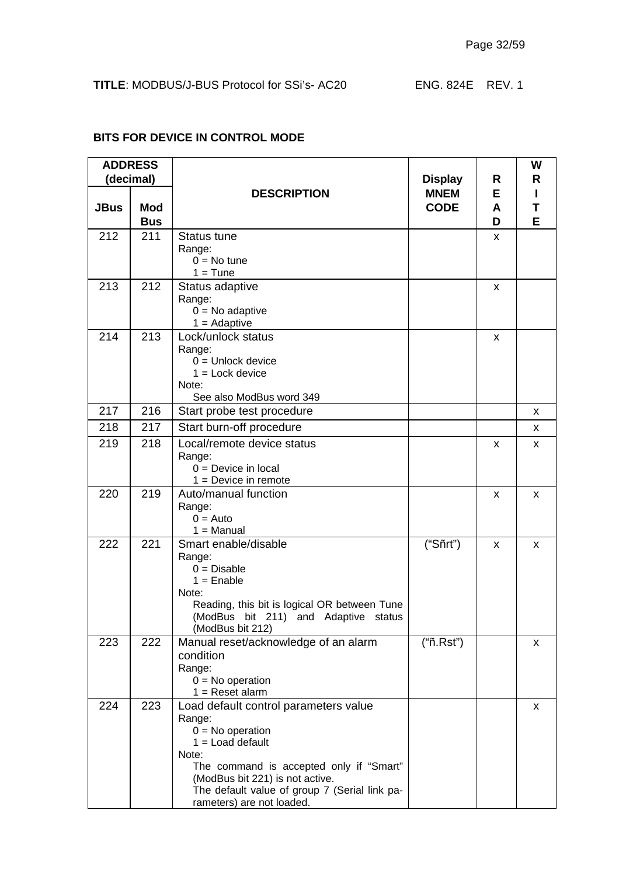| <b>ADDRESS</b><br>(decimal) |                          |                                                                                                                                                                                                                                                                  |                            | R<br><b>Display</b> | W<br>R |  |
|-----------------------------|--------------------------|------------------------------------------------------------------------------------------------------------------------------------------------------------------------------------------------------------------------------------------------------------------|----------------------------|---------------------|--------|--|
| <b>JBus</b>                 | <b>Mod</b><br><b>Bus</b> | <b>DESCRIPTION</b>                                                                                                                                                                                                                                               | <b>MNEM</b><br><b>CODE</b> | Е<br>A<br>D         | T<br>E |  |
| 212                         | 211                      | <b>Status tune</b><br>Range:<br>$0 = No$ tune<br>$1 =$ Tune                                                                                                                                                                                                      |                            | x                   |        |  |
| 213                         | 212                      | Status adaptive<br>Range:<br>$0 = No$ adaptive<br>$1 =$ Adaptive                                                                                                                                                                                                 |                            | X                   |        |  |
| 214                         | 213                      | Lock/unlock status<br>Range:<br>$0 =$ Unlock device<br>$1 =$ Lock device<br>Note:<br>See also ModBus word 349                                                                                                                                                    |                            | X                   |        |  |
| 217                         | 216                      | Start probe test procedure                                                                                                                                                                                                                                       |                            |                     | x      |  |
| 218                         | 217                      | Start burn-off procedure                                                                                                                                                                                                                                         |                            |                     | x      |  |
| 219                         | 218                      | Local/remote device status<br>Range:<br>$0 =$ Device in local<br>$1 =$ Device in remote                                                                                                                                                                          |                            | x                   | x      |  |
| 220                         | 219                      | Auto/manual function<br>Range:<br>$0 =$ Auto<br>$1 =$ Manual                                                                                                                                                                                                     |                            | x                   | x      |  |
| 222                         | 221                      | Smart enable/disable<br>Range:<br>$0 = Disable$<br>$1 =$ Enable<br>Note:<br>Reading, this bit is logical OR between Tune<br>(ModBus bit 211) and Adaptive status<br>(ModBus bit 212)                                                                             | ("Sñrt")                   | x                   | x      |  |
| 223                         | 222                      | Manual reset/acknowledge of an alarm<br>condition<br>Range:<br>$0 = No operation$<br>$1 =$ Reset alarm                                                                                                                                                           | ("ñ.Rst")                  |                     | x      |  |
| 224                         | 223                      | Load default control parameters value<br>Range:<br>$0 = No operation$<br>$1 =$ Load default<br>Note:<br>The command is accepted only if "Smart"<br>(ModBus bit 221) is not active.<br>The default value of group 7 (Serial link pa-<br>rameters) are not loaded. |                            |                     | x      |  |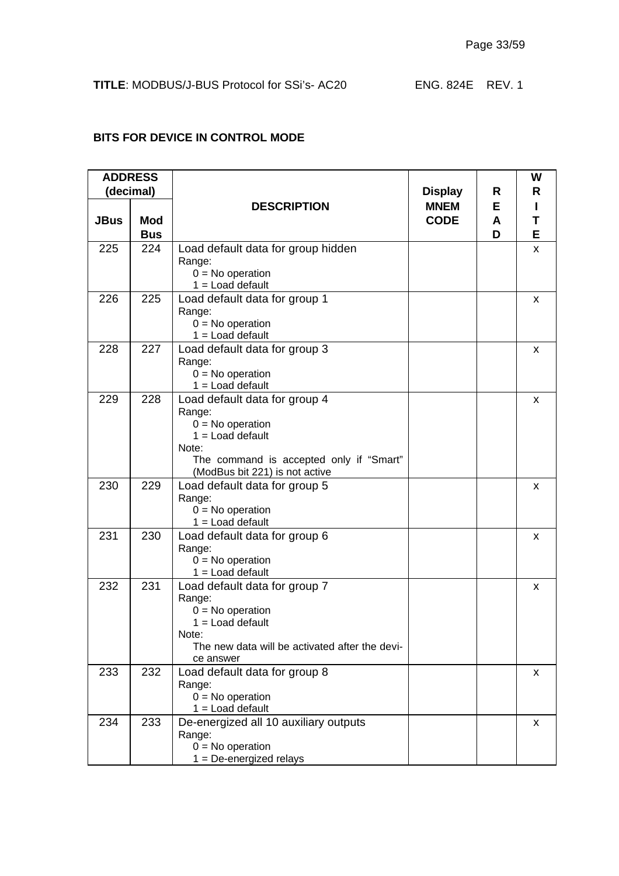| <b>ADDRESS</b><br>(decimal) |                          |                                                                                                                                                                           | <b>Display</b>             | R           | W<br>R      |
|-----------------------------|--------------------------|---------------------------------------------------------------------------------------------------------------------------------------------------------------------------|----------------------------|-------------|-------------|
| <b>JBus</b>                 | <b>Mod</b><br><b>Bus</b> | <b>DESCRIPTION</b>                                                                                                                                                        | <b>MNEM</b><br><b>CODE</b> | Е<br>A<br>D | Ш<br>Τ<br>E |
| 225                         | 224                      | Load default data for group hidden<br>Range:<br>$0 = No operation$<br>$1 =$ Load default                                                                                  |                            |             | X           |
| 226                         | 225                      | Load default data for group 1<br>Range:<br>$0 = No operation$<br>$1 =$ Load default                                                                                       |                            |             | x           |
| 228                         | 227                      | Load default data for group 3<br>Range:<br>$0 = No$ operation<br>$1 =$ Load default                                                                                       |                            |             | x           |
| 229                         | 228                      | Load default data for group 4<br>Range:<br>$0 = No operation$<br>$1 =$ Load default<br>Note:<br>The command is accepted only if "Smart"<br>(ModBus bit 221) is not active |                            |             | x           |
| 230                         | 229                      | Load default data for group 5<br>Range:<br>$0 = No operation$<br>$1 =$ Load default                                                                                       |                            |             | x           |
| 231                         | 230                      | Load default data for group 6<br>Range:<br>$0 = No operation$<br>$1 =$ Load default                                                                                       |                            |             | X           |
| 232                         | 231                      | Load default data for group 7<br>Range:<br>$0 = No operation$<br>$1 =$ Load default<br>Note:<br>The new data will be activated after the devi-<br>ce answer               |                            |             | X           |
| 233                         | 232                      | Load default data for group 8<br>Range:<br>$0 = No operation$<br>$1 =$ Load default                                                                                       |                            |             | x           |
| 234                         | 233                      | De-energized all 10 auxiliary outputs<br>Range:<br>$0 = No operation$<br>$1 = De-energized$ relays                                                                        |                            |             | X           |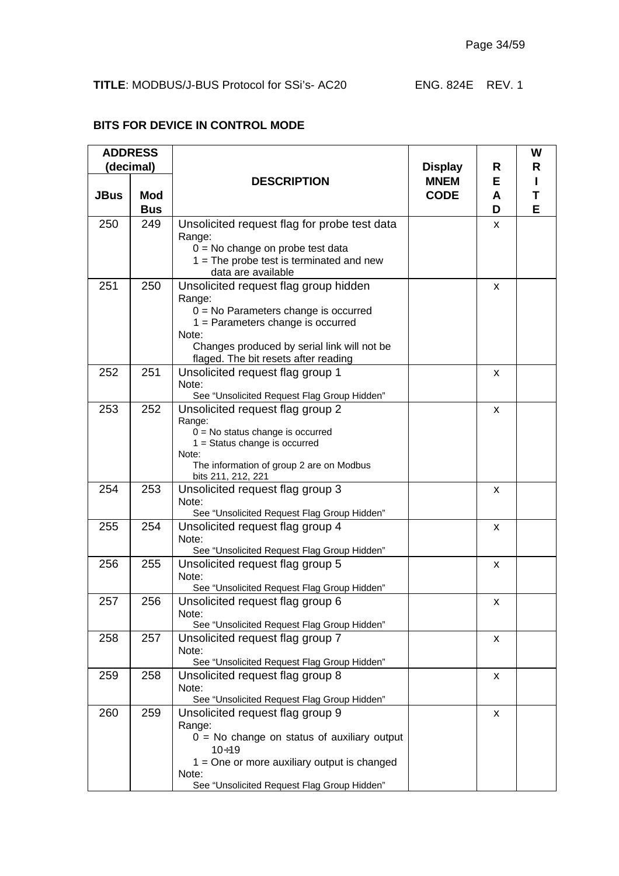| <b>ADDRESS</b><br>(decimal) |                          |                                                                                                                                                                                                                                  | <b>Display</b><br>R        | W<br>R      |        |
|-----------------------------|--------------------------|----------------------------------------------------------------------------------------------------------------------------------------------------------------------------------------------------------------------------------|----------------------------|-------------|--------|
| <b>JBus</b>                 | <b>Mod</b><br><b>Bus</b> | <b>DESCRIPTION</b>                                                                                                                                                                                                               | <b>MNEM</b><br><b>CODE</b> | Е<br>A<br>D | т<br>Е |
| 250                         | 249                      | Unsolicited request flag for probe test data<br>Range:<br>$0 = No$ change on probe test data<br>$1 =$ The probe test is terminated and new<br>data are available                                                                 |                            | x           |        |
| 251                         | 250                      | Unsolicited request flag group hidden<br>Range:<br>$0 = No$ Parameters change is occurred<br>$1 =$ Parameters change is occurred<br>Note:<br>Changes produced by serial link will not be<br>flaged. The bit resets after reading |                            | x           |        |
| 252                         | 251                      | Unsolicited request flag group 1<br>Note:<br>See "Unsolicited Request Flag Group Hidden"                                                                                                                                         |                            | X           |        |
| 253                         | 252                      | Unsolicited request flag group 2<br>Range:<br>$0 = No$ status change is occurred<br>$1 =$ Status change is occurred<br>Note:<br>The information of group 2 are on Modbus<br>bits 211, 212, 221                                   |                            | X           |        |
| 254                         | 253                      | Unsolicited request flag group 3<br>Note:<br>See "Unsolicited Request Flag Group Hidden"                                                                                                                                         |                            | x           |        |
| 255                         | 254                      | Unsolicited request flag group 4<br>Note:<br>See "Unsolicited Request Flag Group Hidden"                                                                                                                                         |                            | x           |        |
| 256                         | 255                      | Unsolicited request flag group 5<br>Note:<br>See "Unsolicited Request Flag Group Hidden"                                                                                                                                         |                            | x           |        |
| 257                         | 256                      | Unsolicited request flag group 6<br>Note:<br>See "Unsolicited Request Flag Group Hidden"                                                                                                                                         |                            | X           |        |
| 258                         | 257                      | Unsolicited request flag group 7<br>Note:<br>See "Unsolicited Request Flag Group Hidden"                                                                                                                                         |                            | X           |        |
| 259                         | 258                      | Unsolicited request flag group 8<br>Note:<br>See "Unsolicited Request Flag Group Hidden"                                                                                                                                         |                            | X           |        |
| 260                         | 259                      | Unsolicited request flag group 9<br>Range:<br>$0 = No$ change on status of auxiliary output<br>$10 + 19$<br>$1 =$ One or more auxiliary output is changed<br>Note:<br>See "Unsolicited Request Flag Group Hidden"                |                            | X           |        |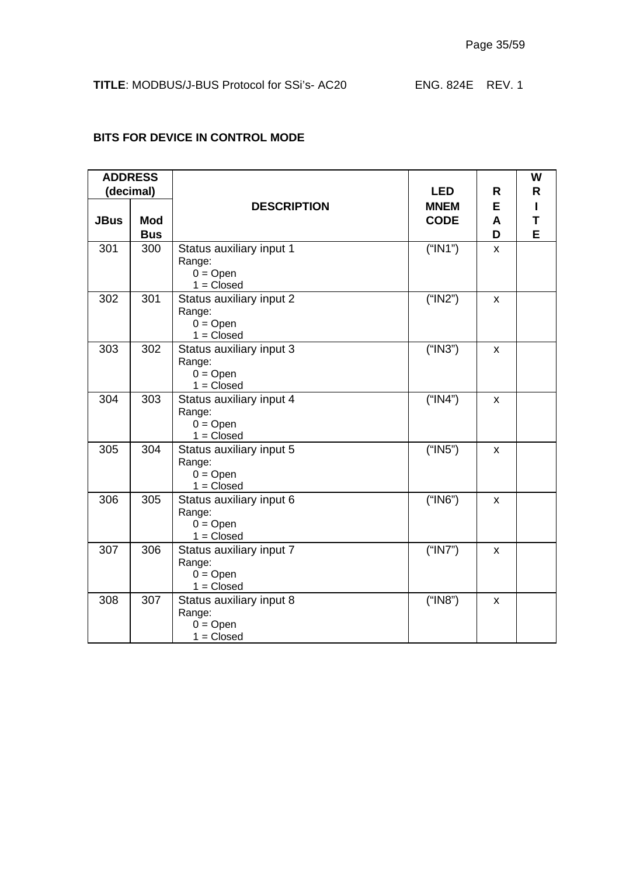|             | <b>ADDRESS</b><br>(decimal) |                                                                         | <b>LED</b>  | R      | W<br>R |
|-------------|-----------------------------|-------------------------------------------------------------------------|-------------|--------|--------|
|             |                             | <b>DESCRIPTION</b>                                                      | <b>MNEM</b> | E      |        |
| <b>JBus</b> | <b>Mod</b><br><b>Bus</b>    |                                                                         | <b>CODE</b> | A<br>D | T<br>E |
| 301         | 300                         | Status auxiliary input 1<br>Range:<br>$0 = Open$<br>$1 = Closed$        | ("IN1")     | X      |        |
| 302         | 301                         | Status auxiliary input 2<br>Range:<br>$0 = Open$<br>$1 = Closed$        | ("IN2")     | X      |        |
| 303         | 302                         | Status auxiliary input 3<br>Range:<br>$0 = Open$<br>$1 = Closed$        | ("IN3")     | X      |        |
| 304         | 303                         | Status auxiliary input 4<br>Range:<br>$0 = Open$<br>$1 = Closed$        | ("IN4")     | X      |        |
| 305         | 304                         | Status auxiliary input 5<br>Range:<br>$0 = Open$<br>$1 = Closed$        | ("IN5")     | x      |        |
| 306         | 305                         | Status auxiliary input 6<br>Range:<br>$0 = Open$<br>$1 = Closed$        | ("IN6")     | x      |        |
| 307         | 306                         | Status auxiliary input 7<br>Range:<br>$0 = Open$<br>$1 = Closed$        | ("IN7")     | X      |        |
| 308         | 307                         | Status auxiliary input 8<br>Range:<br>$0 = \text{Open}$<br>$1 = Closed$ | ("IN8")     | X      |        |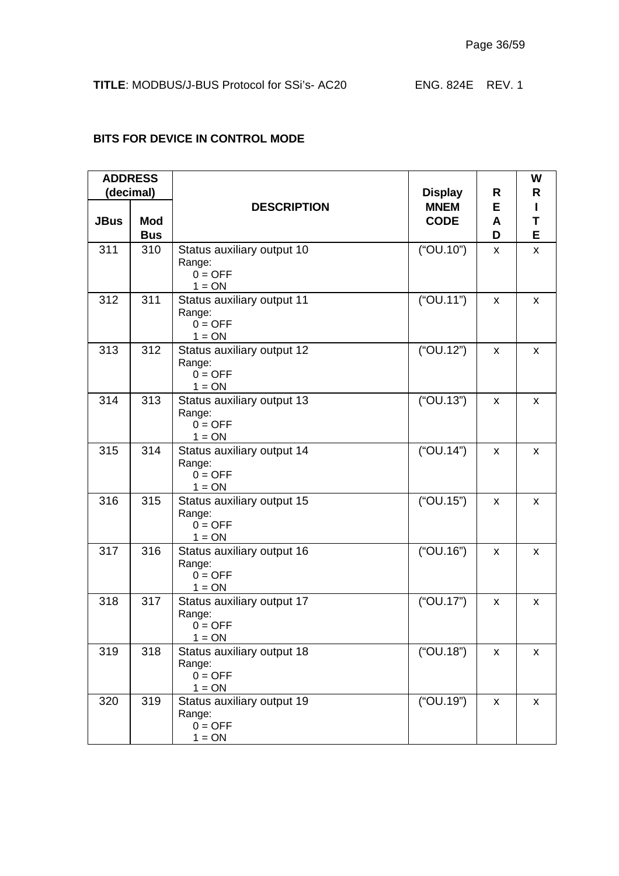|             | <b>ADDRESS</b>           |                                                               |                            |             | W           |
|-------------|--------------------------|---------------------------------------------------------------|----------------------------|-------------|-------------|
|             | (decimal)                |                                                               | <b>Display</b><br>R        |             | R           |
| <b>JBus</b> | <b>Mod</b><br><b>Bus</b> | <b>DESCRIPTION</b>                                            | <b>MNEM</b><br><b>CODE</b> | Е<br>A<br>D | L<br>T<br>E |
| 311         | 310                      | Status auxiliary output 10<br>Range:<br>$0 = OFF$<br>$1 = ON$ | ("OU.10")                  | X           | X           |
| 312         | 311                      | Status auxiliary output 11<br>Range:<br>$0 = OFF$<br>$1 = ON$ | ("OU.11")                  | X           | X           |
| 313         | 312                      | Status auxiliary output 12<br>Range:<br>$0 = OFF$<br>$1 = ON$ | ("OU.12")                  | x           | X           |
| 314         | 313                      | Status auxiliary output 13<br>Range:<br>$0 = OFF$<br>$1 = ON$ | ("OU.13")                  | x           | x           |
| 315         | 314                      | Status auxiliary output 14<br>Range:<br>$0 = OFF$<br>$1 = ON$ | ("OU.14")                  | x           | x           |
| 316         | 315                      | Status auxiliary output 15<br>Range:<br>$0 = OFF$<br>$1 = ON$ | ("OU.15")                  | x           | x           |
| 317         | 316                      | Status auxiliary output 16<br>Range:<br>$0 = OFF$<br>$1 = ON$ | ("OU.16")                  | x           | x           |
| 318         | 317                      | Status auxiliary output 17<br>Range:<br>$0 = OFF$<br>$1 = ON$ | ("OU.17")                  | x           | x           |
| 319         | 318                      | Status auxiliary output 18<br>Range:<br>$0 = OFF$<br>$1 = ON$ | ("OU.18")                  | X           | X           |
| 320         | 319                      | Status auxiliary output 19<br>Range:<br>$0 = OFF$<br>$1 = ON$ | ("OU.19")                  | X           | X           |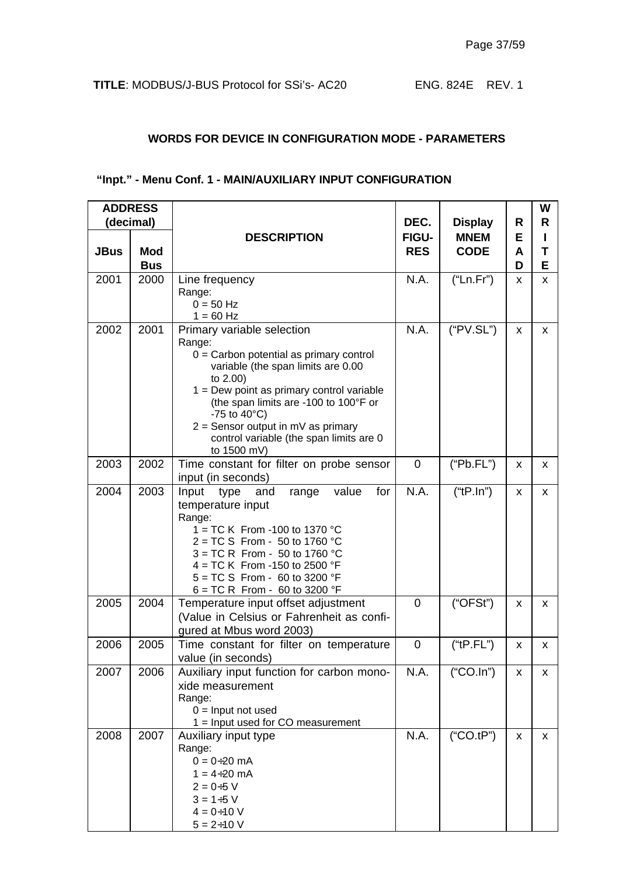#### **WORDS FOR DEVICE IN CONFIGURATION MODE - PARAMETERS**

## **"Inpt." - Menu Conf. 1 - MAIN/AUXILIARY INPUT CONFIGURATION**

| <b>ADDRESS</b><br>(decimal) |                          |                                                                                                                                                                                                                                                                                                                                                         | DEC.                | <b>Display</b>             | R           | W<br>R      |
|-----------------------------|--------------------------|---------------------------------------------------------------------------------------------------------------------------------------------------------------------------------------------------------------------------------------------------------------------------------------------------------------------------------------------------------|---------------------|----------------------------|-------------|-------------|
| <b>JBus</b>                 | <b>Mod</b><br><b>Bus</b> | <b>DESCRIPTION</b>                                                                                                                                                                                                                                                                                                                                      | FIGU-<br><b>RES</b> | <b>MNEM</b><br><b>CODE</b> | E<br>A<br>D | п<br>Т<br>Е |
| 2001                        | 2000                     | Line frequency<br>Range:<br>$0 = 50$ Hz<br>$1 = 60$ Hz                                                                                                                                                                                                                                                                                                  | N.A.                | ("Ln.Fr")                  | X           | X           |
| 2002                        | 2001                     | Primary variable selection<br>Range:<br>$0 =$ Carbon potential as primary control<br>variable (the span limits are 0.00<br>to 2.00)<br>$1 =$ Dew point as primary control variable<br>(the span limits are -100 to 100°F or<br>-75 to $40^{\circ}$ C)<br>$2 =$ Sensor output in mV as primary<br>control variable (the span limits are 0<br>to 1500 mV) | N.A.                | ("PV.SL")                  | X           | X           |
| 2003                        | 2002                     | Time constant for filter on probe sensor<br>input (in seconds)                                                                                                                                                                                                                                                                                          | $\mathbf 0$         | ("Pb.FL")                  | X           | X           |
| 2004                        | 2003                     | value<br>for<br>Input<br>type<br>and<br>range<br>temperature input<br>Range:<br>1 = TC K From -100 to 1370 °C<br>$2 = TC S$ From - 50 to 1760 °C<br>$3 = TC R$ From - 50 to 1760 °C<br>4 = TC K From -150 to 2500 $\degree$ F<br>$5 = TC S$ From - 60 to 3200 °F<br>$6 = TC R$ From - 60 to 3200 °F                                                     | N.A.                | $("tP-In")$                | X           | x           |
| 2005                        | 2004                     | Temperature input offset adjustment<br>(Value in Celsius or Fahrenheit as confi-<br>gured at Mbus word 2003)                                                                                                                                                                                                                                            | $\overline{0}$      | ("OFSt")                   | X           | x           |
| 2006                        | 2005                     | Time constant for filter on temperature<br>value (in seconds)                                                                                                                                                                                                                                                                                           | 0                   | ("tP.FL")                  | X           | X           |
| 2007                        | 2006                     | Auxiliary input function for carbon mono-<br>xide measurement<br>Range:<br>$0 =$ Input not used<br>$1 =$ Input used for CO measurement                                                                                                                                                                                                                  | N.A.                | $("CO-In")$                | X           | X           |
| 2008                        | 2007                     | Auxiliary input type<br>Range:<br>$0 = 0 \div 20$ mA<br>$1 = 4 \div 20$ mA<br>$2 = 0.5 V$<br>$3 = 1 + 5 V$<br>$4 = 0 \div 10$ V<br>$5 = 2 \div 10$ V                                                                                                                                                                                                    | N.A.                | ("CO.tP")                  | X           | X           |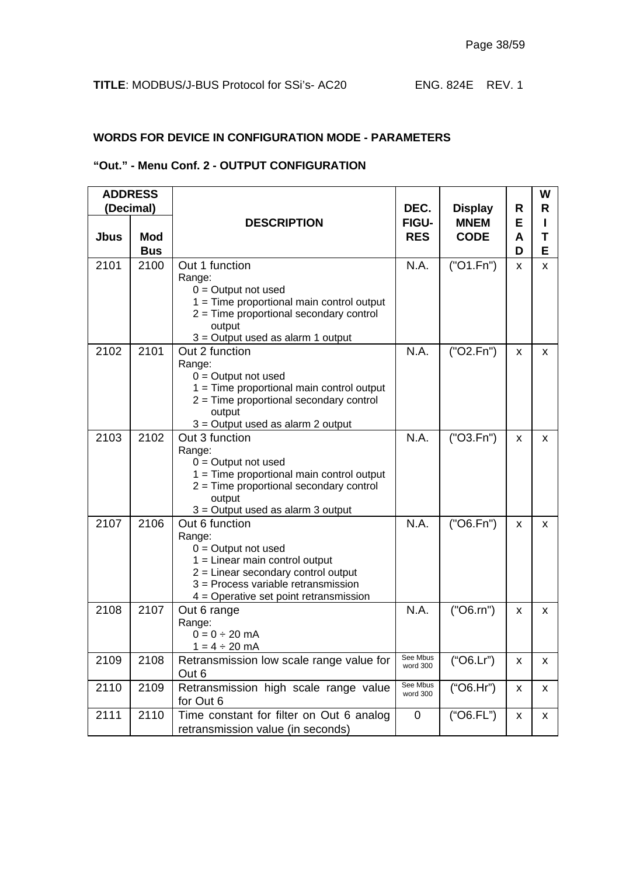#### **WORDS FOR DEVICE IN CONFIGURATION MODE - PARAMETERS**

#### **"Out." - Menu Conf. 2 - OUTPUT CONFIGURATION**

|             | <b>ADDRESS</b>           |                                                                                                                                                                                                                 |                            |                            |             | W      |
|-------------|--------------------------|-----------------------------------------------------------------------------------------------------------------------------------------------------------------------------------------------------------------|----------------------------|----------------------------|-------------|--------|
|             | (Decimal)                |                                                                                                                                                                                                                 | DEC.                       | <b>Display</b>             | R           | R      |
| <b>Jbus</b> | <b>Mod</b><br><b>Bus</b> | <b>DESCRIPTION</b>                                                                                                                                                                                              | <b>FIGU-</b><br><b>RES</b> | <b>MNEM</b><br><b>CODE</b> | Е<br>A<br>D | Τ<br>E |
| 2101        | 2100                     | Out 1 function<br>Range:<br>$0 =$ Output not used<br>$1 =$ Time proportional main control output<br>$2 =$ Time proportional secondary control<br>output<br>$3$ = Output used as alarm 1 output                  | N.A.                       | ('O1.Fn")                  | X           | x      |
| 2102        | 2101                     | Out 2 function<br>Range:<br>$0 =$ Output not used<br>$1 =$ Time proportional main control output<br>$2 =$ Time proportional secondary control<br>output<br>$3$ = Output used as alarm 2 output                  | N.A.                       | ("O2.Fn")                  | X           | X      |
| 2103        | 2102                     | Out 3 function<br>Range:<br>$0 =$ Output not used<br>$1 =$ Time proportional main control output<br>$2 =$ Time proportional secondary control<br>output<br>$3$ = Output used as alarm $3$ output                | N.A.                       | ("O3.Fn")                  | X           | x      |
| 2107        | 2106                     | Out 6 function<br>Range:<br>$0 =$ Output not used<br>$1 =$ Linear main control output<br>$2$ = Linear secondary control output<br>3 = Process variable retransmission<br>4 = Operative set point retransmission | N.A.                       | ("O6.Fn")                  | X           | x      |
| 2108        | 2107                     | Out 6 range<br>Range:<br>$0 = 0 \div 20$ mA<br>$1 = 4 \div 20$ mA                                                                                                                                               | N.A.                       | (''O6.rn")                 | X           | x      |
| 2109        | 2108                     | Retransmission low scale range value for<br>Out 6                                                                                                                                                               | See Mbus<br>word 300       | ("O6.Lr")                  | X           | x.     |
| 2110        | 2109                     | Retransmission high scale range value<br>for Out 6                                                                                                                                                              | See Mbus<br>word 300       | ("O6.Hr")                  | X           | x.     |
| 2111        | 2110                     | Time constant for filter on Out 6 analog<br>retransmission value (in seconds)                                                                                                                                   | $\mathbf 0$                | ("O6.FL")                  | X           | x      |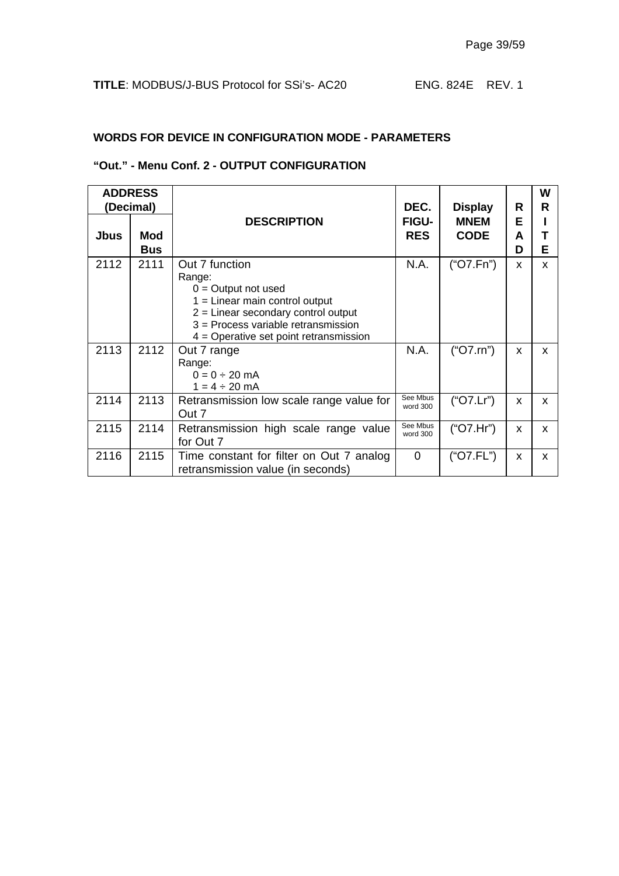#### **WORDS FOR DEVICE IN CONFIGURATION MODE - PARAMETERS**

#### **"Out." - Menu Conf. 2 - OUTPUT CONFIGURATION**

|             | <b>ADDRESS</b><br>(Decimal) |                                                                                                                                                                                                                     | DEC.                       | <b>Display</b>             | R           | W<br>R |
|-------------|-----------------------------|---------------------------------------------------------------------------------------------------------------------------------------------------------------------------------------------------------------------|----------------------------|----------------------------|-------------|--------|
| <b>Jbus</b> | <b>Mod</b><br><b>Bus</b>    | <b>DESCRIPTION</b>                                                                                                                                                                                                  | <b>FIGU-</b><br><b>RES</b> | <b>MNEM</b><br><b>CODE</b> | Е<br>A<br>D | Е      |
| 2112        | 2111                        | Out 7 function<br>Range:<br>$0 =$ Output not used<br>$1 =$ Linear main control output<br>$2$ = Linear secondary control output<br>$3$ = Process variable retransmission<br>$4$ = Operative set point retransmission | N.A.                       | ("O7.Fn")                  | x           | x      |
| 2113        | 2112                        | Out 7 range<br>Range:<br>$0 = 0 \div 20$ mA<br>$1 = 4 \div 20$ mA                                                                                                                                                   | N.A.                       | ("O7.rn")                  | X           | x      |
| 2114        | 2113                        | Retransmission low scale range value for<br>Out 7                                                                                                                                                                   | See Mbus<br>word 300       | ("O7.Lr")                  | X           | X      |
| 2115        | 2114                        | Retransmission high scale range value<br>for Out 7                                                                                                                                                                  | See Mbus<br>word 300       | ("O7.Hr")                  | X           | X      |
| 2116        | 2115                        | Time constant for filter on Out 7 analog<br>retransmission value (in seconds)                                                                                                                                       | $\overline{0}$             | ("O7.FL")                  | X           | x      |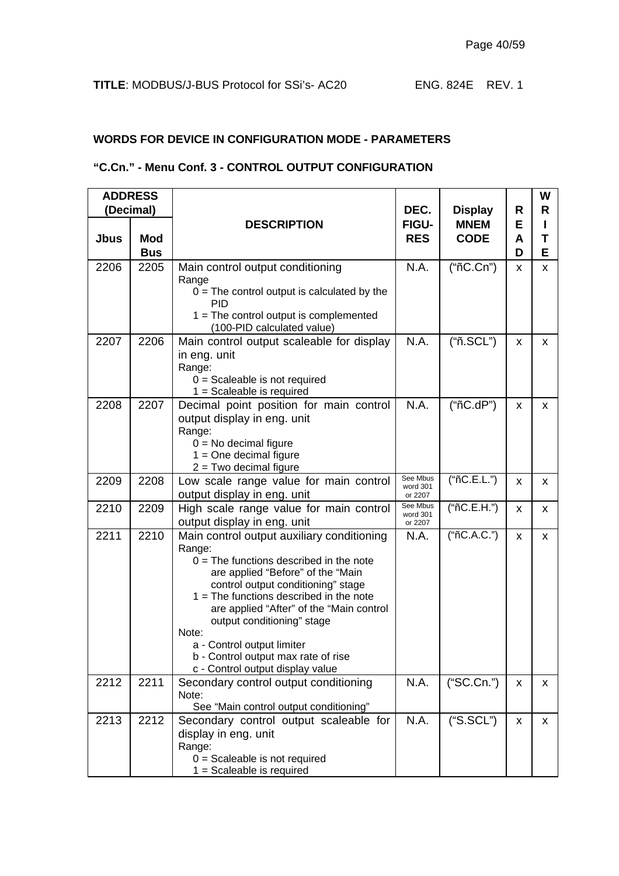#### **WORDS FOR DEVICE IN CONFIGURATION MODE - PARAMETERS**

## **"C.Cn." - Menu Conf. 3 - CONTROL OUTPUT CONFIGURATION**

|      | <b>ADDRESS</b><br>(Decimal) |                                                                                                                                                                                                                                                                                                                                                                                                                       | DEC.                            |                            | <b>Display</b><br>R |             |
|------|-----------------------------|-----------------------------------------------------------------------------------------------------------------------------------------------------------------------------------------------------------------------------------------------------------------------------------------------------------------------------------------------------------------------------------------------------------------------|---------------------------------|----------------------------|---------------------|-------------|
| Jbus | <b>Mod</b><br><b>Bus</b>    | <b>DESCRIPTION</b>                                                                                                                                                                                                                                                                                                                                                                                                    | <b>FIGU-</b><br><b>RES</b>      | <b>MNEM</b><br><b>CODE</b> | Е<br>A<br>D         | R<br>т<br>Е |
| 2206 | 2205                        | Main control output conditioning<br>Range<br>$0 =$ The control output is calculated by the<br><b>PID</b><br>$1 =$ The control output is complemented<br>(100-PID calculated value)                                                                                                                                                                                                                                    | N.A.                            | ("nC.Cn")                  | X                   | x           |
| 2207 | 2206                        | Main control output scaleable for display<br>in eng. unit<br>Range:<br>$0 =$ Scaleable is not required<br>$1 =$ Scaleable is required                                                                                                                                                                                                                                                                                 | N.A.                            | ("ñ.SCL")                  | X                   | x           |
| 2208 | 2207                        | Decimal point position for main control<br>output display in eng. unit<br>Range:<br>$0 = No$ decimal figure<br>$1 = One decimal figure$<br>$2 = Two decimal figure$                                                                                                                                                                                                                                                   | N.A.                            | ("nC.dP")                  | X                   | X.          |
| 2209 | 2208                        | Low scale range value for main control<br>output display in eng. unit                                                                                                                                                                                                                                                                                                                                                 | See Mbus<br>word 301<br>or 2207 | ("nC.E.L.")                | X                   | x           |
| 2210 | 2209                        | High scale range value for main control<br>output display in eng. unit                                                                                                                                                                                                                                                                                                                                                | See Mbus<br>word 301<br>or 2207 | ("nC.E.H.")                | X                   | x.          |
| 2211 | 2210                        | Main control output auxiliary conditioning<br>Range:<br>$0 =$ The functions described in the note<br>are applied "Before" of the "Main<br>control output conditioning" stage<br>$1 =$ The functions described in the note<br>are applied "After" of the "Main control<br>output conditioning" stage<br>Note:<br>a - Control output limiter<br>b - Control output max rate of rise<br>c - Control output display value | N.A.                            | ("nC.A.C.")                | x                   | x           |
| 2212 | 2211                        | Secondary control output conditioning<br>Note:<br>See "Main control output conditioning"                                                                                                                                                                                                                                                                                                                              | N.A.                            | ("SC.Cn.")                 | X                   | x.          |
| 2213 | 2212                        | Secondary control output scaleable for<br>display in eng. unit<br>Range:<br>$0 =$ Scaleable is not required<br>$1 =$ Scaleable is required                                                                                                                                                                                                                                                                            | N.A.                            | ("S.SCL")                  | X                   | x           |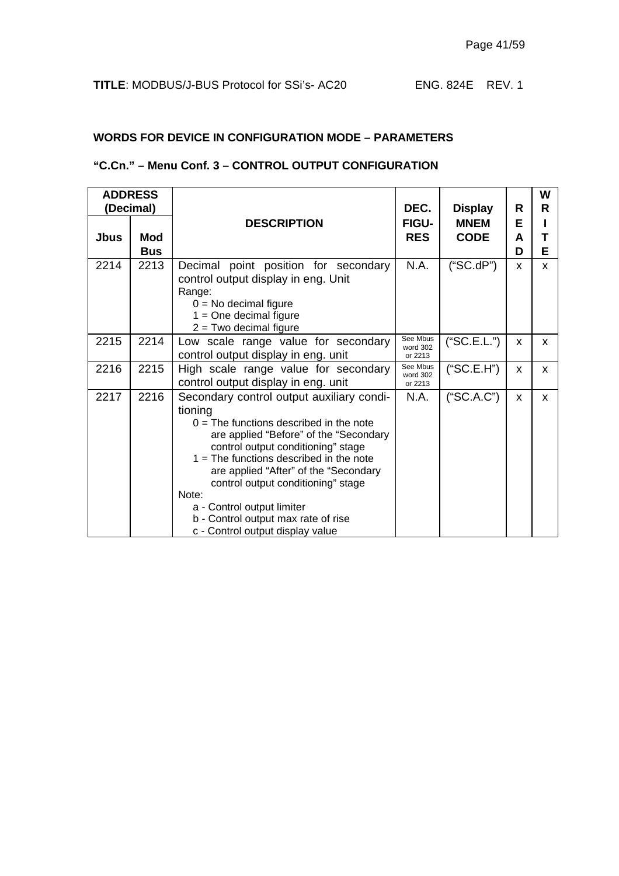#### **WORDS FOR DEVICE IN CONFIGURATION MODE – PARAMETERS**

#### **"C.Cn." – Menu Conf. 3 – CONTROL OUTPUT CONFIGURATION**

|      | <b>ADDRESS</b><br>(Decimal) |                                                                                                                                                                                                                                                                                                                                                                                                                                 | DEC.                            | <b>Display</b>             | R           | W<br>R   |
|------|-----------------------------|---------------------------------------------------------------------------------------------------------------------------------------------------------------------------------------------------------------------------------------------------------------------------------------------------------------------------------------------------------------------------------------------------------------------------------|---------------------------------|----------------------------|-------------|----------|
| Jbus | Mod<br><b>Bus</b>           | <b>DESCRIPTION</b>                                                                                                                                                                                                                                                                                                                                                                                                              | FIGU-<br><b>RES</b>             | <b>MNEM</b><br><b>CODE</b> | Е<br>A<br>D | Е        |
| 2214 | 2213                        | Decimal point position for secondary<br>control output display in eng. Unit<br>Range:<br>$0 = No$ decimal figure<br>$1 = One decimal figure$<br>$2 = Two decimal figure$                                                                                                                                                                                                                                                        | N.A.                            | ("SC.dP")                  | X           | X        |
| 2215 | 2214                        | Low scale range value for secondary<br>control output display in eng. unit                                                                                                                                                                                                                                                                                                                                                      | See Mbus<br>word 302<br>or 2213 | ("SC.E.L.")                | x           | X.       |
| 2216 | 2215                        | High scale range value for secondary<br>control output display in eng. unit                                                                                                                                                                                                                                                                                                                                                     | See Mbus<br>word 302<br>or 2213 | ("SC.E.H")                 | X           | <b>X</b> |
| 2217 | 2216                        | Secondary control output auxiliary condi-<br>tioning<br>$0 =$ The functions described in the note<br>are applied "Before" of the "Secondary<br>control output conditioning" stage<br>$1 =$ The functions described in the note<br>are applied "After" of the "Secondary<br>control output conditioning" stage<br>Note:<br>a - Control output limiter<br>b - Control output max rate of rise<br>c - Control output display value | N.A.                            | ("SC.A.C")                 | X           | <b>X</b> |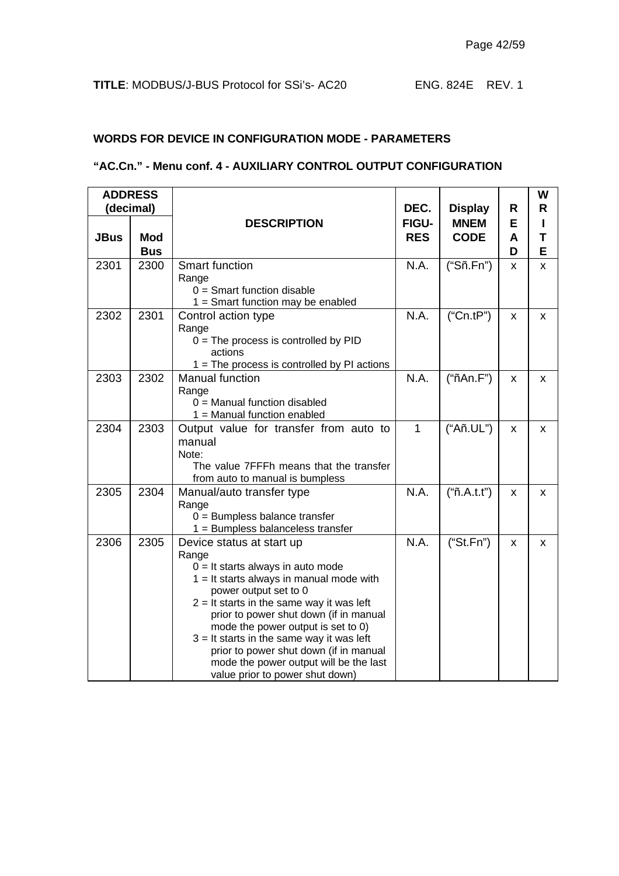#### **WORDS FOR DEVICE IN CONFIGURATION MODE - PARAMETERS**

#### **"AC.Cn." - Menu conf. 4 - AUXILIARY CONTROL OUTPUT CONFIGURATION**

|             | <b>ADDRESS</b>           |                                                                                                                                                                                                                                                                                                                                                                                                                                                       |                      |                               |        | W      |
|-------------|--------------------------|-------------------------------------------------------------------------------------------------------------------------------------------------------------------------------------------------------------------------------------------------------------------------------------------------------------------------------------------------------------------------------------------------------------------------------------------------------|----------------------|-------------------------------|--------|--------|
|             | (decimal)                | <b>DESCRIPTION</b>                                                                                                                                                                                                                                                                                                                                                                                                                                    | DEC.<br><b>FIGU-</b> | <b>Display</b><br><b>MNEM</b> | R<br>Е | R      |
| <b>JBus</b> | <b>Mod</b><br><b>Bus</b> |                                                                                                                                                                                                                                                                                                                                                                                                                                                       | <b>RES</b>           | <b>CODE</b>                   | A<br>D | Т<br>E |
| 2301        | 2300                     | <b>Smart function</b><br>Range<br>$0 =$ Smart function disable<br>$1 =$ Smart function may be enabled                                                                                                                                                                                                                                                                                                                                                 | N.A.                 | ("Sñ.Fn")                     | X      | X      |
| 2302        | 2301                     | Control action type<br>Range<br>$0 =$ The process is controlled by PID<br>actions<br>$1 =$ The process is controlled by PI actions                                                                                                                                                                                                                                                                                                                    | N.A.                 | ("Cn.tP")                     | X      | X      |
| 2303        | 2302                     | Manual function<br>Range<br>$0 =$ Manual function disabled<br>$1 =$ Manual function enabled                                                                                                                                                                                                                                                                                                                                                           | N.A.                 | ("ñAn.F")                     | x      | X      |
| 2304        | 2303                     | Output value for transfer from auto to<br>manual<br>Note:<br>The value 7FFFh means that the transfer<br>from auto to manual is bumpless                                                                                                                                                                                                                                                                                                               | $\mathbf{1}$         | ("Añ.UL")                     | X      | X      |
| 2305        | 2304                     | Manual/auto transfer type<br>Range<br>$0 =$ Bumpless balance transfer<br>1 = Bumpless balanceless transfer                                                                                                                                                                                                                                                                                                                                            | N.A.                 | ("ñ.A.t.")                    | x      | X      |
| 2306        | 2305                     | Device status at start up<br>Range<br>$0 =$ It starts always in auto mode<br>$1 =$ It starts always in manual mode with<br>power output set to 0<br>$2 =$ It starts in the same way it was left<br>prior to power shut down (if in manual<br>mode the power output is set to 0)<br>$3 =$ It starts in the same way it was left<br>prior to power shut down (if in manual<br>mode the power output will be the last<br>value prior to power shut down) | N.A.                 | ("St.Fn")                     | X      | X      |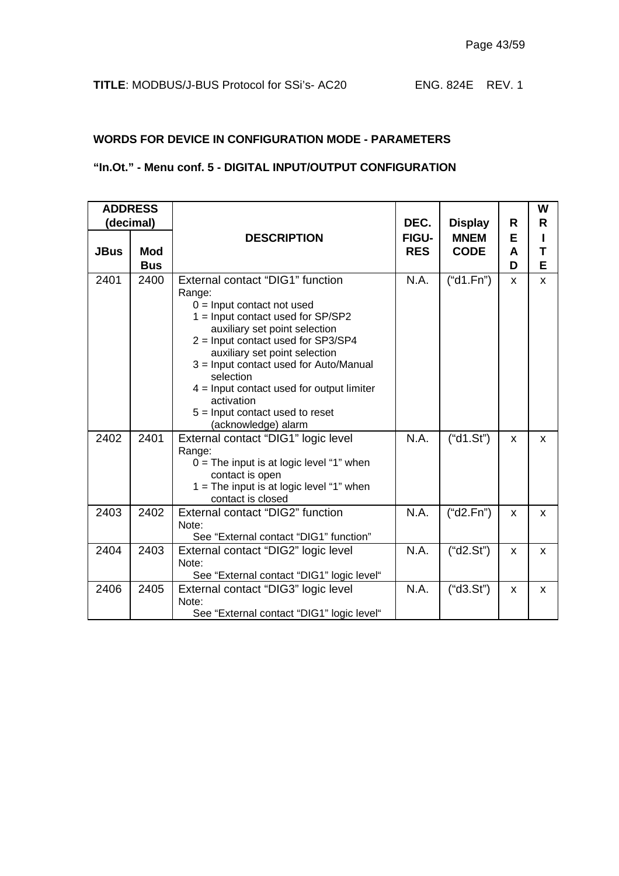#### **WORDS FOR DEVICE IN CONFIGURATION MODE - PARAMETERS**

## **"In.Ot." - Menu conf. 5 - DIGITAL INPUT/OUTPUT CONFIGURATION**

|             | <b>ADDRESS</b> |                                                     |              |                |   | W |
|-------------|----------------|-----------------------------------------------------|--------------|----------------|---|---|
|             | (decimal)      |                                                     | DEC.         | <b>Display</b> | R | R |
|             |                | <b>DESCRIPTION</b>                                  | <b>FIGU-</b> | <b>MNEM</b>    | Е | L |
| <b>JBus</b> | <b>Mod</b>     |                                                     | <b>RES</b>   | <b>CODE</b>    | A | т |
|             | <b>Bus</b>     |                                                     |              |                | D | Е |
| 2401        | 2400           | External contact "DIG1" function                    | N.A.         | ("d1.Fn")      | X | X |
|             |                | Range:                                              |              |                |   |   |
|             |                | $0 =$ Input contact not used                        |              |                |   |   |
|             |                | $1 =$ Input contact used for SP/SP2                 |              |                |   |   |
|             |                | auxiliary set point selection                       |              |                |   |   |
|             |                | 2 = Input contact used for SP3/SP4                  |              |                |   |   |
|             |                | auxiliary set point selection                       |              |                |   |   |
|             |                | 3 = Input contact used for Auto/Manual<br>selection |              |                |   |   |
|             |                | $4 =$ Input contact used for output limiter         |              |                |   |   |
|             |                | activation                                          |              |                |   |   |
|             |                | $5 =$ Input contact used to reset                   |              |                |   |   |
|             |                | (acknowledge) alarm                                 |              |                |   |   |
| 2402        | 2401           | External contact "DIG1" logic level                 | N.A.         | ("d1.Sť")      | X | X |
|             |                | Range:                                              |              |                |   |   |
|             |                | $0 =$ The input is at logic level "1" when          |              |                |   |   |
|             |                | contact is open                                     |              |                |   |   |
|             |                | $1 =$ The input is at logic level "1" when          |              |                |   |   |
|             |                | contact is closed                                   |              |                |   |   |
| 2403        | 2402           | External contact "DIG2" function                    | N.A.         | ("d2.Fn")      | X | X |
|             |                | Note:                                               |              |                |   |   |
|             |                | See "External contact "DIG1" function"              |              |                |   |   |
| 2404        | 2403           | External contact "DIG2" logic level                 | N.A.         | ("d2.Sť")      | X | X |
|             |                | Note:                                               |              |                |   |   |
|             |                | See "External contact "DIG1" logic level"           |              |                |   |   |
| 2406        | 2405           | External contact "DIG3" logic level                 | N.A.         | ("d3.Sť")      | X | X |
|             |                | Note:                                               |              |                |   |   |
|             |                | See "External contact "DIG1" logic level"           |              |                |   |   |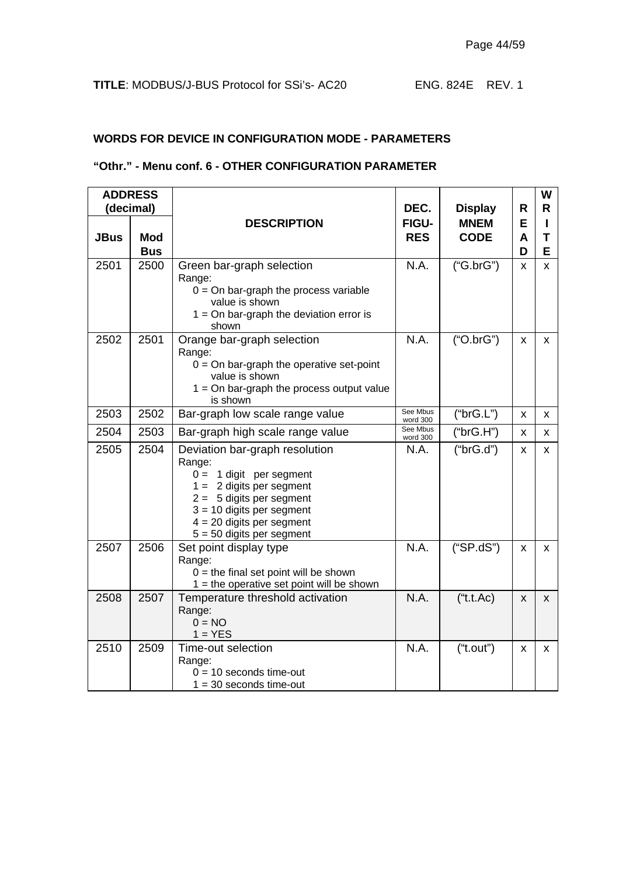#### **WORDS FOR DEVICE IN CONFIGURATION MODE - PARAMETERS**

#### **"Othr." - Menu conf. 6 - OTHER CONFIGURATION PARAMETER**

|             | <b>ADDRESS</b>           |                                                                                                                                                                                                                                |                            |                            |             | W      |
|-------------|--------------------------|--------------------------------------------------------------------------------------------------------------------------------------------------------------------------------------------------------------------------------|----------------------------|----------------------------|-------------|--------|
|             | (decimal)                |                                                                                                                                                                                                                                | DEC.                       | <b>Display</b>             | R           | R      |
| <b>JBus</b> | <b>Mod</b><br><b>Bus</b> | <b>DESCRIPTION</b>                                                                                                                                                                                                             | <b>FIGU-</b><br><b>RES</b> | <b>MNEM</b><br><b>CODE</b> | Е<br>A<br>D | Т<br>Е |
| 2501        | 2500                     | Green bar-graph selection<br>Range:<br>$0 =$ On bar-graph the process variable<br>value is shown<br>$1 =$ On bar-graph the deviation error is<br>shown                                                                         | N.A.                       | ("G.brG")                  | X           | X      |
| 2502        | 2501                     | Orange bar-graph selection<br>Range:<br>$0 =$ On bar-graph the operative set-point<br>value is shown<br>$1 =$ On bar-graph the process output value<br>is shown                                                                | N.A.                       | ("O.brG")                  | X           | x      |
| 2503        | 2502                     | Bar-graph low scale range value                                                                                                                                                                                                | See Mbus<br>word 300       | ("brG.L")                  | X           | x      |
| 2504        | 2503                     | Bar-graph high scale range value                                                                                                                                                                                               | See Mbus<br>word 300       | ("brG.H")                  | X           | x      |
| 2505        | 2504                     | Deviation bar-graph resolution<br>Range:<br>$0 = 1$ digit per segment<br>$1 = 2$ digits per segment<br>$2 = 5$ digits per segment<br>$3 = 10$ digits per segment<br>$4 = 20$ digits per segment<br>$5 = 50$ digits per segment | N.A.                       | ("b r G.d")                | X           | x      |
| 2507        | 2506                     | Set point display type<br>Range:<br>$0 =$ the final set point will be shown<br>$1 =$ the operative set point will be shown                                                                                                     | N.A.                       | ("SP.dS")                  | X           | X.     |
| 2508        | 2507                     | Temperature threshold activation<br>Range:<br>$0 = NO$<br>$1 = YES$                                                                                                                                                            | N.A.                       | ("t.t.Ac)                  | X           | X      |
| 2510        | 2509                     | Time-out selection<br>Range:<br>$0 = 10$ seconds time-out<br>$1 = 30$ seconds time-out                                                                                                                                         | N.A.                       | ("t.out")                  | X           | X      |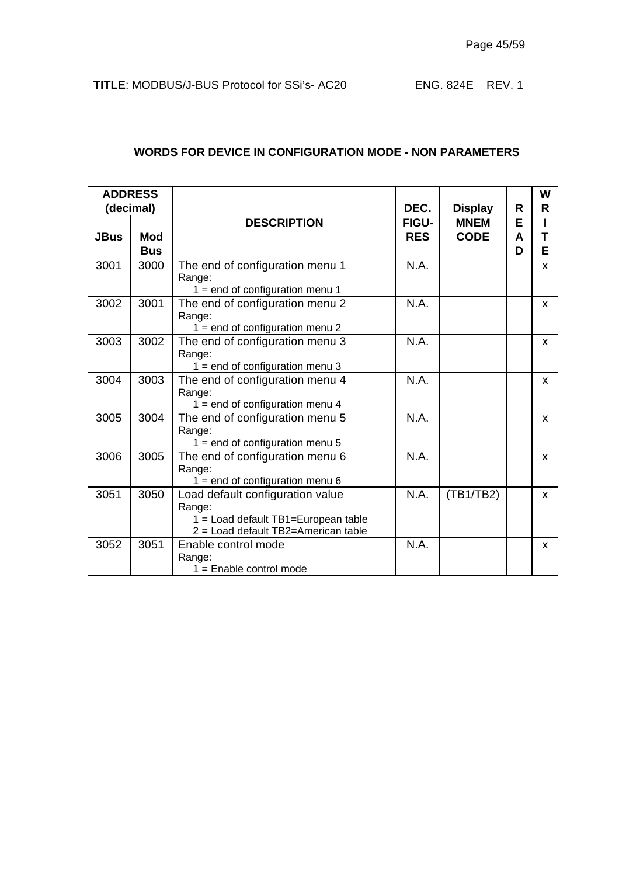|             | <b>ADDRESS</b> |                                                                                                                          |              |                |   | W            |
|-------------|----------------|--------------------------------------------------------------------------------------------------------------------------|--------------|----------------|---|--------------|
|             | (decimal)      |                                                                                                                          | DEC.         | <b>Display</b> | R | R            |
|             |                | <b>DESCRIPTION</b>                                                                                                       | <b>FIGU-</b> | <b>MNEM</b>    | Е |              |
| <b>JBus</b> | <b>Mod</b>     |                                                                                                                          | <b>RES</b>   | <b>CODE</b>    | A | т            |
|             | <b>Bus</b>     |                                                                                                                          |              |                | D | Е            |
| 3001        | 3000           | The end of configuration menu 1<br>Range:                                                                                | N.A.         |                |   | X            |
|             |                | $1 = end$ of configuration menu 1                                                                                        |              |                |   |              |
| 3002        | 3001           | The end of configuration menu 2<br>Range:                                                                                | N.A.         |                |   | X            |
|             |                | $1 = end$ of configuration menu 2                                                                                        |              |                |   |              |
| 3003        | 3002           | The end of configuration menu 3<br>Range:<br>$1 = end$ of configuration menu 3                                           | N.A.         |                |   | $\mathsf{x}$ |
| 3004        | 3003           | The end of configuration menu 4<br>Range:<br>$1 = end$ of configuration menu 4                                           | N.A.         |                |   | X            |
| 3005        | 3004           | The end of configuration menu 5<br>Range:<br>$1 = end$ of configuration menu 5                                           | N.A.         |                |   | X            |
| 3006        | 3005           | The end of configuration menu 6<br>Range:<br>$1 = end$ of configuration menu 6                                           | N.A.         |                |   | $\mathsf{x}$ |
| 3051        | 3050           | Load default configuration value<br>Range:<br>1 = Load default TB1=European table<br>2 = Load default TB2=American table | N.A.         | (TB1/TB2)      |   | $\mathsf{x}$ |
| 3052        | 3051           | Enable control mode<br>Range:<br>$1 =$ Enable control mode                                                               | N.A.         |                |   | X            |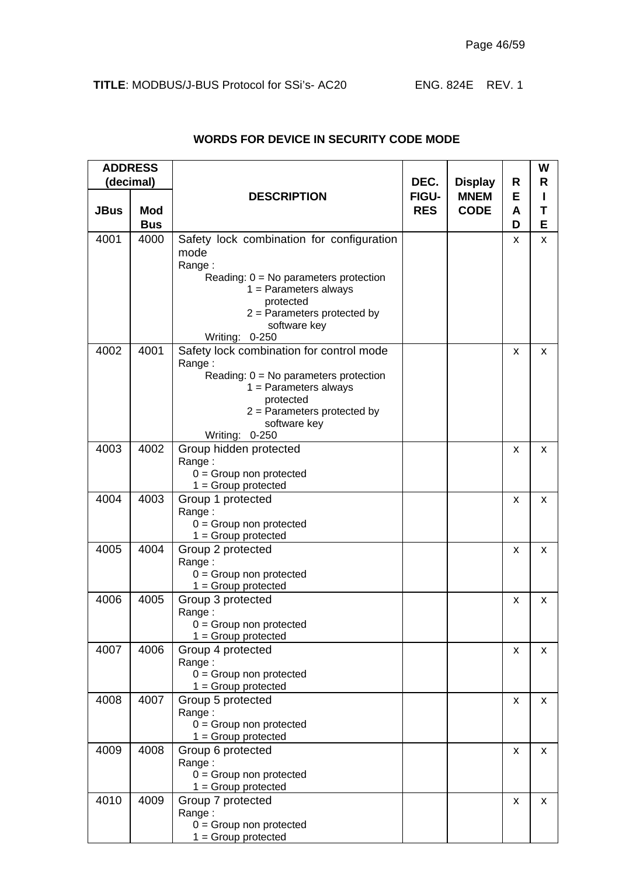| <b>ADDRESS</b><br>(decimal) |                          |                                                                                                                                                                                                                   |                             |                                              |                  | W<br>R |
|-----------------------------|--------------------------|-------------------------------------------------------------------------------------------------------------------------------------------------------------------------------------------------------------------|-----------------------------|----------------------------------------------|------------------|--------|
| <b>JBus</b>                 | <b>Mod</b><br><b>Bus</b> | <b>DESCRIPTION</b>                                                                                                                                                                                                | DEC.<br>FIGU-<br><b>RES</b> | <b>Display</b><br><b>MNEM</b><br><b>CODE</b> | R<br>E<br>A<br>D | т<br>Е |
| 4001                        | 4000                     | Safety lock combination for configuration<br>mode<br>Range:<br>Reading: $0 = No$ parameters protection<br>$1 =$ Parameters always<br>protected<br>$2$ = Parameters protected by<br>software key<br>Writing: 0-250 |                             |                                              | X                | X      |
| 4002                        | 4001                     | Safety lock combination for control mode<br>Range:<br>Reading: $0 = No$ parameters protection<br>$1 =$ Parameters always<br>protected<br>$2$ = Parameters protected by<br>software key<br>Writing: 0-250          |                             |                                              | x                | X      |
| 4003                        | 4002                     | Group hidden protected<br>Range:<br>$0 =$ Group non protected<br>$1 = Group$ protected                                                                                                                            |                             |                                              | x                | x      |
| 4004                        | 4003                     | Group 1 protected<br>Range:<br>$0 =$ Group non protected<br>$1 =$ Group protected                                                                                                                                 |                             |                                              | x                | X      |
| 4005                        | 4004                     | Group 2 protected<br>Range:<br>$0 =$ Group non protected<br>$1 =$ Group protected                                                                                                                                 |                             |                                              | x                | X      |
| 4006                        | 4005                     | Group 3 protected<br>Range:<br>$0 =$ Group non protected<br>$1 =$ Group protected                                                                                                                                 |                             |                                              | x                | x      |
| 4007                        | 4006                     | Group 4 protected<br>Range:<br>$0 =$ Group non protected<br>$1 = Group$ protected                                                                                                                                 |                             |                                              | x                | x      |
| 4008                        | 4007                     | Group 5 protected<br>Range:<br>$0 =$ Group non protected<br>$1 = Group$ protected                                                                                                                                 |                             |                                              | x                | x      |
| 4009                        | 4008                     | Group 6 protected<br>Range:<br>$0 =$ Group non protected<br>$1 = Group$ protected                                                                                                                                 |                             |                                              | x                | x      |
| 4010                        | 4009                     | Group 7 protected<br>Range:<br>$0 =$ Group non protected<br>$1 =$ Group protected                                                                                                                                 |                             |                                              | x                | x      |

#### **WORDS FOR DEVICE IN SECURITY CODE MODE**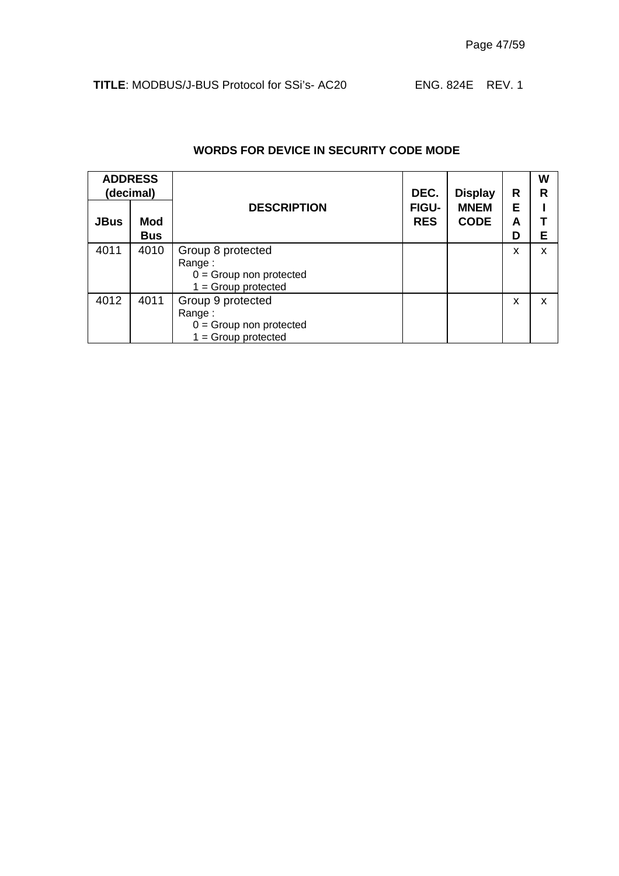|             | <b>ADDRESS</b><br>(decimal) |                                                                                   | DEC.                       | <b>Display</b>             | R           | W<br>R |
|-------------|-----------------------------|-----------------------------------------------------------------------------------|----------------------------|----------------------------|-------------|--------|
| <b>JBus</b> | <b>Mod</b><br><b>Bus</b>    | <b>DESCRIPTION</b>                                                                | <b>FIGU-</b><br><b>RES</b> | <b>MNEM</b><br><b>CODE</b> | Е<br>A<br>D | Е      |
| 4011        | 4010                        | Group 8 protected<br>Range:<br>$0 =$ Group non protected<br>$1 =$ Group protected |                            |                            | x           | X      |
| 4012        | 4011                        | Group 9 protected<br>Range:<br>$0 =$ Group non protected<br>$1 = Group$ protected |                            |                            | x           | X      |

#### **WORDS FOR DEVICE IN SECURITY CODE MODE**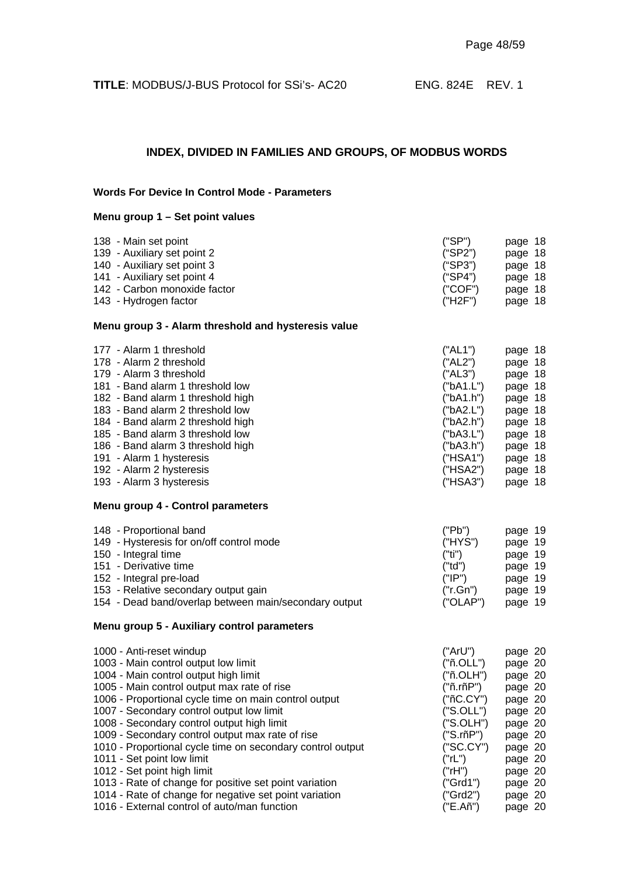## **INDEX, DIVIDED IN FAMILIES AND GROUPS, OF MODBUS WORDS**

#### **Words For Device In Control Mode - Parameters**

#### **Menu group 1 – Set point values**

| 138 - Main set point                                       | ("SP")    | page 18 |
|------------------------------------------------------------|-----------|---------|
| 139 - Auxiliary set point 2                                | ("SP2")   | page 18 |
| 140 - Auxiliary set point 3                                | ("SP3")   | page 18 |
| 141 - Auxiliary set point 4                                | ("SP4")   | page 18 |
| 142 - Carbon monoxide factor                               | ("COF")   | page 18 |
| 143 - Hydrogen factor                                      | ("H2F")   | page 18 |
| Menu group 3 - Alarm threshold and hysteresis value        |           |         |
| 177 - Alarm 1 threshold                                    | ("AL1")   | page 18 |
| 178 - Alarm 2 threshold                                    | ("AL2")   | page 18 |
| 179 - Alarm 3 threshold                                    | ("AL3")   | page 18 |
| 181 - Band alarm 1 threshold low                           | ("bA1.L") | page 18 |
| 182 - Band alarm 1 threshold high                          | ("bA1.h") | page 18 |
| 183 - Band alarm 2 threshold low                           | ("bA2.L") | page 18 |
| 184 - Band alarm 2 threshold high                          | ("bA2.h") | page 18 |
| 185 - Band alarm 3 threshold low                           | ("bA3.L") | page 18 |
| 186 - Band alarm 3 threshold high                          | ("bA3.h") | page 18 |
| 191 - Alarm 1 hysteresis                                   | ("HSA1")  | page 18 |
| 192 - Alarm 2 hysteresis                                   | ("HSA2")  | page 18 |
| 193 - Alarm 3 hysteresis                                   | ("HSA3")  | page 18 |
| Menu group 4 - Control parameters                          |           |         |
| 148 - Proportional band                                    | ("Pb")    | page 19 |
| 149 - Hysteresis for on/off control mode                   | ("HYS")   | page 19 |
| 150 - Integral time                                        | ("ti")    | page 19 |
| 151 - Derivative time                                      | ("td")    | page 19 |
| 152 - Integral pre-load                                    | ("IP")    | page 19 |
| 153 - Relative secondary output gain                       | ("r.Gn")  | page 19 |
| 154 - Dead band/overlap between main/secondary output      | ("OLAP")  | page 19 |
| Menu group 5 - Auxiliary control parameters                |           |         |
| 1000 - Anti-reset windup                                   | ("ArU")   | page 20 |
| 1003 - Main control output low limit                       | ("ñ.OLL") | page 20 |
| 1004 - Main control output high limit                      | ("ñ.OLH") | page 20 |
| 1005 - Main control output max rate of rise                | ("ñ.rñP") | page 20 |
| 1006 - Proportional cycle time on main control output      | ("ñC.CY") | page 20 |
| 1007 - Secondary control output low limit                  | ("S.OLL") | page 20 |
| 1008 - Secondary control output high limit                 | ("S.OLH") | page 20 |
| 1009 - Secondary control output max rate of rise           | ("S.rñP") | page 20 |
| 1010 - Proportional cycle time on secondary control output | ("SC.CY") | page 20 |
| 1011 - Set point low limit                                 | ("rL")    | page 20 |
| 1012 - Set point high limit                                | ("rH")    | page 20 |
| 1013 - Rate of change for positive set point variation     | ("Grd1")  | page 20 |
| 1014 - Rate of change for negative set point variation     | ("Grd2")  | page 20 |
| 1016 - External control of auto/man function               | ("E.Añ")  | page 20 |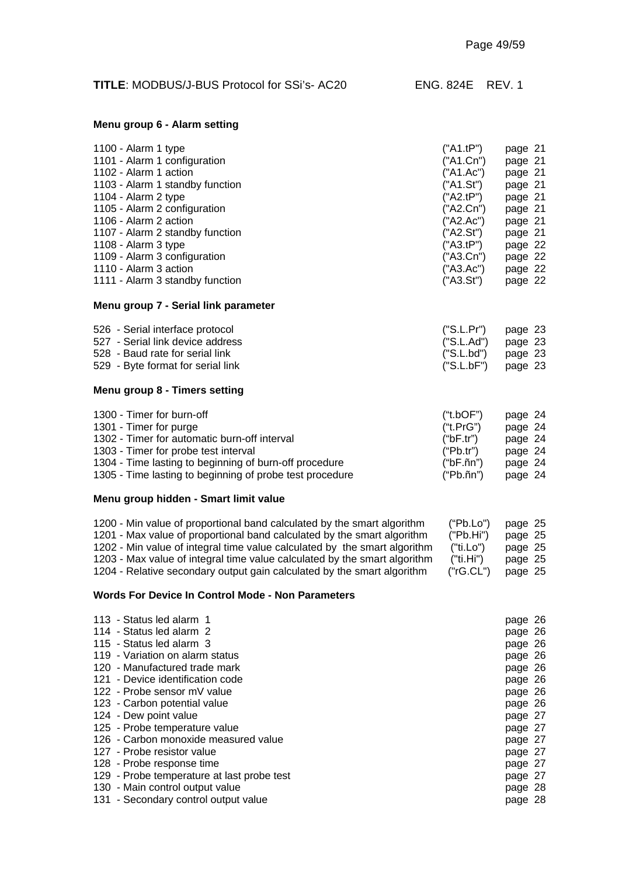| <b>TITLE: MODBUS/J-BUS Protocol for SSi's-AC20</b> | ENG. 824E REV. 1 |  |
|----------------------------------------------------|------------------|--|
|----------------------------------------------------|------------------|--|

#### **Menu group 6 - Alarm setting**

| 1100 - Alarm 1 type                                                                                                                                                                        | ("A1.tP")                                                     | page 21                                             |
|--------------------------------------------------------------------------------------------------------------------------------------------------------------------------------------------|---------------------------------------------------------------|-----------------------------------------------------|
| 1101 - Alarm 1 configuration                                                                                                                                                               | ("A1.Cn")                                                     | page 21                                             |
| 1102 - Alarm 1 action                                                                                                                                                                      | ("A1.Ac")                                                     | page 21                                             |
| 1103 - Alarm 1 standby function                                                                                                                                                            | ("A1.St")                                                     | page 21                                             |
| 1104 - Alarm 2 type                                                                                                                                                                        | ("A2.tP")                                                     | page 21                                             |
| 1105 - Alarm 2 configuration                                                                                                                                                               | ("A2.Cn")                                                     | page 21                                             |
| 1106 - Alarm 2 action                                                                                                                                                                      | ("A2.Ac")                                                     | page 21                                             |
| 1107 - Alarm 2 standby function<br>1108 - Alarm 3 type<br>1109 - Alarm 3 configuration<br>1110 - Alarm 3 action<br>1111 - Alarm 3 standby function<br>Menu group 7 - Serial link parameter | ("A2.St")<br>("A3.tP")<br>("A3.Cn")<br>("A3.Ac")<br>("A3.St") | page 21<br>page 22<br>page 22<br>page 22<br>page 22 |

#### **Menu group 8 - Timers setting**

| 1300 - Timer for burn-off                                | ("t.bOF")                                    | page 24 |  |
|----------------------------------------------------------|----------------------------------------------|---------|--|
| 1301 - Timer for purge                                   | ("t.PrG")                                    | page 24 |  |
| 1302 - Timer for automatic burn-off interval             | ("bF.tr")                                    | page 24 |  |
| 1303 - Timer for probe test interval                     | ("Pb.tr")                                    | page 24 |  |
| 1304 - Time lasting to beginning of burn-off procedure   | ("bF. <sub>nn<td>page 24</td><td></td></sub> | page 24 |  |
| 1305 - Time lasting to beginning of probe test procedure | $("Pb.\tilde{n}n")$                          | page 24 |  |

#### **Menu group hidden - Smart limit value**

| 1200 - Min value of proportional band calculated by the smart algorithm   | ("Pb.Lo") | page 25 |
|---------------------------------------------------------------------------|-----------|---------|
| 1201 - Max value of proportional band calculated by the smart algorithm   | ('Pb.Hi") | page 25 |
| 1202 - Min value of integral time value calculated by the smart algorithm | ("ti.Lo") | page 25 |
| 1203 - Max value of integral time value calculated by the smart algorithm | ("ti.Hi") | page 25 |
| 1204 - Relative secondary output gain calculated by the smart algorithm   | ("rG.CL") | page 25 |

#### **Words For Device In Control Mode - Non Parameters**

| 113 - Status led alarm 1<br>114 - Status led alarm 2 | page 26<br>page 26 |  |
|------------------------------------------------------|--------------------|--|
| 115 - Status led alarm 3                             | page 26            |  |
| 119 - Variation on alarm status                      | page 26            |  |
| 120 - Manufactured trade mark                        | page 26            |  |
| 121 - Device identification code                     | page 26            |  |
| 122 - Probe sensor mV value                          | page 26            |  |
| 123 - Carbon potential value                         | page 26            |  |
| 124 - Dew point value                                | page 27            |  |
| 125 - Probe temperature value                        | page 27            |  |
| 126 - Carbon monoxide measured value                 | page 27            |  |
| 127 - Probe resistor value                           | page 27            |  |
| 128 - Probe response time                            | page 27            |  |
| 129 - Probe temperature at last probe test           | page 27            |  |
| 130 - Main control output value                      | page 28            |  |
| 131 - Secondary control output value                 | page 28            |  |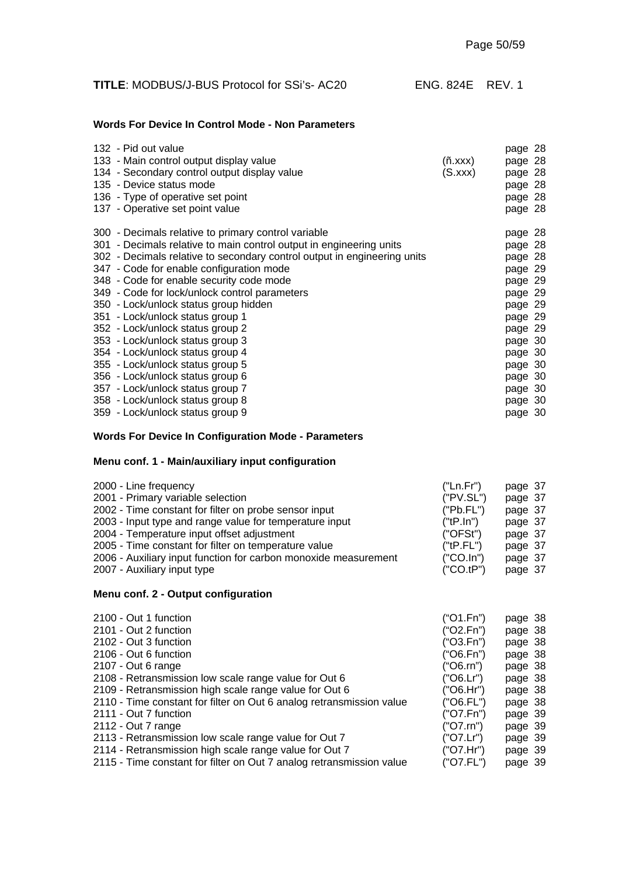| <b>TITLE: MODBUS/J-BUS Protocol for SSi's-AC20</b> | ENG. 824E REV. 1 |  |
|----------------------------------------------------|------------------|--|
|----------------------------------------------------|------------------|--|

#### **Words For Device In Control Mode - Non Parameters**

| 132 - Pid out value<br>133 - Main control output display value<br>134 - Secondary control output display value<br>135 - Device status mode<br>136 - Type of operative set point<br>137 - Operative set point value | (ñ.xxx)<br>(S.xxx) | page 28<br>page 28<br>page 28<br>page 28<br>page 28<br>page 28 |
|--------------------------------------------------------------------------------------------------------------------------------------------------------------------------------------------------------------------|--------------------|----------------------------------------------------------------|
| 300 - Decimals relative to primary control variable                                                                                                                                                                |                    | page 28                                                        |
| 301 - Decimals relative to main control output in engineering units                                                                                                                                                |                    | page 28                                                        |
| 302 - Decimals relative to secondary control output in engineering units                                                                                                                                           |                    | page 28                                                        |
| 347 - Code for enable configuration mode                                                                                                                                                                           |                    | page 29                                                        |
| 348 - Code for enable security code mode                                                                                                                                                                           |                    | page 29                                                        |
| 349 - Code for lock/unlock control parameters                                                                                                                                                                      |                    | page 29                                                        |
| 350 - Lock/unlock status group hidden                                                                                                                                                                              |                    | page 29                                                        |
| 351 - Lock/unlock status group 1                                                                                                                                                                                   |                    | page 29                                                        |
| 352 - Lock/unlock status group 2                                                                                                                                                                                   |                    | page 29                                                        |
| 353 - Lock/unlock status group 3                                                                                                                                                                                   |                    | page 30                                                        |
| 354 - Lock/unlock status group 4                                                                                                                                                                                   |                    | page 30                                                        |
| 355 - Lock/unlock status group 5                                                                                                                                                                                   |                    | page 30                                                        |
| 356 - Lock/unlock status group 6                                                                                                                                                                                   |                    | page 30                                                        |
| 357 - Lock/unlock status group 7                                                                                                                                                                                   |                    | page 30                                                        |
| 358 - Lock/unlock status group 8                                                                                                                                                                                   |                    | page 30                                                        |
| 359 - Lock/unlock status group 9                                                                                                                                                                                   |                    | page 30                                                        |

#### **Words For Device In Configuration Mode - Parameters**

#### **Menu conf. 1 - Main/auxiliary input configuration**

| 2000 - Line frequency                                           | ("Ln.Fr")   | page 37 |
|-----------------------------------------------------------------|-------------|---------|
| 2001 - Primary variable selection                               | ('PV.SL")   | page 37 |
| 2002 - Time constant for filter on probe sensor input           | ("Pb.FL")   | page 37 |
| 2003 - Input type and range value for temperature input         | ("tP.In")   | page 37 |
| 2004 - Temperature input offset adjustment                      | ('OFSt")    | page 37 |
| 2005 - Time constant for filter on temperature value            | ("tP.FL")   | page 37 |
| 2006 - Auxiliary input function for carbon monoxide measurement | $('CO-In")$ | page 37 |
| 2007 - Auxiliary input type                                     | (''CO.tP")  | page 37 |
|                                                                 |             |         |

#### **Menu conf. 2 - Output configuration**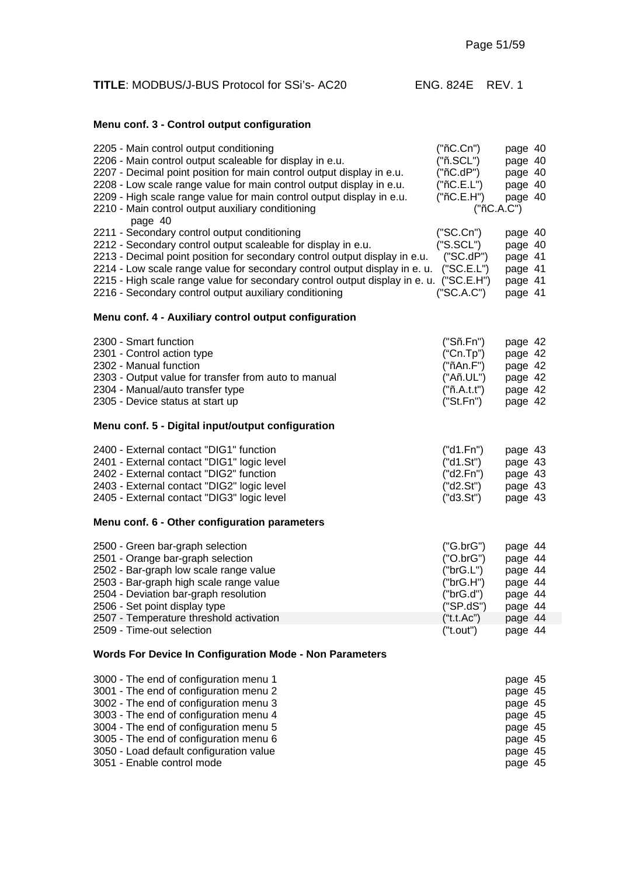| <b>TITLE: MODBUS/J-BUS Protocol for SSi's- AC20</b> | ENG. 824E REV. 1 |  |
|-----------------------------------------------------|------------------|--|
|                                                     |                  |  |

## **Menu conf. 3 - Control output configuration**

| 2205 - Main control output conditioning<br>2206 - Main control output scaleable for display in e.u.<br>2207 - Decimal point position for main control output display in e.u.<br>2208 - Low scale range value for main control output display in e.u.<br>2209 - High scale range value for main control output display in e.u.<br>2210 - Main control output auxiliary conditioning<br>page 40                                 | ("nC.Cn")<br>("ñ.SCL")<br>("ñC.dP")<br>("nC.E.L")<br>("nC.E.H")<br>("ñC.A.C")                         | page 40<br>page 40<br>page 40<br>page 40<br>page 40                                  |  |
|-------------------------------------------------------------------------------------------------------------------------------------------------------------------------------------------------------------------------------------------------------------------------------------------------------------------------------------------------------------------------------------------------------------------------------|-------------------------------------------------------------------------------------------------------|--------------------------------------------------------------------------------------|--|
| 2211 - Secondary control output conditioning<br>2212 - Secondary control output scaleable for display in e.u.<br>2213 - Decimal point position for secondary control output display in e.u.<br>2214 - Low scale range value for secondary control output display in e. u.<br>2215 - High scale range value for secondary control output display in e. u. ("SC.E.H")<br>2216 - Secondary control output auxiliary conditioning | ("SC.Cn")<br>('S.SCL")<br>("SC.dP")<br>("SC.E.L")<br>("SC.A.C")                                       | page 40<br>page 40<br>page 41<br>page 41<br>page 41<br>page 41                       |  |
| Menu conf. 4 - Auxiliary control output configuration                                                                                                                                                                                                                                                                                                                                                                         |                                                                                                       |                                                                                      |  |
| 2300 - Smart function<br>2301 - Control action type<br>2302 - Manual function<br>2303 - Output value for transfer from auto to manual<br>2304 - Manual/auto transfer type<br>2305 - Device status at start up                                                                                                                                                                                                                 | ("Sñ.Fn")<br>("Cn.Tp")<br>("ñAn.F")<br>("Añ.UL")<br>("ñ.A.t.")<br>("St.Fn")                           | page 42<br>page 42<br>page 42<br>page 42<br>page 42<br>page 42                       |  |
| Menu conf. 5 - Digital input/output configuration                                                                                                                                                                                                                                                                                                                                                                             |                                                                                                       |                                                                                      |  |
| 2400 - External contact "DIG1" function<br>2401 - External contact "DIG1" logic level<br>2402 - External contact "DIG2" function<br>2403 - External contact "DIG2" logic level<br>2405 - External contact "DIG3" logic level                                                                                                                                                                                                  | ("d1.Fn")<br>("d1.St")<br>("d2.Fn")<br>("d2.St")<br>("d3.St")                                         | page 43<br>page 43<br>page 43<br>page 43<br>page 43                                  |  |
| Menu conf. 6 - Other configuration parameters                                                                                                                                                                                                                                                                                                                                                                                 |                                                                                                       |                                                                                      |  |
| 2500 - Green bar-graph selection<br>2501 - Orange bar-graph selection<br>2502 - Bar-graph low scale range value<br>2503 - Bar-graph high scale range value<br>2504 - Deviation bar-graph resolution<br>2506 - Set point display type<br>2507 - Temperature threshold activation<br>2509 - Time-out selection                                                                                                                  | ("G.brG")<br>('O.brG")<br>("brG.L")<br>("brG.H")<br>("brG.d")<br>("SP.dS")<br>("t.t.Ac")<br>("t.out") | page 44<br>page 44<br>page 44<br>page 44<br>page 44<br>page 44<br>page 44<br>page 44 |  |
| Words For Device In Configuration Mode - Non Parameters                                                                                                                                                                                                                                                                                                                                                                       |                                                                                                       |                                                                                      |  |

| 3000 - The end of configuration menu 1  | page 45 |
|-----------------------------------------|---------|
| 3001 - The end of configuration menu 2  | page 45 |
| 3002 - The end of configuration menu 3  | page 45 |
| 3003 - The end of configuration menu 4  | page 45 |
| 3004 - The end of configuration menu 5  | page 45 |
| 3005 - The end of configuration menu 6  | page 45 |
| 3050 - Load default configuration value | page 45 |
| 3051 - Enable control mode              | page 45 |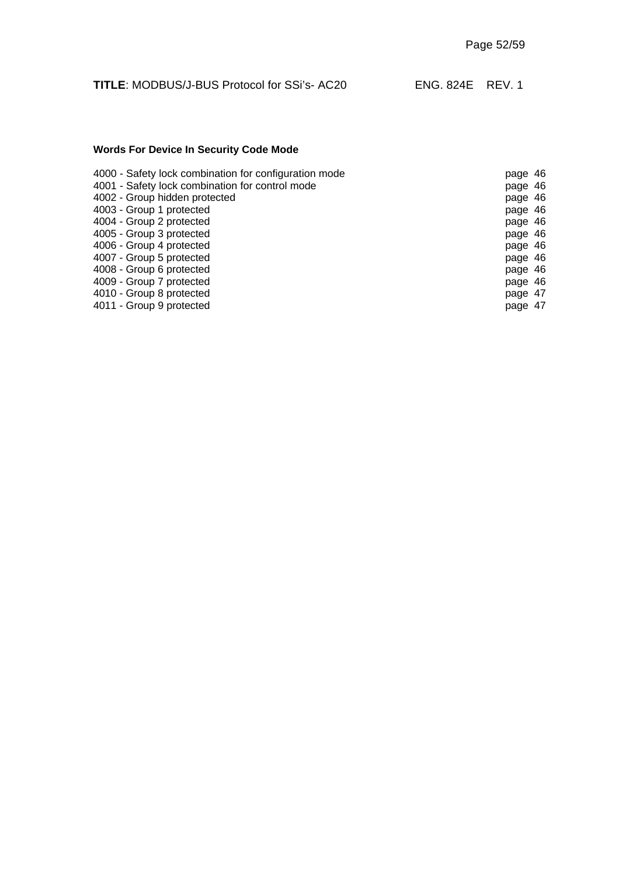## **Words For Device In Security Code Mode**

| 4000 - Safety lock combination for configuration mode | page 46 |  |
|-------------------------------------------------------|---------|--|
| 4001 - Safety lock combination for control mode       | page 46 |  |
| 4002 - Group hidden protected                         | page 46 |  |
| 4003 - Group 1 protected                              | page 46 |  |
| 4004 - Group 2 protected                              | page 46 |  |
| 4005 - Group 3 protected                              | page 46 |  |
| 4006 - Group 4 protected                              | page 46 |  |
| 4007 - Group 5 protected                              | page 46 |  |
| 4008 - Group 6 protected                              | page 46 |  |
| 4009 - Group 7 protected                              | page 46 |  |
| 4010 - Group 8 protected                              | page 47 |  |
| 4011 - Group 9 protected                              | page 47 |  |
|                                                       |         |  |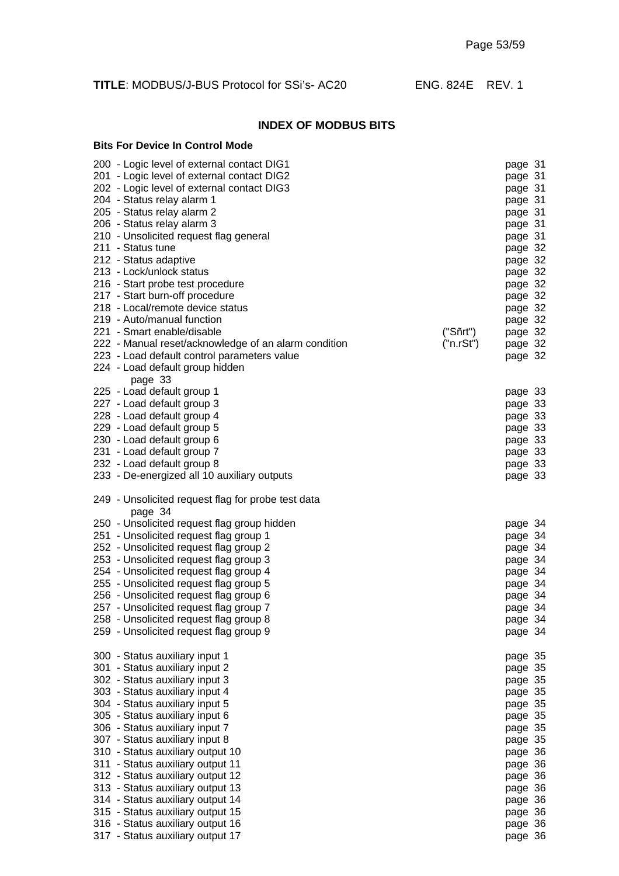#### **INDEX OF MODBUS BITS**

| <b>Bits For Device In Control Mode</b>                                                                                                                                                                                                                                                                                                                                                                                     |                       |                                                                                                                                  |
|----------------------------------------------------------------------------------------------------------------------------------------------------------------------------------------------------------------------------------------------------------------------------------------------------------------------------------------------------------------------------------------------------------------------------|-----------------------|----------------------------------------------------------------------------------------------------------------------------------|
| 200 - Logic level of external contact DIG1<br>201 - Logic level of external contact DIG2<br>202 - Logic level of external contact DIG3<br>204 - Status relay alarm 1<br>205 - Status relay alarm 2<br>206 - Status relay alarm 3<br>210 - Unsolicited request flag general<br>211 - Status tune<br>212 - Status adaptive<br>213 - Lock/unlock status<br>216 - Start probe test procedure<br>217 - Start burn-off procedure |                       | page 31<br>page 31<br>page 31<br>page 31<br>page 31<br>page 31<br>page 31<br>page 32<br>page 32<br>page 32<br>page 32<br>page 32 |
| 218 - Local/remote device status                                                                                                                                                                                                                                                                                                                                                                                           |                       | page 32                                                                                                                          |
| 219 - Auto/manual function                                                                                                                                                                                                                                                                                                                                                                                                 |                       | page 32                                                                                                                          |
| 221 - Smart enable/disable<br>222 - Manual reset/acknowledge of an alarm condition                                                                                                                                                                                                                                                                                                                                         | ("Sñrt")<br>("n.rSt") | page 32<br>page 32                                                                                                               |
| 223 - Load default control parameters value                                                                                                                                                                                                                                                                                                                                                                                |                       | page 32                                                                                                                          |
| 224 - Load default group hidden<br>page 33                                                                                                                                                                                                                                                                                                                                                                                 |                       |                                                                                                                                  |
| 225 - Load default group 1                                                                                                                                                                                                                                                                                                                                                                                                 |                       | page 33                                                                                                                          |
| 227 - Load default group 3<br>228 - Load default group 4                                                                                                                                                                                                                                                                                                                                                                   |                       | page 33<br>page 33                                                                                                               |
| 229 - Load default group 5                                                                                                                                                                                                                                                                                                                                                                                                 |                       | page 33                                                                                                                          |
| 230 - Load default group 6                                                                                                                                                                                                                                                                                                                                                                                                 |                       | page 33                                                                                                                          |
| 231 - Load default group 7                                                                                                                                                                                                                                                                                                                                                                                                 |                       | page 33                                                                                                                          |
| 232 - Load default group 8                                                                                                                                                                                                                                                                                                                                                                                                 |                       | page 33                                                                                                                          |
| 233 - De-energized all 10 auxiliary outputs                                                                                                                                                                                                                                                                                                                                                                                |                       | page 33                                                                                                                          |
| 249 - Unsolicited request flag for probe test data<br>page 34                                                                                                                                                                                                                                                                                                                                                              |                       |                                                                                                                                  |
| 250 - Unsolicited request flag group hidden                                                                                                                                                                                                                                                                                                                                                                                |                       | page 34                                                                                                                          |
| 251 - Unsolicited request flag group 1                                                                                                                                                                                                                                                                                                                                                                                     |                       | page 34                                                                                                                          |
| 252 - Unsolicited request flag group 2<br>253 - Unsolicited request flag group 3                                                                                                                                                                                                                                                                                                                                           |                       | page 34                                                                                                                          |
| 254 - Unsolicited request flag group 4                                                                                                                                                                                                                                                                                                                                                                                     |                       | page 34<br>page 34                                                                                                               |
| 255 - Unsolicited request flag group 5                                                                                                                                                                                                                                                                                                                                                                                     |                       | page 34                                                                                                                          |
| 256 - Unsolicited request flag group 6                                                                                                                                                                                                                                                                                                                                                                                     |                       | page 34                                                                                                                          |
| 257 - Unsolicited request flag group 7                                                                                                                                                                                                                                                                                                                                                                                     |                       | page 34                                                                                                                          |
| 258 - Unsolicited request flag group 8                                                                                                                                                                                                                                                                                                                                                                                     |                       | page 34                                                                                                                          |
| 259 - Unsolicited request flag group 9                                                                                                                                                                                                                                                                                                                                                                                     |                       | page 34                                                                                                                          |
| 300 - Status auxiliary input 1                                                                                                                                                                                                                                                                                                                                                                                             |                       | page 35                                                                                                                          |
| 301 - Status auxiliary input 2                                                                                                                                                                                                                                                                                                                                                                                             |                       | page 35                                                                                                                          |
| 302 - Status auxiliary input 3<br>303 - Status auxiliary input 4                                                                                                                                                                                                                                                                                                                                                           |                       | page 35                                                                                                                          |
| 304 - Status auxiliary input 5                                                                                                                                                                                                                                                                                                                                                                                             |                       | page 35<br>page 35                                                                                                               |
| 305 - Status auxiliary input 6                                                                                                                                                                                                                                                                                                                                                                                             |                       | page 35                                                                                                                          |
| 306 - Status auxiliary input 7                                                                                                                                                                                                                                                                                                                                                                                             |                       | page 35                                                                                                                          |
| 307 - Status auxiliary input 8                                                                                                                                                                                                                                                                                                                                                                                             |                       | page 35                                                                                                                          |
| 310 - Status auxiliary output 10                                                                                                                                                                                                                                                                                                                                                                                           |                       | page 36                                                                                                                          |
| 311 - Status auxiliary output 11                                                                                                                                                                                                                                                                                                                                                                                           |                       | page 36                                                                                                                          |
| 312 - Status auxiliary output 12<br>313 - Status auxiliary output 13                                                                                                                                                                                                                                                                                                                                                       |                       | page 36<br>page 36                                                                                                               |
| 314 - Status auxiliary output 14                                                                                                                                                                                                                                                                                                                                                                                           |                       | page 36                                                                                                                          |
| 315 - Status auxiliary output 15                                                                                                                                                                                                                                                                                                                                                                                           |                       | page 36                                                                                                                          |
| 316 - Status auxiliary output 16                                                                                                                                                                                                                                                                                                                                                                                           |                       | page 36                                                                                                                          |
| 317 - Status auxiliary output 17                                                                                                                                                                                                                                                                                                                                                                                           |                       | page 36                                                                                                                          |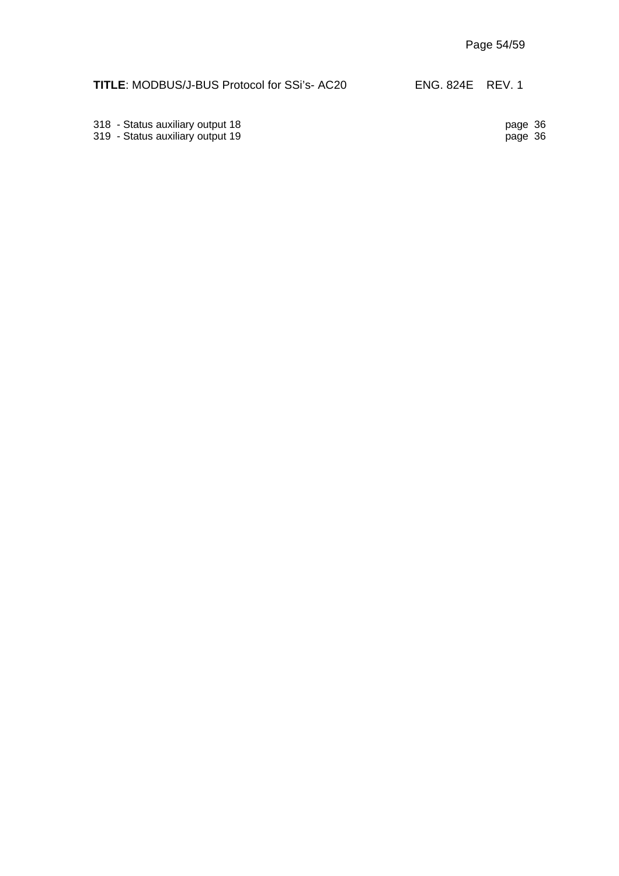318 - Status auxiliary output 18 page 36

319 - Status auxiliary output 19 page 36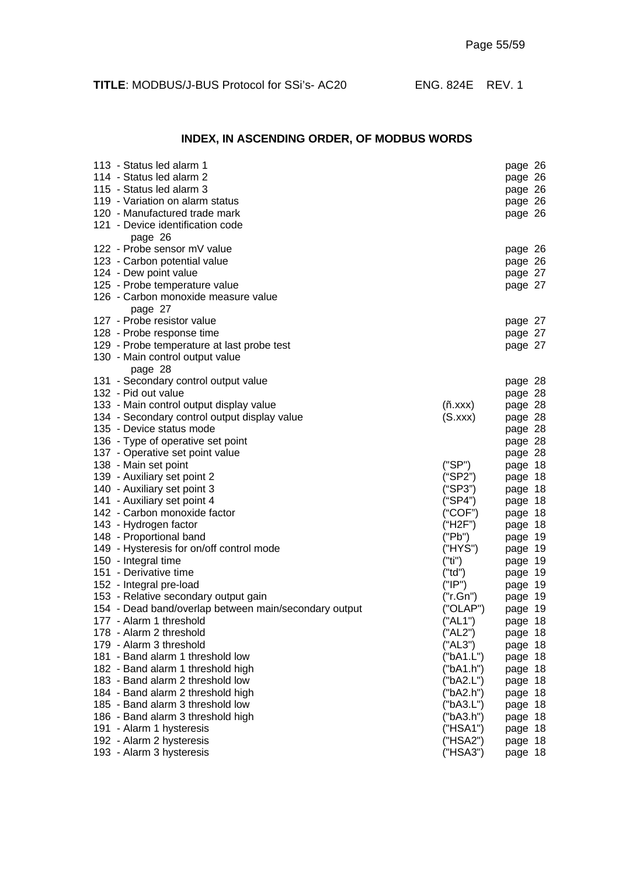## **INDEX, IN ASCENDING ORDER, OF MODBUS WORDS**

| 113 - Status led alarm 1                              |           | page 26 |
|-------------------------------------------------------|-----------|---------|
| 114 - Status led alarm 2                              |           | page 26 |
| 115 - Status led alarm 3                              |           | page 26 |
| 119 - Variation on alarm status                       |           | page 26 |
| 120 - Manufactured trade mark                         |           | page 26 |
| 121 - Device identification code                      |           |         |
| page 26                                               |           |         |
| 122 - Probe sensor mV value                           |           | page 26 |
| 123 - Carbon potential value                          |           | page 26 |
| 124 - Dew point value                                 |           | page 27 |
| 125 - Probe temperature value                         |           | page 27 |
| 126 - Carbon monoxide measure value                   |           |         |
| page 27                                               |           |         |
| 127 - Probe resistor value                            |           | page 27 |
| 128 - Probe response time                             |           | page 27 |
| 129 - Probe temperature at last probe test            |           | page 27 |
| 130 - Main control output value                       |           |         |
| page 28                                               |           |         |
| 131 - Secondary control output value                  |           | page 28 |
| 132 - Pid out value                                   |           | page 28 |
| 133 - Main control output display value               | (n.xxx)   | page 28 |
| 134 - Secondary control output display value          | (S.xxx)   | page 28 |
| 135 - Device status mode                              |           | page 28 |
| 136 - Type of operative set point                     |           | page 28 |
| 137 - Operative set point value                       |           | page 28 |
| 138 - Main set point                                  | ("SP")    | page 18 |
| 139 - Auxiliary set point 2                           | ("SP2")   | page 18 |
| 140 - Auxiliary set point 3                           | ("SP3")   | page 18 |
| 141 - Auxiliary set point 4                           | ("SP4")   | page 18 |
| 142 - Carbon monoxide factor                          | ("COF")   | page 18 |
| 143 - Hydrogen factor                                 | ("H2F")   | page 18 |
| 148 - Proportional band                               | ("Pb")    | page 19 |
| 149 - Hysteresis for on/off control mode              | ("HYS")   | page 19 |
| 150 - Integral time                                   | ("ti")    | page 19 |
| 151 - Derivative time                                 | ("td")    | page 19 |
| 152 - Integral pre-load                               | ("IP")    | page 19 |
| 153 - Relative secondary output gain                  | ("r.Gn")  | page 19 |
| 154 - Dead band/overlap between main/secondary output | ("OLAP")  | page 19 |
| 177 - Alarm 1 threshold                               | ("AL1")   | page 18 |
| 178 - Alarm 2 threshold                               | ("AL2")   | page 18 |
| 179 - Alarm 3 threshold                               | ("AL3")   | page 18 |
| 181 - Band alarm 1 threshold low                      | ("bA1.L") | page 18 |
| 182 - Band alarm 1 threshold high                     | ("bA1.h") | page 18 |
| 183 - Band alarm 2 threshold low                      | ("bA2.L") | page 18 |
| 184 - Band alarm 2 threshold high                     | ("bA2.h") | page 18 |
| 185 - Band alarm 3 threshold low                      | ("bA3.L") | page 18 |
| 186 - Band alarm 3 threshold high                     | ("bA3.h") | page 18 |
| 191 - Alarm 1 hysteresis                              | ("HSA1")  | page 18 |
| 192 - Alarm 2 hysteresis                              | ("HSA2")  | page 18 |
| 193 - Alarm 3 hysteresis                              | ("HSA3")  | page 18 |
|                                                       |           |         |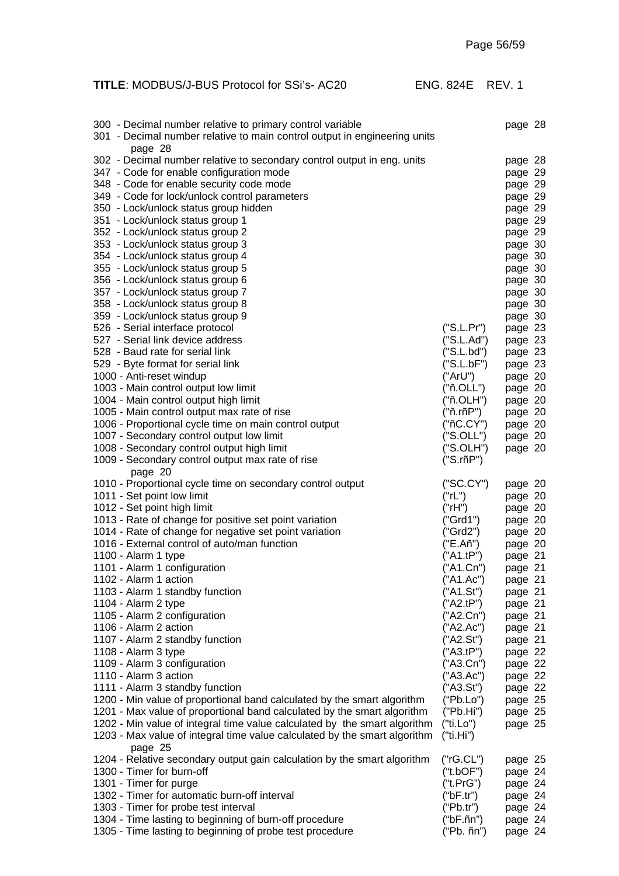| 300 - Decimal number relative to primary control variable<br>301 - Decimal number relative to main control output in engineering units<br>page 28      |                         | page 28            |
|--------------------------------------------------------------------------------------------------------------------------------------------------------|-------------------------|--------------------|
| 302 - Decimal number relative to secondary control output in eng. units<br>347 - Code for enable configuration mode                                    |                         | page 28<br>page 29 |
| 348 - Code for enable security code mode                                                                                                               |                         | page 29            |
| 349 - Code for lock/unlock control parameters                                                                                                          |                         | page 29            |
| 350 - Lock/unlock status group hidden                                                                                                                  |                         | page 29            |
| 351 - Lock/unlock status group 1<br>352 - Lock/unlock status group 2                                                                                   |                         | page 29<br>page 29 |
| 353 - Lock/unlock status group 3                                                                                                                       |                         | page 30            |
| 354 - Lock/unlock status group 4                                                                                                                       |                         | page 30            |
| 355 - Lock/unlock status group 5                                                                                                                       |                         | page 30            |
| 356 - Lock/unlock status group 6                                                                                                                       |                         | page 30            |
| 357 - Lock/unlock status group 7                                                                                                                       |                         | page 30            |
| 358 - Lock/unlock status group 8                                                                                                                       |                         | page 30            |
| 359 - Lock/unlock status group 9                                                                                                                       |                         | page 30            |
| 526 - Serial interface protocol                                                                                                                        | ("S.L.Pr")              | page 23            |
| 527 - Serial link device address                                                                                                                       | ("S.L.Ad")              | page 23            |
| 528 - Baud rate for serial link                                                                                                                        | ('S.L.bd")              | page 23            |
| 529 - Byte format for serial link                                                                                                                      | ("S.L.bF")              | page 23            |
| 1000 - Anti-reset windup                                                                                                                               | ("ArU")                 | page 20            |
| 1003 - Main control output low limit<br>1004 - Main control output high limit                                                                          | ("ñ.OLL")<br>("ñ.OLH")  | page 20            |
| 1005 - Main control output max rate of rise                                                                                                            | ("ñ.rñP")               | page 20<br>page 20 |
| 1006 - Proportional cycle time on main control output                                                                                                  | ("nC.CY")               | page 20            |
| 1007 - Secondary control output low limit                                                                                                              | ("S.OLL")               | page 20            |
| 1008 - Secondary control output high limit                                                                                                             | ("S.OLH")               | page 20            |
| 1009 - Secondary control output max rate of rise                                                                                                       | ("S.rñP")               |                    |
| page 20                                                                                                                                                |                         |                    |
| 1010 - Proportional cycle time on secondary control output                                                                                             | ("SC.CY")               | page 20            |
|                                                                                                                                                        |                         |                    |
| 1011 - Set point low limit                                                                                                                             | ("rL")                  | page 20            |
| 1012 - Set point high limit                                                                                                                            | ("rH")                  | page 20            |
| 1013 - Rate of change for positive set point variation                                                                                                 | ("Grd1")                | page 20            |
| 1014 - Rate of change for negative set point variation                                                                                                 | ("Grd2")                | page 20            |
| 1016 - External control of auto/man function                                                                                                           | ("E.Añ")                | page 20            |
| 1100 - Alarm 1 type                                                                                                                                    | ("A1.tP")               | page 21            |
| 1101 - Alarm 1 configuration                                                                                                                           | ("A1.Cn")               | page 21            |
| 1102 - Alarm 1 action                                                                                                                                  | ("A1.Ac")               | page 21            |
| 1103 - Alarm 1 standby function                                                                                                                        | ("A1.St")               | page 21            |
| 1104 - Alarm 2 type                                                                                                                                    | ("A2.tP")               | page 21            |
| 1105 - Alarm 2 configuration<br>1106 - Alarm 2 action                                                                                                  | ("A2.Cn")<br>("A2.Ac")  | page 21            |
| 1107 - Alarm 2 standby function                                                                                                                        | ("A2.St")               | page 21<br>page 21 |
| 1108 - Alarm 3 type                                                                                                                                    | ("A3.tP")               | page 22            |
| 1109 - Alarm 3 configuration                                                                                                                           | ("A3.Cn")               | page 22            |
| 1110 - Alarm 3 action                                                                                                                                  | ("A3.Ac")               | page 22            |
| 1111 - Alarm 3 standby function                                                                                                                        | ("A3.St")               | page 22            |
| 1200 - Min value of proportional band calculated by the smart algorithm                                                                                | ("Pb.Lo")               | page 25            |
| 1201 - Max value of proportional band calculated by the smart algorithm                                                                                | ("Pb.Hi")               | page 25            |
| 1202 - Min value of integral time value calculated by the smart algorithm<br>1203 - Max value of integral time value calculated by the smart algorithm | ("ti.Lo")<br>("ti.Hi")  | page 25            |
| page 25                                                                                                                                                | ("rG.CL")               |                    |
| 1204 - Relative secondary output gain calculation by the smart algorithm<br>1300 - Timer for burn-off                                                  | ("t.bOF")               | page 25<br>page 24 |
| 1301 - Timer for purge                                                                                                                                 | ("t.PrG")               | page 24            |
| 1302 - Timer for automatic burn-off interval                                                                                                           | ("bF.tr")               | page 24            |
| 1303 - Timer for probe test interval                                                                                                                   | ("Pb.tr")               | page 24            |
| 1304 - Time lasting to beginning of burn-off procedure<br>1305 - Time lasting to beginning of probe test procedure                                     | ("bF.ñn")<br>("Pb. ñn") | page 24<br>page 24 |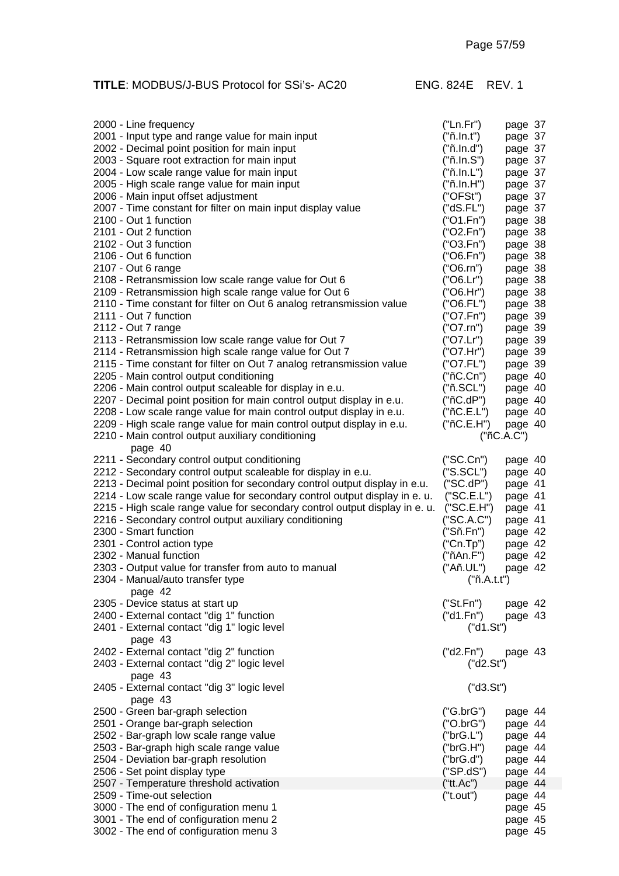| 2000 - Line frequency                                                            | ("Ln.Fr")              | page 37            |
|----------------------------------------------------------------------------------|------------------------|--------------------|
| 2001 - Input type and range value for main input                                 | ("ñ.ln.t")             | page 37            |
| 2002 - Decimal point position for main input                                     | ("ñ.ln.d")             | page 37            |
| 2003 - Square root extraction for main input                                     | ("ñ.in.S")             | page 37            |
| 2004 - Low scale range value for main input                                      | ("ñ.ln.L")             | page 37            |
| 2005 - High scale range value for main input                                     | ("ñ.ln.H")             | page 37            |
| 2006 - Main input offset adjustment                                              | ("OFSt")               | page 37            |
| 2007 - Time constant for filter on main input display value                      | ("dS.FL")              | page 37            |
| 2100 - Out 1 function                                                            | ("O1.Fn")              | page 38            |
| 2101 - Out 2 function                                                            | ("O2.Fn")              | page 38            |
| 2102 - Out 3 function                                                            | ("O3.Fn")              | page 38            |
| 2106 - Out 6 function                                                            | ("O6.Fn")              | page 38            |
| 2107 - Out 6 range                                                               | ("O6.rn")              | page 38            |
| 2108 - Retransmission low scale range value for Out 6                            | ("O6.Lr")              | page 38            |
| 2109 - Retransmission high scale range value for Out 6                           | ("O6.Hr")              | page 38            |
| 2110 - Time constant for filter on Out 6 analog retransmission value             | ("O6.FL")              | page 38            |
| 2111 - Out 7 function                                                            | ("O7.Fn")              | page 39            |
| 2112 - Out 7 range                                                               | ("O7.rn")              | page 39            |
| 2113 - Retransmission low scale range value for Out 7                            | ("O7.Lr")              | page 39            |
| 2114 - Retransmission high scale range value for Out 7                           | ("O7.Hr")              | page 39            |
| 2115 - Time constant for filter on Out 7 analog retransmission value             | ("O7.FL")              | page 39            |
| 2205 - Main control output conditioning                                          | ("ñC.Cn")              | page 40            |
| 2206 - Main control output scaleable for display in e.u.                         | ("ñ.SCL")              | page 40            |
| 2207 - Decimal point position for main control output display in e.u.            | ("nC.dP")              | page 40            |
| 2208 - Low scale range value for main control output display in e.u.             | ("nC.E.L")             | page 40            |
| 2209 - High scale range value for main control output display in e.u.            | ("nC.E.H")             | page 40            |
| 2210 - Main control output auxiliary conditioning                                |                        | ("ñC.A.C")         |
| page 40                                                                          |                        |                    |
| 2211 - Secondary control output conditioning                                     | ("SC.Cn")              | page 40            |
| 2212 - Secondary control output scaleable for display in e.u.                    | ("S.SCL")              | page 40            |
| 2213 - Decimal point position for secondary control output display in e.u.       | ("SC.dP")              |                    |
| 2214 - Low scale range value for secondary control output display in e. u.       | ("SC.E.L")             | page 41            |
| 2215 - High scale range value for secondary control output display in e. u.      |                        | page 41            |
|                                                                                  | ("SC.E.H")             | page 41            |
| 2216 - Secondary control output auxiliary conditioning<br>2300 - Smart function  | ("SC.A.C")             | page 41            |
| 2301 - Control action type                                                       | ("Sñ.Fn")<br>("Cn.Tp") | page 42            |
|                                                                                  |                        | page 42            |
|                                                                                  |                        |                    |
| 2302 - Manual function                                                           | ("ñAn.F")              | page 42            |
| 2303 - Output value for transfer from auto to manual                             | ("Añ.UL")              | page 42            |
| 2304 - Manual/auto transfer type                                                 | ("ñ.A.t.")             |                    |
| page 42                                                                          |                        |                    |
| 2305 - Device status at start up                                                 | ("St.Fn")              | page 42            |
| 2400 - External contact "dig 1" function                                         | ("d1.Fn")              | page 43            |
| 2401 - External contact "dig 1" logic level                                      | ("d1.St")              |                    |
| page 43                                                                          |                        |                    |
| 2402 - External contact "dig 2" function                                         | ("d2.Fn")              | page 43            |
| 2403 - External contact "dig 2" logic level                                      | ("d2.St")              |                    |
| page 43                                                                          |                        |                    |
| 2405 - External contact "dig 3" logic level                                      | ("d3.St")              |                    |
| page 43                                                                          |                        |                    |
| 2500 - Green bar-graph selection                                                 | ("G.brG")              | page 44            |
| 2501 - Orange bar-graph selection                                                | ("O.brG")              | page 44            |
| 2502 - Bar-graph low scale range value                                           | ("brG.L")              | page 44            |
| 2503 - Bar-graph high scale range value                                          | ("brG.H")              | page 44            |
| 2504 - Deviation bar-graph resolution                                            | ("brG.d")              | page 44            |
| 2506 - Set point display type                                                    | ("SP.dS")              | page 44            |
| 2507 - Temperature threshold activation                                          | ("tt.Ac")              | page 44            |
| 2509 - Time-out selection                                                        | ("t.out")              | page 44            |
| 3000 - The end of configuration menu 1                                           |                        | page 45            |
| 3001 - The end of configuration menu 2<br>3002 - The end of configuration menu 3 |                        | page 45<br>page 45 |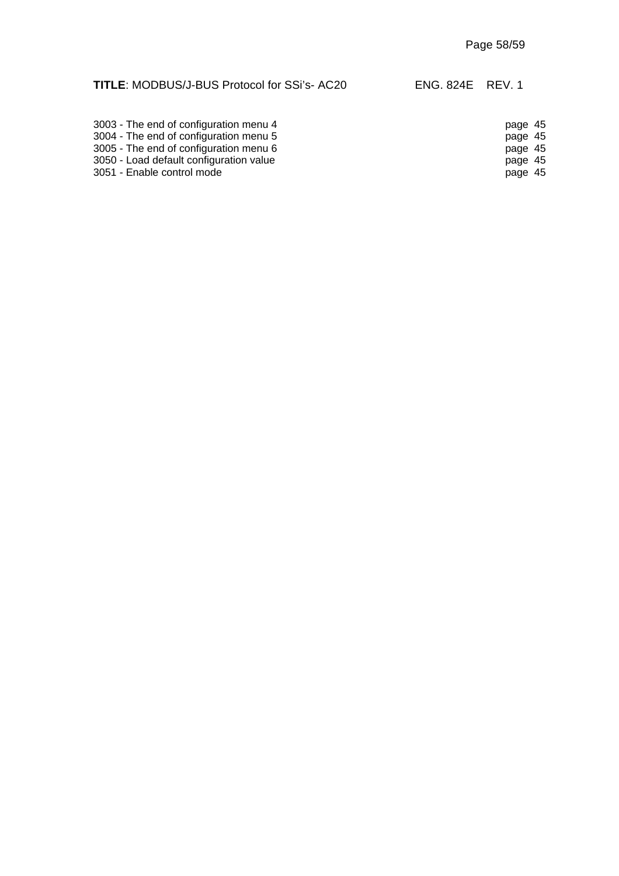| 3003 - The end of configuration menu 4  | page 45 |
|-----------------------------------------|---------|
| 3004 - The end of configuration menu 5  | page 45 |
| 3005 - The end of configuration menu 6  | page 45 |
| 3050 - Load default configuration value | page 45 |
| 3051 - Enable control mode              | page 45 |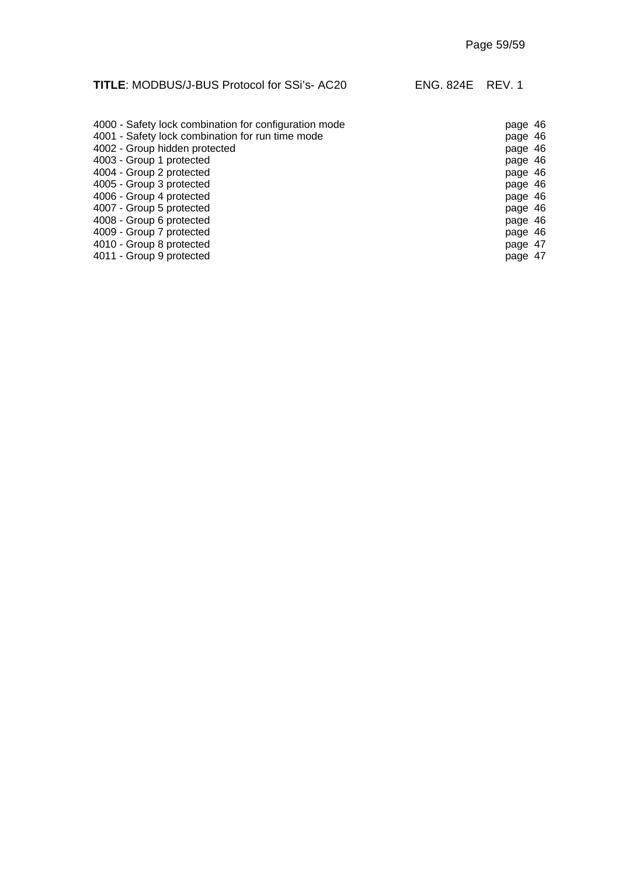# **TITLE**: MODBUS/J-BUS Protocol for SSi's- AC20 ENG. 824E REV. 1 4000 - Safety lock combination for configuration mode<br>
page 46

| 4001 - Safety lock combination for run time mode | page 46 |
|--------------------------------------------------|---------|
| 4002 - Group hidden protected                    | page 46 |
| 4003 - Group 1 protected                         | page 46 |
| 4004 - Group 2 protected                         | page 46 |
| 4005 - Group 3 protected                         | page 46 |
| 4006 - Group 4 protected                         | page 46 |
| 4007 - Group 5 protected                         | page 46 |
| 4008 - Group 6 protected                         | page 46 |
| 4009 - Group 7 protected                         | page 46 |
| 4010 - Group 8 protected                         | page 47 |
| 4011 - Group 9 protected                         | page 47 |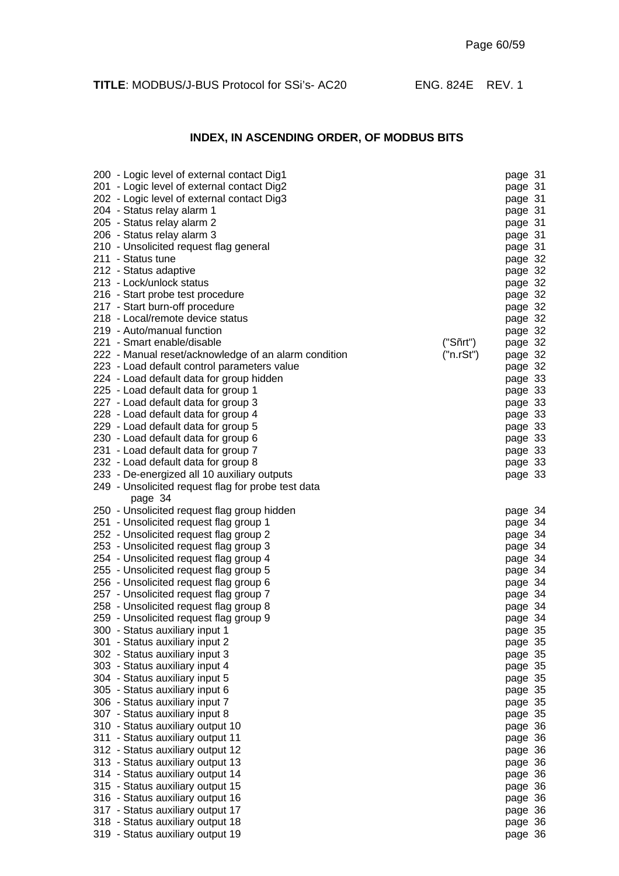## **INDEX, IN ASCENDING ORDER, OF MODBUS BITS**

| 200 - Logic level of external contact Dig1           |           | page 31 |
|------------------------------------------------------|-----------|---------|
| 201 - Logic level of external contact Dig2           |           | page 31 |
| 202 - Logic level of external contact Dig3           |           | page 31 |
| 204 - Status relay alarm 1                           |           | page 31 |
| 205 - Status relay alarm 2                           |           | page 31 |
| 206 - Status relay alarm 3                           |           | page 31 |
| 210 - Unsolicited request flag general               |           | page 31 |
| 211 - Status tune                                    |           | page 32 |
| 212 - Status adaptive                                |           | page 32 |
| 213 - Lock/unlock status                             |           | page 32 |
|                                                      |           |         |
| 216 - Start probe test procedure                     |           | page 32 |
| 217 - Start burn-off procedure                       |           | page 32 |
| 218 - Local/remote device status                     |           | page 32 |
| 219 - Auto/manual function                           |           | page 32 |
| 221 - Smart enable/disable                           | ("Sñrt")  | page 32 |
| 222 - Manual reset/acknowledge of an alarm condition | ("n.rSt") | page 32 |
| 223 - Load default control parameters value          |           | page 32 |
| 224 - Load default data for group hidden             |           | page 33 |
| 225 - Load default data for group 1                  |           | page 33 |
| 227 - Load default data for group 3                  |           | page 33 |
| 228 - Load default data for group 4                  |           | page 33 |
| 229 - Load default data for group 5                  |           | page 33 |
| 230 - Load default data for group 6                  |           | page 33 |
| 231 - Load default data for group 7                  |           | page 33 |
| 232 - Load default data for group 8                  |           | page 33 |
| 233 - De-energized all 10 auxiliary outputs          |           | page 33 |
| 249 - Unsolicited request flag for probe test data   |           |         |
| page 34                                              |           |         |
| 250 - Unsolicited request flag group hidden          |           | page 34 |
| 251 - Unsolicited request flag group 1               |           | page 34 |
| 252 - Unsolicited request flag group 2               |           | page 34 |
| 253 - Unsolicited request flag group 3               |           | page 34 |
| 254 - Unsolicited request flag group 4               |           | page 34 |
| 255 - Unsolicited request flag group 5               |           | page 34 |
| 256 - Unsolicited request flag group 6               |           | page 34 |
| 257 - Unsolicited request flag group 7               |           | page 34 |
| 258 - Unsolicited request flag group 8               |           | page 34 |
| 259 - Unsolicited request flag group 9               |           | page 34 |
| 300 - Status auxiliary input 1                       |           | page 35 |
| 301 - Status auxiliary input 2                       |           | page 35 |
| 302 - Status auxiliary input 3                       |           | page 35 |
| 303 - Status auxiliary input 4                       |           | page 35 |
| 304 - Status auxiliary input 5                       |           | page 35 |
|                                                      |           |         |
| 305 - Status auxiliary input 6                       |           | page 35 |
| 306 - Status auxiliary input 7                       |           | page 35 |
| 307 - Status auxiliary input 8                       |           | page 35 |
| 310 - Status auxiliary output 10                     |           | page 36 |
| 311 - Status auxiliary output 11                     |           | page 36 |
| 312 - Status auxiliary output 12                     |           | page 36 |
| 313 - Status auxiliary output 13                     |           | page 36 |
| 314 - Status auxiliary output 14                     |           | page 36 |
| 315 - Status auxiliary output 15                     |           | page 36 |
| 316 - Status auxiliary output 16                     |           | page 36 |
| 317 - Status auxiliary output 17                     |           | page 36 |
| 318 - Status auxiliary output 18                     |           | page 36 |
| 319 - Status auxiliary output 19                     |           | page 36 |